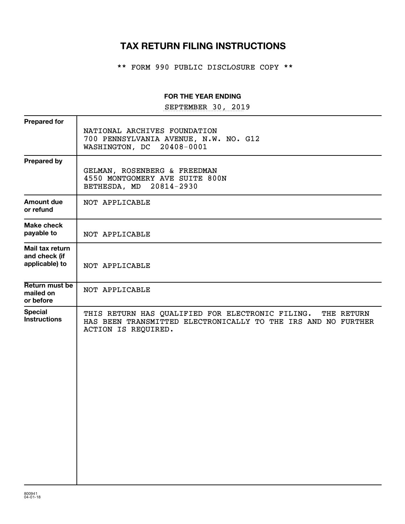# **TAX RETURN FILING INSTRUCTIONS**

\*\* FORM 990 PUBLIC DISCLOSURE COPY \*\*

#### **FOR THE YEAR ENDING**

SEPTEMBER 30, 2019

| <b>Prepared for</b>                                |                                                                                                                                                     |
|----------------------------------------------------|-----------------------------------------------------------------------------------------------------------------------------------------------------|
|                                                    | NATIONAL ARCHIVES FOUNDATION<br>700 PENNSYLVANIA AVENUE, N.W. NO. G12<br>WASHINGTON, DC 20408-0001                                                  |
| <b>Prepared by</b>                                 | GELMAN, ROSENBERG & FREEDMAN<br>4550 MONTGOMERY AVE SUITE 800N<br>BETHESDA, MD 20814-2930                                                           |
| Amount due<br>or refund                            | NOT APPLICABLE                                                                                                                                      |
| Make check<br>payable to                           | NOT APPLICABLE                                                                                                                                      |
| Mail tax return<br>and check (if<br>applicable) to | NOT APPLICABLE                                                                                                                                      |
| Return must be<br>mailed on<br>or before           | NOT APPLICABLE                                                                                                                                      |
| <b>Special</b><br><b>Instructions</b>              | THIS RETURN HAS QUALIFIED FOR ELECTRONIC FILING. THE RETURN<br>HAS BEEN TRANSMITTED ELECTRONICALLY TO THE IRS AND NO FURTHER<br>ACTION IS REQUIRED. |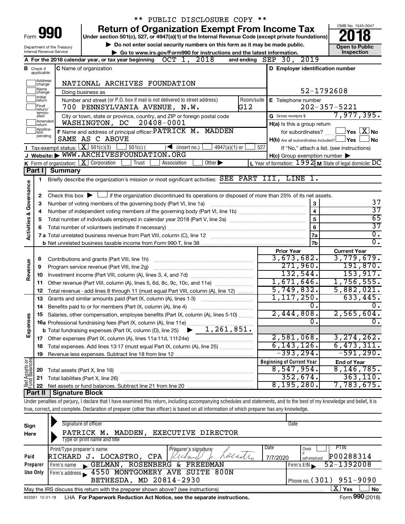|                         |                               |                                | ** PUBLIC DISCLOSURE COPY **                                                                                                                                               |                                                           |                                            |
|-------------------------|-------------------------------|--------------------------------|----------------------------------------------------------------------------------------------------------------------------------------------------------------------------|-----------------------------------------------------------|--------------------------------------------|
|                         |                               |                                | <b>Return of Organization Exempt From Income Tax</b>                                                                                                                       |                                                           | OMB No. 1545-0047                          |
|                         |                               | Form 990                       | Under section 501(c), 527, or 4947(a)(1) of the Internal Revenue Code (except private foundations)                                                                         |                                                           |                                            |
|                         |                               | Department of the Treasury     | Do not enter social security numbers on this form as it may be made public.                                                                                                |                                                           | <b>Open to Public</b>                      |
|                         |                               | Internal Revenue Service       | Go to www.irs.gov/Form990 for instructions and the latest information.                                                                                                     |                                                           | Inspection                                 |
|                         |                               |                                | OCT 1, 2018<br>A For the 2018 calendar year, or tax year beginning                                                                                                         | and ending SEP 30, 2019                                   |                                            |
|                         | <b>B</b> Check if applicable: |                                | <b>C</b> Name of organization                                                                                                                                              | D Employer identification number                          |                                            |
|                         | Address<br> change            |                                | NATIONAL ARCHIVES FOUNDATION                                                                                                                                               |                                                           |                                            |
|                         | Name<br>change                |                                | Doing business as                                                                                                                                                          |                                                           | 52-1792608                                 |
|                         | Ilnitial<br>return            |                                | Number and street (or P.O. box if mail is not delivered to street address)<br>Room/suite                                                                                   | <b>E</b> Telephone number                                 |                                            |
|                         | Final<br>return/<br>termin-   |                                | G12<br>700 PENNSYLVANIA AVENUE, N.W.                                                                                                                                       |                                                           | $202 - 357 - 5221$<br>7,977,395.           |
|                         | ated<br>Amended               |                                | City or town, state or province, country, and ZIP or foreign postal code<br>$20408 - 0001$<br>WASHINGTON, DC                                                               | G Gross receipts \$<br>H(a) Is this a group return        |                                            |
|                         | Ireturn<br>Applica-<br>tion   |                                | F Name and address of principal officer: PATRICK M. MADDEN                                                                                                                 | for subordinates?                                         | $\Box$ Yes $\Box X$ No                     |
|                         | pending                       |                                | SAME AS C ABOVE                                                                                                                                                            | $H(b)$ Are all subordinates included? $\Box$ Yes          | <b>No</b>                                  |
|                         |                               |                                | Tax-exempt status: $X \over 301(c)(3)$<br>$501(c)$ (<br>$\sqrt{\frac{1}{1}}$ (insert no.)<br>$4947(a)(1)$ or                                                               | 527                                                       | If "No," attach a list. (see instructions) |
|                         |                               |                                | J Website: WWW.ARCHIVESFOUNDATION.ORG                                                                                                                                      | $H(c)$ Group exemption number $\blacktriangleright$       |                                            |
|                         |                               |                                | K Form of organization: $X$ Corporation<br>$\overline{Other}$<br>Trust<br>Association                                                                                      | L Year of formation: $1992$ M State of legal domicile: DC |                                            |
|                         | Part I                        | <b>Summary</b>                 |                                                                                                                                                                            |                                                           |                                            |
|                         | 1                             |                                | Briefly describe the organization's mission or most significant activities: SEE PART III, LINE 1.                                                                          |                                                           |                                            |
| Governance              |                               |                                |                                                                                                                                                                            |                                                           |                                            |
|                         | 2                             |                                | Check this box $\blacktriangleright$ $\Box$ if the organization discontinued its operations or disposed of more than 25% of its net assets.                                |                                                           | 37                                         |
|                         | З                             |                                | Number of voting members of the governing body (Part VI, line 1a)                                                                                                          | 3                                                         | $\overline{37}$                            |
|                         | 4                             |                                |                                                                                                                                                                            | $\overline{\mathbf{4}}$                                   | 65                                         |
| <b>Activities &amp;</b> | 5                             |                                |                                                                                                                                                                            | 5                                                         | $\overline{37}$                            |
|                         | 6                             |                                |                                                                                                                                                                            | $6\phantom{a}$                                            | $\overline{0}$ .                           |
|                         |                               |                                |                                                                                                                                                                            | 7a                                                        | $\overline{0}$ .                           |
|                         |                               |                                |                                                                                                                                                                            | <b>7b</b>                                                 |                                            |
|                         |                               |                                |                                                                                                                                                                            | <b>Prior Year</b><br>3,673,682.                           | <b>Current Year</b><br>3,779,679.          |
| Revenue                 | 8                             |                                |                                                                                                                                                                            | 271,960.                                                  | 191,870.                                   |
|                         | 9                             |                                | Program service revenue (Part VIII, line 2g)                                                                                                                               | 132,544.                                                  | 153,917.                                   |
|                         | 10                            |                                |                                                                                                                                                                            | 1,671,646.                                                | 1,756,555.                                 |
|                         | 11                            |                                | Other revenue (Part VIII, column (A), lines 5, 6d, 8c, 9c, 10c, and 11e)                                                                                                   | 5,749,832.                                                | 5,882,021.                                 |
|                         | 12                            |                                | Total revenue - add lines 8 through 11 (must equal Part VIII, column (A), line 12)                                                                                         | 1, 117, 250.                                              | 633,445.                                   |
|                         | 13                            |                                | Grants and similar amounts paid (Part IX, column (A), lines 1-3)                                                                                                           | $\overline{0}$ .                                          | 0.                                         |
|                         | 14                            |                                | Salaries, other compensation, employee benefits (Part IX, column (A), lines 5-10)                                                                                          | 2,444,808.                                                | 2,565,604.                                 |
| Expenses                |                               |                                |                                                                                                                                                                            | σ.                                                        | $\overline{0}$ .                           |
|                         |                               |                                | <b>16a</b> Professional fundraising fees (Part IX, column (A), line 11e)<br>1,261,851.<br><b>b</b> Total fundraising expenses (Part IX, column (D), line 25)               |                                                           |                                            |
|                         |                               |                                |                                                                                                                                                                            | 2,581,068.                                                | 3, 274, 262.                               |
|                         | 18                            |                                | Total expenses. Add lines 13-17 (must equal Part IX, column (A), line 25)                                                                                                  | 6, 143, 126.                                              | 6,473,311.                                 |
|                         | 19                            |                                |                                                                                                                                                                            | $-393, 294.$                                              | $-591,290.$                                |
|                         |                               |                                |                                                                                                                                                                            | <b>Beginning of Current Year</b>                          | <b>End of Year</b>                         |
|                         | 20                            | Total assets (Part X, line 16) |                                                                                                                                                                            | 8,547,954.                                                | 8, 146, 785.                               |
| Net Assets or           | 21                            |                                | Total liabilities (Part X, line 26)                                                                                                                                        | 352,674.                                                  | 363, 110.                                  |
|                         | 22                            |                                |                                                                                                                                                                            | 8, 195, 280.                                              | 7,783,675.                                 |
|                         | Part II                       | Signature Block                |                                                                                                                                                                            |                                                           |                                            |
|                         |                               |                                | Under penalties of perjury, I declare that I have examined this return, including accompanying schedules and statements, and to the best of my knowledge and belief, it is |                                                           |                                            |
|                         |                               |                                | true, correct, and complete. Declaration of preparer (other than officer) is based on all information of which preparer has any knowledge.                                 |                                                           |                                            |
|                         |                               |                                |                                                                                                                                                                            |                                                           |                                            |
| Sign                    |                               |                                | Signature of officer                                                                                                                                                       | Date                                                      |                                            |

| Sign            |                                                    | Signature of officer       |  |                              |  |           |  |                                                                                   |  |          | Date |               |                            |                 |  |
|-----------------|----------------------------------------------------|----------------------------|--|------------------------------|--|-----------|--|-----------------------------------------------------------------------------------|--|----------|------|---------------|----------------------------|-----------------|--|
| Here            | <b>EXECUTIVE DIRECTOR</b><br>MADDEN,<br>PATRICK M. |                            |  |                              |  |           |  |                                                                                   |  |          |      |               |                            |                 |  |
|                 |                                                    |                            |  | Type or print name and title |  |           |  |                                                                                   |  |          |      |               |                            |                 |  |
|                 |                                                    | Print/Type preparer's name |  |                              |  |           |  | Preparer's signature/                                                             |  | Date     |      | Check         | PTIN                       |                 |  |
| Paid            |                                                    | RICHARD J.                 |  | LOCASTRO,                    |  | CPA       |  | echand                                                                            |  | 7/7/2020 |      | self-emploved | P00288314                  |                 |  |
| Preparer        |                                                    | Firm's name                |  | GELMAN,                      |  | ROSENBERG |  | <b>FREEDMAN</b><br>&.                                                             |  |          |      | Firm's $EIN$  | 52-1392008                 |                 |  |
| Use Only        |                                                    |                            |  |                              |  |           |  | Firm's address 1550 MONTGOMERY AVE SUITE 800N                                     |  |          |      |               |                            |                 |  |
|                 |                                                    |                            |  |                              |  |           |  | BETHESDA, MD 20814-2930                                                           |  |          |      |               | Phone no. $(301)$ 951-9090 |                 |  |
|                 |                                                    |                            |  |                              |  |           |  | May the IRS discuss this return with the preparer shown above? (see instructions) |  |          |      |               | X'<br>Yes                  | No              |  |
| 832001 12-31-18 |                                                    |                            |  |                              |  |           |  | LHA For Paperwork Reduction Act Notice, see the separate instructions.            |  |          |      |               |                            | Form 990 (2018) |  |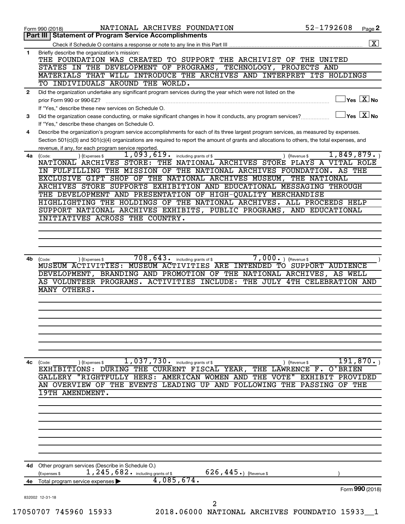| $\mathbf{1}$ | Briefly describe the organization's mission:<br>THE FOUNDATION WAS CREATED TO SUPPORT THE ARCHIVIST OF THE UNITED                                                                                                                                                                                                      |
|--------------|------------------------------------------------------------------------------------------------------------------------------------------------------------------------------------------------------------------------------------------------------------------------------------------------------------------------|
|              | STATES IN THE DEVELOPMENT OF PROGRAMS, TECHNOLOGY, PROJECTS AND                                                                                                                                                                                                                                                        |
|              | MATERIALS THAT WILL INTRODUCE THE ARCHIVES AND INTERPRET ITS HOLDINGS                                                                                                                                                                                                                                                  |
|              | TO INDIVIDUALS AROUND THE WORLD.                                                                                                                                                                                                                                                                                       |
| $\mathbf{2}$ | Did the organization undertake any significant program services during the year which were not listed on the<br>$\sqrt{\mathsf{Yes}\ \mathbb{X}}$ No<br>prior Form 990 or 990-EZ?                                                                                                                                      |
|              | If "Yes," describe these new services on Schedule O.                                                                                                                                                                                                                                                                   |
| 3            | $Yes \ \boxed{X}$ No<br>Did the organization cease conducting, or make significant changes in how it conducts, any program services?<br>If "Yes," describe these changes on Schedule O.                                                                                                                                |
| 4            | Describe the organization's program service accomplishments for each of its three largest program services, as measured by expenses.<br>Section 501(c)(3) and 501(c)(4) organizations are required to report the amount of grants and allocations to others, the total expenses, and                                   |
| 4a           | revenue, if any, for each program service reported.<br>1,093,619.<br>1,849,879.<br>) (Expenses \$<br>including grants of \$<br>) (Revenue \$<br>(Code:<br>NATIONAL ARCHIVES STORE: THE NATIONAL ARCHIVES STORE PLAYS A VITAL ROLE                                                                                      |
|              | IN FULFILLING THE MISSION OF THE NATIONAL ARCHIVES FOUNDATION. AS THE                                                                                                                                                                                                                                                  |
|              | EXCLUSIVE GIFT SHOP OF THE NATIONAL ARCHIVES MUSEUM, THE NATIONAL                                                                                                                                                                                                                                                      |
|              | ARCHIVES STORE SUPPORTS EXHIBITION AND EDUCATIONAL MESSAGING THROUGH                                                                                                                                                                                                                                                   |
|              | THE DEVELOPMENT AND PRESENTATION OF HIGH-QUALITY MERCHANDISE                                                                                                                                                                                                                                                           |
|              | HIGHLIGHTING THE HOLDINGS OF THE NATIONAL ARCHIVES. ALL PROCEEDS HELP                                                                                                                                                                                                                                                  |
|              | SUPPORT NATIONAL ARCHIVES EXHIBITS, PUBLIC PROGRAMS, AND EDUCATIONAL                                                                                                                                                                                                                                                   |
|              | INITIATIVES ACROSS THE COUNTRY.                                                                                                                                                                                                                                                                                        |
|              |                                                                                                                                                                                                                                                                                                                        |
|              |                                                                                                                                                                                                                                                                                                                        |
|              |                                                                                                                                                                                                                                                                                                                        |
|              |                                                                                                                                                                                                                                                                                                                        |
| 4b           | 708,643.<br>7,000.<br>) (Revenue \$<br>including grants of \$<br>) (Expenses \$<br>(Code:<br>MUSEUM ACTIVITIES: MUSEUM ACTIVITIES ARE INTENDED TO SUPPORT AUDIENCE<br>DEVELOPMENT, BRANDING AND PROMOTION OF THE NATIONAL ARCHIVES, AS WELL<br>AS VOLUNTEER PROGRAMS. ACTIVITIES INCLUDE: THE JULY 4TH CELEBRATION AND |
|              | MANY OTHERS.                                                                                                                                                                                                                                                                                                           |
|              |                                                                                                                                                                                                                                                                                                                        |
|              |                                                                                                                                                                                                                                                                                                                        |
|              |                                                                                                                                                                                                                                                                                                                        |
|              |                                                                                                                                                                                                                                                                                                                        |
|              |                                                                                                                                                                                                                                                                                                                        |
|              |                                                                                                                                                                                                                                                                                                                        |
|              |                                                                                                                                                                                                                                                                                                                        |
|              |                                                                                                                                                                                                                                                                                                                        |
|              |                                                                                                                                                                                                                                                                                                                        |
|              | ) (Expenses \$<br>) (Revenue \$<br>(Code:                                                                                                                                                                                                                                                                              |
|              | 191,870.<br>1,037,730. including grants of \$<br>EXHIBITIONS: DURING THE CURRENT FISCAL YEAR, THE LAWRENCE F. O'BRIEN                                                                                                                                                                                                  |
|              | "RIGHTFULLY HERS: AMERICAN WOMEN AND THE VOTE"<br><b>EXHIBIT</b><br>GALLERY                                                                                                                                                                                                                                            |
|              | AN OVERVIEW OF THE EVENTS LEADING UP AND FOLLOWING THE PASSING OF THE                                                                                                                                                                                                                                                  |
|              | 19TH AMENDMENT.                                                                                                                                                                                                                                                                                                        |
|              |                                                                                                                                                                                                                                                                                                                        |
|              |                                                                                                                                                                                                                                                                                                                        |
|              |                                                                                                                                                                                                                                                                                                                        |
|              |                                                                                                                                                                                                                                                                                                                        |
|              |                                                                                                                                                                                                                                                                                                                        |
|              |                                                                                                                                                                                                                                                                                                                        |
|              |                                                                                                                                                                                                                                                                                                                        |
|              | Other program services (Describe in Schedule O.)                                                                                                                                                                                                                                                                       |
|              | 626, 445.) (Revenue \$<br>$1,245,682$ and including grants of \$<br>(Expenses \$                                                                                                                                                                                                                                       |
| 4c<br>4d     | PROVIDED<br>4,085,674.<br>4e Total program service expenses                                                                                                                                                                                                                                                            |
|              | Form 990 (2018)<br>832002 12-31-18                                                                                                                                                                                                                                                                                     |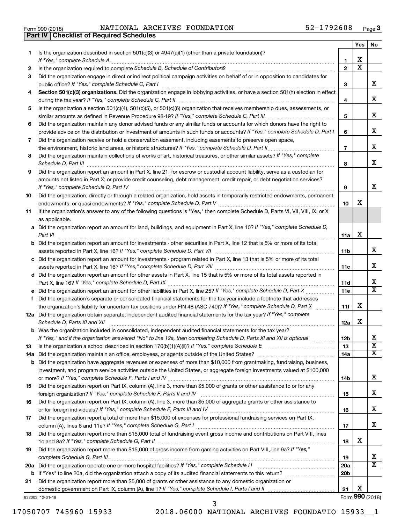|  | Form 990 (2018) |  |
|--|-----------------|--|
|  |                 |  |

Form 990 (2018) Page NATIONAL ARCHIVES FOUNDATION 52-1792608 **Part IV Checklist of Required Schedules**

|    |                                                                                                                                                                                                                                                           |                 | Yes                   | No.                   |
|----|-----------------------------------------------------------------------------------------------------------------------------------------------------------------------------------------------------------------------------------------------------------|-----------------|-----------------------|-----------------------|
| 1  | Is the organization described in section 501(c)(3) or 4947(a)(1) (other than a private foundation)?                                                                                                                                                       |                 |                       |                       |
|    | If "Yes," complete Schedule A                                                                                                                                                                                                                             | 1               | х                     |                       |
| 2  |                                                                                                                                                                                                                                                           | $\mathbf{2}$    | $\overline{\text{x}}$ |                       |
| 3  | Did the organization engage in direct or indirect political campaign activities on behalf of or in opposition to candidates for                                                                                                                           |                 |                       |                       |
|    | public office? If "Yes," complete Schedule C, Part I                                                                                                                                                                                                      | з               |                       | х                     |
| 4  | Section 501(c)(3) organizations. Did the organization engage in lobbying activities, or have a section 501(h) election in effect                                                                                                                          |                 |                       |                       |
|    |                                                                                                                                                                                                                                                           | 4               |                       | x                     |
| 5  | Is the organization a section 501(c)(4), 501(c)(5), or 501(c)(6) organization that receives membership dues, assessments, or                                                                                                                              |                 |                       | х                     |
|    |                                                                                                                                                                                                                                                           | 5               |                       |                       |
| 6  | Did the organization maintain any donor advised funds or any similar funds or accounts for which donors have the right to<br>provide advice on the distribution or investment of amounts in such funds or accounts? If "Yes," complete Schedule D, Part I | 6               |                       | х                     |
| 7  | Did the organization receive or hold a conservation easement, including easements to preserve open space,                                                                                                                                                 |                 |                       |                       |
|    | the environment, historic land areas, or historic structures? If "Yes," complete Schedule D, Part II                                                                                                                                                      | $\overline{7}$  |                       | x                     |
| 8  | Did the organization maintain collections of works of art, historical treasures, or other similar assets? If "Yes," complete                                                                                                                              |                 |                       |                       |
|    |                                                                                                                                                                                                                                                           | 8               |                       | x                     |
| 9  | Did the organization report an amount in Part X, line 21, for escrow or custodial account liability, serve as a custodian for                                                                                                                             |                 |                       |                       |
|    | amounts not listed in Part X; or provide credit counseling, debt management, credit repair, or debt negotiation services?                                                                                                                                 |                 |                       |                       |
|    | If "Yes," complete Schedule D, Part IV                                                                                                                                                                                                                    | 9               |                       | x                     |
| 10 | Did the organization, directly or through a related organization, hold assets in temporarily restricted endowments, permanent                                                                                                                             |                 |                       |                       |
|    |                                                                                                                                                                                                                                                           | 10              | x                     |                       |
| 11 | If the organization's answer to any of the following questions is "Yes," then complete Schedule D, Parts VI, VII, VIII, IX, or X                                                                                                                          |                 |                       |                       |
|    | as applicable.                                                                                                                                                                                                                                            |                 |                       |                       |
|    | a Did the organization report an amount for land, buildings, and equipment in Part X, line 10? If "Yes," complete Schedule D,                                                                                                                             |                 |                       |                       |
|    |                                                                                                                                                                                                                                                           | 11a             | х                     |                       |
|    | <b>b</b> Did the organization report an amount for investments - other securities in Part X, line 12 that is 5% or more of its total                                                                                                                      |                 |                       |                       |
|    |                                                                                                                                                                                                                                                           | 11b             |                       | х                     |
|    | c Did the organization report an amount for investments - program related in Part X, line 13 that is 5% or more of its total                                                                                                                              |                 |                       |                       |
|    |                                                                                                                                                                                                                                                           | 11c             |                       | х                     |
|    | d Did the organization report an amount for other assets in Part X, line 15 that is 5% or more of its total assets reported in                                                                                                                            |                 |                       |                       |
|    |                                                                                                                                                                                                                                                           | 11d             |                       | x                     |
|    |                                                                                                                                                                                                                                                           | 11e             |                       | X                     |
| f  | Did the organization's separate or consolidated financial statements for the tax year include a footnote that addresses                                                                                                                                   |                 |                       |                       |
|    | the organization's liability for uncertain tax positions under FIN 48 (ASC 740)? If "Yes," complete Schedule D, Part X                                                                                                                                    | 11f             | х                     |                       |
|    | 12a Did the organization obtain separate, independent audited financial statements for the tax year? If "Yes," complete                                                                                                                                   |                 | x                     |                       |
|    | Schedule D, Parts XI and XII                                                                                                                                                                                                                              | 12a             |                       |                       |
|    | b Was the organization included in consolidated, independent audited financial statements for the tax year?<br>If "Yes," and if the organization answered "No" to line 12a, then completing Schedule D, Parts XI and XII is optional <i>www</i>           | 12 <sub>b</sub> |                       | х                     |
|    |                                                                                                                                                                                                                                                           | 13              |                       | $\overline{\text{x}}$ |
| 13 |                                                                                                                                                                                                                                                           | 14a             |                       | x                     |
|    | <b>b</b> Did the organization have aggregate revenues or expenses of more than \$10,000 from grantmaking, fundraising, business,                                                                                                                          |                 |                       |                       |
|    | investment, and program service activities outside the United States, or aggregate foreign investments valued at \$100,000                                                                                                                                |                 |                       |                       |
|    |                                                                                                                                                                                                                                                           | 14b             |                       | x                     |
| 15 | Did the organization report on Part IX, column (A), line 3, more than \$5,000 of grants or other assistance to or for any                                                                                                                                 |                 |                       |                       |
|    |                                                                                                                                                                                                                                                           | 15              |                       | x                     |
| 16 | Did the organization report on Part IX, column (A), line 3, more than \$5,000 of aggregate grants or other assistance to                                                                                                                                  |                 |                       |                       |
|    |                                                                                                                                                                                                                                                           | 16              |                       | x                     |
| 17 | Did the organization report a total of more than \$15,000 of expenses for professional fundraising services on Part IX,                                                                                                                                   |                 |                       |                       |
|    |                                                                                                                                                                                                                                                           | 17              |                       | x                     |
| 18 | Did the organization report more than \$15,000 total of fundraising event gross income and contributions on Part VIII, lines                                                                                                                              |                 |                       |                       |
|    |                                                                                                                                                                                                                                                           | 18              | х                     |                       |
| 19 | Did the organization report more than \$15,000 of gross income from gaming activities on Part VIII, line 9a? If "Yes,"                                                                                                                                    |                 |                       |                       |
|    |                                                                                                                                                                                                                                                           | 19              |                       | X.                    |
|    | 20a Did the organization operate one or more hospital facilities? If "Yes," complete Schedule H                                                                                                                                                           | 20a             |                       | х                     |
|    |                                                                                                                                                                                                                                                           | 20 <sub>b</sub> |                       |                       |
| 21 | Did the organization report more than \$5,000 of grants or other assistance to any domestic organization or                                                                                                                                               |                 |                       |                       |
|    |                                                                                                                                                                                                                                                           | 21              | х                     |                       |
|    | 332003 12-31-18                                                                                                                                                                                                                                           |                 |                       | Form 990 (2018)       |

832003 12-31-18

17050707 745960 15933 2018.06000 NATIONAL ARCHIVES FOUNDATIO 15933\_\_1

3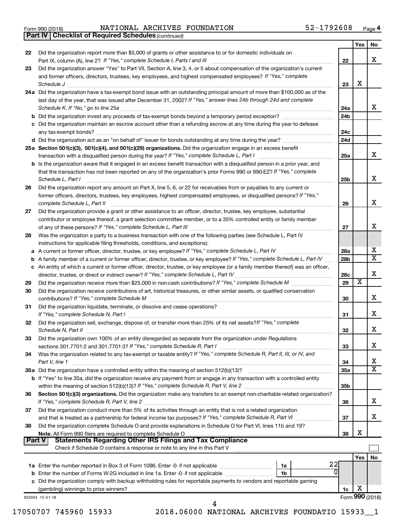|  | Form 990 (2018) |  |
|--|-----------------|--|
|  |                 |  |

*(continued)* **Part IV Checklist of Required Schedules**

|    |                                                                                                                                                                                                                                                                                    |                 | Yes                     | <b>No</b>               |
|----|------------------------------------------------------------------------------------------------------------------------------------------------------------------------------------------------------------------------------------------------------------------------------------|-----------------|-------------------------|-------------------------|
| 22 | Did the organization report more than \$5,000 of grants or other assistance to or for domestic individuals on                                                                                                                                                                      | 22              |                         | x                       |
| 23 | Did the organization answer "Yes" to Part VII, Section A, line 3, 4, or 5 about compensation of the organization's current                                                                                                                                                         |                 |                         |                         |
|    | and former officers, directors, trustees, key employees, and highest compensated employees? If "Yes," complete<br>Schedule J <b>Execute Schedule J Execute Schedule J</b>                                                                                                          | 23              | X                       |                         |
|    | 24a Did the organization have a tax-exempt bond issue with an outstanding principal amount of more than \$100,000 as of the<br>last day of the year, that was issued after December 31, 2002? If "Yes," answer lines 24b through 24d and complete                                  | 24a             |                         | x                       |
|    |                                                                                                                                                                                                                                                                                    | 24 <sub>b</sub> |                         |                         |
|    | c Did the organization maintain an escrow account other than a refunding escrow at any time during the year to defease                                                                                                                                                             | 24с             |                         |                         |
|    |                                                                                                                                                                                                                                                                                    | 24d             |                         |                         |
|    | 25a Section 501(c)(3), 501(c)(4), and 501(c)(29) organizations. Did the organization engage in an excess benefit                                                                                                                                                                   | 25a             |                         | x                       |
|    | <b>b</b> Is the organization aware that it engaged in an excess benefit transaction with a disqualified person in a prior year, and<br>that the transaction has not been reported on any of the organization's prior Forms 990 or 990-EZ? If "Yes," complete<br>Schedule L, Part I | 25b             |                         | x                       |
| 26 | Did the organization report any amount on Part X, line 5, 6, or 22 for receivables from or payables to any current or                                                                                                                                                              |                 |                         |                         |
|    | former officers, directors, trustees, key employees, highest compensated employees, or disqualified persons? If "Yes,"<br>complete Schedule L, Part II                                                                                                                             | 26              |                         | x                       |
| 27 | Did the organization provide a grant or other assistance to an officer, director, trustee, key employee, substantial<br>contributor or employee thereof, a grant selection committee member, or to a 35% controlled entity or family member                                        | 27              |                         | x                       |
| 28 | Was the organization a party to a business transaction with one of the following parties (see Schedule L, Part IV<br>instructions for applicable filing thresholds, conditions, and exceptions):                                                                                   |                 |                         |                         |
|    | a A current or former officer, director, trustee, or key employee? If "Yes," complete Schedule L, Part IV                                                                                                                                                                          | 28a             |                         | x                       |
|    | <b>b</b> A family member of a current or former officer, director, trustee, or key employee? If "Yes," complete Schedule L, Part IV                                                                                                                                                | 28b             |                         | $\overline{\mathbf{X}}$ |
|    | c An entity of which a current or former officer, director, trustee, or key employee (or a family member thereof) was an officer,                                                                                                                                                  | 28c             |                         | x                       |
| 29 |                                                                                                                                                                                                                                                                                    | 29              | $\overline{\mathbf{X}}$ |                         |
| 30 | Did the organization receive contributions of art, historical treasures, or other similar assets, or qualified conservation                                                                                                                                                        | 30              |                         | x                       |
| 31 | Did the organization liquidate, terminate, or dissolve and cease operations?<br>If "Yes," complete Schedule N, Part I                                                                                                                                                              | 31              |                         | X                       |
| 32 | Did the organization sell, exchange, dispose of, or transfer more than 25% of its net assets? If "Yes," complete<br>Schedule N, Part II                                                                                                                                            | 32              |                         | х                       |
| 33 | Did the organization own 100% of an entity disregarded as separate from the organization under Regulations<br>sections 301.7701-2 and 301.7701-3? If "Yes," complete Schedule R, Part I                                                                                            | 33              |                         | x                       |
| 34 | Was the organization related to any tax-exempt or taxable entity? If "Yes," complete Schedule R, Part II, III, or IV, and<br>Part V, line 1                                                                                                                                        | 34              |                         | х                       |
|    | 35a Did the organization have a controlled entity within the meaning of section 512(b)(13)?                                                                                                                                                                                        | 35a             |                         | $\overline{\textbf{x}}$ |
|    | <b>b</b> If "Yes" to line 35a, did the organization receive any payment from or engage in any transaction with a controlled entity                                                                                                                                                 | 35b             |                         |                         |
| 36 | Section 501(c)(3) organizations. Did the organization make any transfers to an exempt non-charitable related organization?                                                                                                                                                         |                 |                         |                         |
| 37 | Did the organization conduct more than 5% of its activities through an entity that is not a related organization                                                                                                                                                                   | 36              |                         | х                       |
| 38 | Did the organization complete Schedule O and provide explanations in Schedule O for Part VI, lines 11b and 19?                                                                                                                                                                     | 37              |                         | x                       |
|    | Part V                                                                                                                                                                                                                                                                             | 38              | х                       |                         |
|    | Check if Schedule O contains a response or note to any line in this Part V                                                                                                                                                                                                         |                 |                         | No                      |
|    | 22<br>1a<br>0                                                                                                                                                                                                                                                                      |                 | Yes l                   |                         |
|    | 1b<br>c Did the organization comply with backup withholding rules for reportable payments to vendors and reportable gaming                                                                                                                                                         |                 |                         |                         |
|    |                                                                                                                                                                                                                                                                                    | 1c              | х<br>Form 990 (2018)    |                         |
|    | 832004 12-31-18                                                                                                                                                                                                                                                                    |                 |                         |                         |
|    | 17050707 745960 15933<br>2018.06000 NATIONAL ARCHIVES FOUNDATIO 15933                                                                                                                                                                                                              |                 |                         |                         |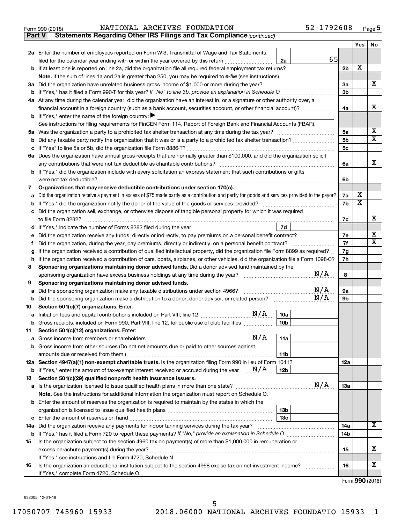|  | Form 990 (2018) |  |
|--|-----------------|--|
|  |                 |  |

**Part V** Statements Regarding Other IRS Filings and Tax Compliance (continued)

|    |                                                                                                                                                                                                       |     | Yes                     | No                           |
|----|-------------------------------------------------------------------------------------------------------------------------------------------------------------------------------------------------------|-----|-------------------------|------------------------------|
|    | 2a Enter the number of employees reported on Form W-3, Transmittal of Wage and Tax Statements,                                                                                                        |     |                         |                              |
|    | 65<br>filed for the calendar year ending with or within the year covered by this return<br>2a                                                                                                         |     |                         |                              |
|    |                                                                                                                                                                                                       | 2b  | X                       |                              |
|    |                                                                                                                                                                                                       |     |                         |                              |
|    | 3a Did the organization have unrelated business gross income of \$1,000 or more during the year?                                                                                                      | За  |                         | х                            |
|    |                                                                                                                                                                                                       | 3b  |                         |                              |
|    | 4a At any time during the calendar year, did the organization have an interest in, or a signature or other authority over, a                                                                          |     |                         |                              |
|    | financial account in a foreign country (such as a bank account, securities account, or other financial account)?                                                                                      | 4a  |                         | х                            |
|    | <b>b</b> If "Yes," enter the name of the foreign country: $\blacktriangleright$                                                                                                                       |     |                         |                              |
|    | See instructions for filing requirements for FinCEN Form 114, Report of Foreign Bank and Financial Accounts (FBAR).                                                                                   |     |                         |                              |
| 5а |                                                                                                                                                                                                       | 5a  |                         | х<br>$\overline{\textbf{x}}$ |
|    |                                                                                                                                                                                                       | 5b  |                         |                              |
| с  |                                                                                                                                                                                                       | 5с  |                         |                              |
|    | 6a Does the organization have annual gross receipts that are normally greater than \$100,000, and did the organization solicit                                                                        |     |                         | х                            |
|    | any contributions that were not tax deductible as charitable contributions?<br>b If "Yes," did the organization include with every solicitation an express statement that such contributions or gifts | 6a  |                         |                              |
|    | were not tax deductible?                                                                                                                                                                              | 6b  |                         |                              |
| 7  | Organizations that may receive deductible contributions under section 170(c).                                                                                                                         |     |                         |                              |
|    | Did the organization receive a payment in excess of \$75 made partly as a contribution and partly for goods and services provided to the payor?                                                       | 7a  | х                       |                              |
|    |                                                                                                                                                                                                       | 7b  | $\overline{\textbf{x}}$ |                              |
|    | Did the organization sell, exchange, or otherwise dispose of tangible personal property for which it was required                                                                                     |     |                         |                              |
|    |                                                                                                                                                                                                       | 7c  |                         | х                            |
|    | 7d                                                                                                                                                                                                    |     |                         |                              |
|    | Did the organization receive any funds, directly or indirectly, to pay premiums on a personal benefit contract?                                                                                       | 7e  |                         | х                            |
| t  | Did the organization, during the year, pay premiums, directly or indirectly, on a personal benefit contract?                                                                                          | 7f  |                         | $\overline{\mathbf{X}}$      |
|    | If the organization received a contribution of qualified intellectual property, did the organization file Form 8899 as required?                                                                      | 7g  |                         |                              |
| h  | If the organization received a contribution of cars, boats, airplanes, or other vehicles, did the organization file a Form 1098-C?                                                                    | 7h  |                         |                              |
| 8  | Sponsoring organizations maintaining donor advised funds. Did a donor advised fund maintained by the                                                                                                  |     |                         |                              |
|    | N/A<br>sponsoring organization have excess business holdings at any time during the year?                                                                                                             | 8   |                         |                              |
| 9  | Sponsoring organizations maintaining donor advised funds.                                                                                                                                             |     |                         |                              |
| а  | N/A<br>Did the sponsoring organization make any taxable distributions under section 4966?                                                                                                             | 9а  |                         |                              |
| b  | N/A                                                                                                                                                                                                   | 9b  |                         |                              |
| 10 | Section 501(c)(7) organizations. Enter:                                                                                                                                                               |     |                         |                              |
| а  | 10a                                                                                                                                                                                                   |     |                         |                              |
|    | 10 <sub>b</sub><br><b>b</b> Gross receipts, included on Form 990, Part VIII, line 12, for public use of club facilities <i>manamerous</i>                                                             |     |                         |                              |
| 11 | Section 501(c)(12) organizations. Enter:<br>$N/A$   11a                                                                                                                                               |     |                         |                              |
|    |                                                                                                                                                                                                       |     |                         |                              |
|    | <b>b</b> Gross income from other sources (Do not net amounts due or paid to other sources against<br>11 <sub>b</sub>                                                                                  |     |                         |                              |
|    | 12a Section 4947(a)(1) non-exempt charitable trusts. Is the organization filing Form 990 in lieu of Form 1041?                                                                                        | 12a |                         |                              |
|    | <b>b</b> If "Yes," enter the amount of tax-exempt interest received or accrued during the year $\ldots$ $\mathbf{N}/\mathbf{A}$ .<br>12b                                                              |     |                         |                              |
| 13 | Section 501(c)(29) qualified nonprofit health insurance issuers.                                                                                                                                      |     |                         |                              |
|    | N/A                                                                                                                                                                                                   | 13a |                         |                              |
|    | Note. See the instructions for additional information the organization must report on Schedule O.                                                                                                     |     |                         |                              |
|    | <b>b</b> Enter the amount of reserves the organization is required to maintain by the states in which the                                                                                             |     |                         |                              |
|    | 13 <sub>b</sub>                                                                                                                                                                                       |     |                         |                              |
|    | 13с                                                                                                                                                                                                   |     |                         |                              |
|    | 14a Did the organization receive any payments for indoor tanning services during the tax year?                                                                                                        | 14a |                         | x                            |
|    |                                                                                                                                                                                                       | 14b |                         |                              |
| 15 | Is the organization subject to the section 4960 tax on payment(s) of more than \$1,000,000 in remuneration or                                                                                         |     |                         |                              |
|    |                                                                                                                                                                                                       | 15  |                         | х                            |
|    | If "Yes," see instructions and file Form 4720, Schedule N.                                                                                                                                            |     |                         |                              |
| 16 | Is the organization an educational institution subject to the section 4968 excise tax on net investment income?                                                                                       | 16  |                         | x                            |
|    | If "Yes," complete Form 4720, Schedule O.                                                                                                                                                             |     |                         |                              |

Form (2018) **990**

832005 12-31-18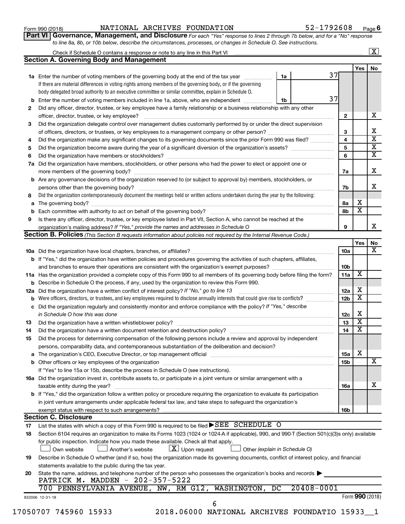| Form 990 (2018) |  |
|-----------------|--|
|-----------------|--|

**Part VI** Governance, Management, and Disclosure For each "Yes" response to lines 2 through 7b below, and for a "No" response *to line 8a, 8b, or 10b below, describe the circumstances, processes, or changes in Schedule O. See instructions.*

|     |                                                                                                                                                                                                                                |    |                |    |                 |                         | $\overline{\mathbf{x}}$ |
|-----|--------------------------------------------------------------------------------------------------------------------------------------------------------------------------------------------------------------------------------|----|----------------|----|-----------------|-------------------------|-------------------------|
|     | <b>Section A. Governing Body and Management</b>                                                                                                                                                                                |    |                |    |                 |                         |                         |
|     |                                                                                                                                                                                                                                |    |                |    |                 | Yes                     | No                      |
|     | 1a Enter the number of voting members of the governing body at the end of the tax year                                                                                                                                         | 1a |                | 37 |                 |                         |                         |
|     | If there are material differences in voting rights among members of the governing body, or if the governing                                                                                                                    |    |                |    |                 |                         |                         |
|     | body delegated broad authority to an executive committee or similar committee, explain in Schedule O.                                                                                                                          |    |                |    |                 |                         |                         |
| b   | Enter the number of voting members included in line 1a, above, who are independent                                                                                                                                             | 1b |                | 37 |                 |                         |                         |
| 2   | Did any officer, director, trustee, or key employee have a family relationship or a business relationship with any other                                                                                                       |    |                |    |                 |                         |                         |
|     |                                                                                                                                                                                                                                |    |                |    | $\mathbf{2}$    |                         |                         |
| 3   | Did the organization delegate control over management duties customarily performed by or under the direct supervision                                                                                                          |    |                |    |                 |                         |                         |
|     |                                                                                                                                                                                                                                |    |                |    | 3               |                         |                         |
| 4   | Did the organization make any significant changes to its governing documents since the prior Form 990 was filed?                                                                                                               |    |                |    | $\overline{4}$  |                         |                         |
| 5   |                                                                                                                                                                                                                                |    |                |    | 5               |                         |                         |
| 6   |                                                                                                                                                                                                                                |    |                |    | 6               |                         |                         |
| 7a  | Did the organization have members, stockholders, or other persons who had the power to elect or appoint one or                                                                                                                 |    |                |    |                 |                         |                         |
|     |                                                                                                                                                                                                                                |    |                |    | 7а              |                         |                         |
| b   | Are any governance decisions of the organization reserved to (or subject to approval by) members, stockholders, or                                                                                                             |    |                |    |                 |                         |                         |
|     |                                                                                                                                                                                                                                |    |                |    | 7b              |                         |                         |
| 8   | Did the organization contemporaneously document the meetings held or written actions undertaken during the year by the following:                                                                                              |    |                |    |                 |                         |                         |
| а   |                                                                                                                                                                                                                                |    |                |    | 8а              | х                       |                         |
| b   |                                                                                                                                                                                                                                |    |                |    | 8b              | $\overline{\textbf{x}}$ |                         |
| 9   | Is there any officer, director, trustee, or key employee listed in Part VII, Section A, who cannot be reached at the                                                                                                           |    |                |    |                 |                         |                         |
|     |                                                                                                                                                                                                                                |    |                |    | 9               |                         |                         |
|     | Section B. Policies (This Section B requests information about policies not required by the Internal Revenue Code.)                                                                                                            |    |                |    |                 |                         |                         |
|     |                                                                                                                                                                                                                                |    |                |    |                 | Yes                     |                         |
|     |                                                                                                                                                                                                                                |    |                |    | 10a             |                         |                         |
|     | <b>b</b> If "Yes," did the organization have written policies and procedures governing the activities of such chapters, affiliates,                                                                                            |    |                |    |                 |                         |                         |
|     |                                                                                                                                                                                                                                |    |                |    | 10 <sub>b</sub> |                         |                         |
|     | 11a Has the organization provided a complete copy of this Form 990 to all members of its governing body before filing the form?                                                                                                |    |                |    | 11a             | X                       |                         |
|     | Describe in Schedule O the process, if any, used by the organization to review this Form 990.                                                                                                                                  |    |                |    |                 |                         |                         |
| 12a | Did the organization have a written conflict of interest policy? If "No," go to line 13                                                                                                                                        |    |                |    | 12a             | х                       |                         |
|     | Were officers, directors, or trustees, and key employees required to disclose annually interests that could give rise to conflicts?                                                                                            |    |                |    | 12 <sub>b</sub> | $\overline{\textbf{x}}$ |                         |
| с   | Did the organization regularly and consistently monitor and enforce compliance with the policy? If "Yes," describe                                                                                                             |    |                |    |                 |                         |                         |
|     |                                                                                                                                                                                                                                |    |                |    | 12c             | х                       |                         |
| 13  |                                                                                                                                                                                                                                |    |                |    | 13              | $\overline{\textbf{x}}$ |                         |
| 14  |                                                                                                                                                                                                                                |    |                |    | 14              | $\overline{\textbf{x}}$ |                         |
| 15  | Did the process for determining compensation of the following persons include a review and approval by independent                                                                                                             |    |                |    |                 |                         |                         |
|     | persons, comparability data, and contemporaneous substantiation of the deliberation and decision?                                                                                                                              |    |                |    |                 |                         |                         |
| а   | The organization's CEO, Executive Director, or top management official manufactured content of the organization's CEO, Executive Director, or top management official manufactured content of the organization's CEO, Executiv |    |                |    | 15a             | х                       |                         |
|     |                                                                                                                                                                                                                                |    |                |    | 15b             |                         |                         |
|     | If "Yes" to line 15a or 15b, describe the process in Schedule O (see instructions).                                                                                                                                            |    |                |    |                 |                         |                         |
|     |                                                                                                                                                                                                                                |    |                |    |                 |                         |                         |
|     | 16a Did the organization invest in, contribute assets to, or participate in a joint venture or similar arrangement with a                                                                                                      |    |                |    |                 |                         |                         |
|     | taxable entity during the year?<br>b If "Yes," did the organization follow a written policy or procedure requiring the organization to evaluate its participation                                                              |    |                |    | 16a             |                         |                         |
|     |                                                                                                                                                                                                                                |    |                |    |                 |                         |                         |
|     | in joint venture arrangements under applicable federal tax law, and take steps to safeguard the organization's                                                                                                                 |    |                |    |                 |                         |                         |
|     | exempt status with respect to such arrangements?<br><b>Section C. Disclosure</b>                                                                                                                                               |    |                |    | <b>16b</b>      |                         |                         |
| 17  | List the states with which a copy of this Form 990 is required to be filed ▶SEE SCHEDULE O                                                                                                                                     |    |                |    |                 |                         |                         |
| 18  | Section 6104 requires an organization to make its Forms 1023 (1024 or 1024 A if applicable), 990, and 990-T (Section 501(c)(3)s only) available                                                                                |    |                |    |                 |                         |                         |
|     | for public inspection. Indicate how you made these available. Check all that apply.                                                                                                                                            |    |                |    |                 |                         |                         |
|     | $\lfloor \underline{X} \rfloor$ Upon request<br>Own website<br>Another's website<br>Other (explain in Schedule O)                                                                                                              |    |                |    |                 |                         |                         |
|     |                                                                                                                                                                                                                                |    |                |    |                 |                         |                         |
| 19  | Describe in Schedule O whether (and if so, how) the organization made its governing documents, conflict of interest policy, and financial                                                                                      |    |                |    |                 |                         |                         |
|     | statements available to the public during the tax year.                                                                                                                                                                        |    |                |    |                 |                         |                         |
| 20  | State the name, address, and telephone number of the person who possesses the organization's books and records<br>PATRICK M. MADDEN - 202-357-5222                                                                             |    |                |    |                 |                         |                         |
|     | 700 PENNSYLVANIA AVENUE, NW, RM G12, WASHINGTON, DC                                                                                                                                                                            |    | $20408 - 0001$ |    |                 |                         |                         |
|     | 832006 12-31-18                                                                                                                                                                                                                |    |                |    |                 | Form 990 (2018)         |                         |
|     | 6                                                                                                                                                                                                                              |    |                |    |                 |                         |                         |
|     | 17050707 745960 15933<br>2018.06000 NATIONAL ARCHIVES FOUNDATIO 15933 1                                                                                                                                                        |    |                |    |                 |                         |                         |
|     |                                                                                                                                                                                                                                |    |                |    |                 |                         |                         |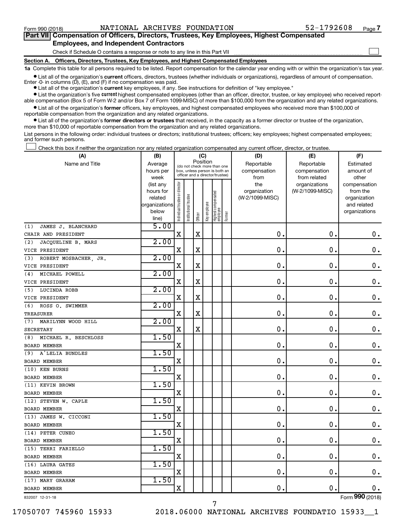$\Box$ 

| Part VII Compensation of Officers, Directors, Trustees, Key Employees, Highest Compensated |  |  |  |  |
|--------------------------------------------------------------------------------------------|--|--|--|--|
| <b>Employees, and Independent Contractors</b>                                              |  |  |  |  |

Check if Schedule O contains a response or note to any line in this Part VII

**Section A. Officers, Directors, Trustees, Key Employees, and Highest Compensated Employees**

**1a**  Complete this table for all persons required to be listed. Report compensation for the calendar year ending with or within the organization's tax year.

 $\bullet$  List all of the organization's current officers, directors, trustees (whether individuals or organizations), regardless of amount of compensation. Enter -0- in columns  $(D)$ ,  $(E)$ , and  $(F)$  if no compensation was paid.

**•** List all of the organization's **current** key employees, if any. See instructions for definition of "key employee."

**•** List the organization's five current highest compensated employees (other than an officer, director, trustee, or key employee) who received reportable compensation (Box 5 of Form W-2 and/or Box 7 of Form 1099-MISC) of more than \$100,000 from the organization and any related organizations.

**•** List all of the organization's former officers, key employees, and highest compensated employees who received more than \$100,000 of reportable compensation from the organization and any related organizations.

**•** List all of the organization's former directors or trustees that received, in the capacity as a former director or trustee of the organization, more than \$10,000 of reportable compensation from the organization and any related organizations.

List persons in the following order: individual trustees or directors; institutional trustees; officers; key employees; highest compensated employees; and former such persons.

Check this box if neither the organization nor any related organization compensated any current officer, director, or trustee.  $\Box$ 

| (A)                          | (B)                    |                                |                                                                  | (C)         |              |                                   |        | (D)                 | (E)                              | (F)                      |
|------------------------------|------------------------|--------------------------------|------------------------------------------------------------------|-------------|--------------|-----------------------------------|--------|---------------------|----------------------------------|--------------------------|
| Name and Title               | Average                |                                | (do not check more than one                                      |             | Position     |                                   |        | Reportable          | Reportable                       | Estimated                |
|                              | hours per              |                                | box, unless person is both an<br>officer and a director/trustee) |             |              |                                   |        | compensation        | compensation                     | amount of                |
|                              | week                   |                                |                                                                  |             |              |                                   |        | from                | from related                     | other                    |
|                              | (list any<br>hours for | Individual trustee or director |                                                                  |             |              |                                   |        | the<br>organization | organizations<br>(W-2/1099-MISC) | compensation<br>from the |
|                              | related                |                                |                                                                  |             |              |                                   |        | (W-2/1099-MISC)     |                                  | organization             |
|                              | organizations          |                                | Institutional trustee                                            |             |              |                                   |        |                     |                                  | and related              |
|                              | below                  |                                |                                                                  |             | Key employee |                                   |        |                     |                                  | organizations            |
|                              | line)                  |                                |                                                                  | Officer     |              | Highest compensated<br>  employee | Former |                     |                                  |                          |
| JAMES J. BLANCHARD<br>(1)    | 5.00                   |                                |                                                                  |             |              |                                   |        |                     |                                  |                          |
| CHAIR AND PRESIDENT          |                        | $\mathbf X$                    |                                                                  | X           |              |                                   |        | 0.                  | $\mathbf 0$ .                    | 0.                       |
| JACQUELINE B. MARS<br>(2)    | 2.00                   |                                |                                                                  |             |              |                                   |        |                     |                                  |                          |
| VICE PRESIDENT               |                        | $\mathbf X$                    |                                                                  | $\mathbf X$ |              |                                   |        | $\mathbf 0$ .       | $\mathbf 0$ .                    | $\mathbf 0$ .            |
| ROBERT MOSBACHER, JR.<br>(3) | 2.00                   |                                |                                                                  |             |              |                                   |        |                     |                                  |                          |
| VICE PRESIDENT               |                        | $\mathbf X$                    |                                                                  | X           |              |                                   |        | $\mathbf 0$ .       | 0.                               | $\mathbf 0$ .            |
| MICHAEL POWELL<br>(4)        | 2.00                   |                                |                                                                  |             |              |                                   |        |                     |                                  |                          |
| VICE PRESIDENT               |                        | X                              |                                                                  | X           |              |                                   |        | $\mathbf 0$         | 0.                               | $\mathbf 0$ .            |
| (5)<br>LUCINDA ROBB          | 2.00                   |                                |                                                                  |             |              |                                   |        |                     |                                  |                          |
| VICE PRESIDENT               |                        | X                              |                                                                  | X           |              |                                   |        | 0                   | 0.                               | $\mathbf 0$ .            |
| ROSS O. SWIMMER<br>(6)       | 2.00                   |                                |                                                                  |             |              |                                   |        |                     |                                  |                          |
| <b>TREASURER</b>             |                        | X                              |                                                                  | X           |              |                                   |        | 0                   | 0.                               | $\mathbf 0$ .            |
| MARILYNN WOOD HILL<br>(7)    | 2.00                   |                                |                                                                  |             |              |                                   |        |                     |                                  |                          |
| <b>SECRETARY</b>             |                        | X                              |                                                                  | $\mathbf X$ |              |                                   |        | $\mathbf 0$ .       | $\mathbf 0$                      | $\mathbf 0$ .            |
| MICHAEL R. BESCHLOSS<br>(8)  | 1.50                   |                                |                                                                  |             |              |                                   |        |                     |                                  |                          |
| <b>BOARD MEMBER</b>          |                        | X                              |                                                                  |             |              |                                   |        | $\mathbf 0$ .       | 0.                               | $\mathbf 0$ .            |
| A'LELIA BUNDLES<br>(9)       | 1.50                   |                                |                                                                  |             |              |                                   |        |                     |                                  |                          |
| BOARD MEMBER                 |                        | $\mathbf X$                    |                                                                  |             |              |                                   |        | $\mathbf 0$ .       | $\mathbf 0$ .                    | $\mathbf 0$ .            |
| (10) KEN BURNS               | 1.50                   |                                |                                                                  |             |              |                                   |        |                     |                                  |                          |
| <b>BOARD MEMBER</b>          |                        | X                              |                                                                  |             |              |                                   |        | 0.                  | О.                               | 0.                       |
| (11) KEVIN BROWN             | 1.50                   |                                |                                                                  |             |              |                                   |        |                     |                                  |                          |
| <b>BOARD MEMBER</b>          |                        | $\mathbf X$                    |                                                                  |             |              |                                   |        | $\mathbf 0$         | $\mathbf 0$                      | $\mathbf 0$ .            |
| (12) STEVEN W. CAPLE         | 1.50                   |                                |                                                                  |             |              |                                   |        |                     |                                  |                          |
| <b>BOARD MEMBER</b>          |                        | X                              |                                                                  |             |              |                                   |        | 0                   | $\mathbf 0$ .                    | $\mathbf 0$ .            |
| (13) JAMES W. CICCONI        | 1.50                   |                                |                                                                  |             |              |                                   |        |                     |                                  |                          |
| <b>BOARD MEMBER</b>          |                        | X                              |                                                                  |             |              |                                   |        | 0                   | 0.                               | $\mathbf 0$ .            |
| (14) PETER CUNEO             | 1.50                   |                                |                                                                  |             |              |                                   |        |                     |                                  |                          |
| <b>BOARD MEMBER</b>          |                        | $\mathbf X$                    |                                                                  |             |              |                                   |        | $\mathbf 0$ .       | О.                               | $\mathbf 0$ .            |
| (15) TERRI FARIELLO          | 1.50                   |                                |                                                                  |             |              |                                   |        |                     |                                  |                          |
| <b>BOARD MEMBER</b>          |                        | $\mathbf X$                    |                                                                  |             |              |                                   |        | 0                   | $\mathbf 0$                      | $\mathbf 0$ .            |
| (16) LAURA GATES             | 1.50                   |                                |                                                                  |             |              |                                   |        |                     |                                  |                          |
| <b>BOARD MEMBER</b>          |                        | X                              |                                                                  |             |              |                                   |        | $\mathbf 0$ .       | $\mathbf 0$ .                    | 0.                       |
| (17) MARY GRAHAM             | 1.50                   |                                |                                                                  |             |              |                                   |        |                     |                                  |                          |
| <b>BOARD MEMBER</b>          |                        | $\mathbf X$                    |                                                                  |             |              |                                   |        | 0.                  | $\mathbf 0$                      | 0.                       |
| 832007 12-31-18              |                        |                                |                                                                  |             |              |                                   |        |                     |                                  | Form 990 (2018)          |

17050707 745960 15933 2018.06000 NATIONAL ARCHIVES FOUNDATIO 15933\_\_1

7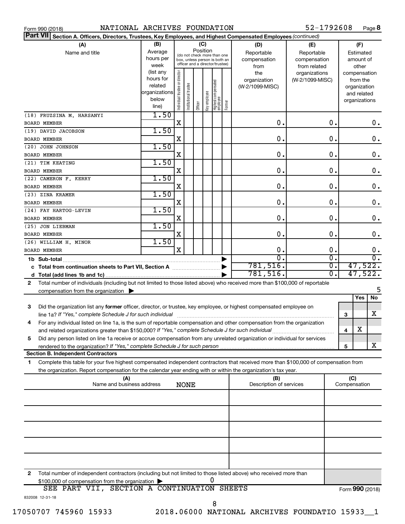| Form 990 (2018) |  |  |
|-----------------|--|--|

52-1792608 Page 8

| Part VII Section A. Officers, Directors, Trustees, Key Employees, and Highest Compensated Employees (continued)                            |                          |                                |                       |         |              |                                                              |        |                         |                  |              |               |                 |
|--------------------------------------------------------------------------------------------------------------------------------------------|--------------------------|--------------------------------|-----------------------|---------|--------------|--------------------------------------------------------------|--------|-------------------------|------------------|--------------|---------------|-----------------|
| (A)                                                                                                                                        | (B)                      |                                |                       |         | (C)          |                                                              |        | (D)                     | (E)              |              | (F)           |                 |
| Name and title                                                                                                                             | Average                  |                                |                       |         | Position     |                                                              |        | Reportable              | Reportable       |              | Estimated     |                 |
|                                                                                                                                            | hours per                |                                |                       |         |              | (do not check more than one<br>box, unless person is both an |        | compensation            | compensation     |              | amount of     |                 |
|                                                                                                                                            | week                     |                                |                       |         |              | officer and a director/trustee)                              |        | from                    | from related     |              | other         |                 |
|                                                                                                                                            | (list any                |                                |                       |         |              |                                                              |        | the                     | organizations    |              | compensation  |                 |
|                                                                                                                                            | hours for                |                                |                       |         |              |                                                              |        | organization            | (W-2/1099-MISC)  |              | from the      |                 |
|                                                                                                                                            | related<br>organizations |                                |                       |         |              |                                                              |        | (W-2/1099-MISC)         |                  |              | organization  |                 |
|                                                                                                                                            | below                    |                                |                       |         |              |                                                              |        |                         |                  |              | and related   |                 |
|                                                                                                                                            | line)                    | Individual trustee or director | Institutional trustee | Officer | Key employee | Highest compensated<br>  employee                            | Former |                         |                  |              | organizations |                 |
| (18) FRUZSINA M. HARSANYI                                                                                                                  | 1.50                     |                                |                       |         |              |                                                              |        |                         |                  |              |               |                 |
| <b>BOARD MEMBER</b>                                                                                                                        |                          | $\mathbf X$                    |                       |         |              |                                                              |        | 0.                      | 0.               |              |               | $0$ .           |
| (19) DAVID JACOBSON                                                                                                                        | 1.50                     |                                |                       |         |              |                                                              |        |                         |                  |              |               |                 |
| <b>BOARD MEMBER</b>                                                                                                                        |                          | X                              |                       |         |              |                                                              |        | 0.                      | 0.               |              |               | 0.              |
| (20) JOHN JOHNSON                                                                                                                          | 1.50                     |                                |                       |         |              |                                                              |        |                         |                  |              |               |                 |
| <b>BOARD MEMBER</b>                                                                                                                        |                          | X                              |                       |         |              |                                                              |        | 0.                      | О.               |              |               | $\mathbf 0$ .   |
| (21) TIM KEATING                                                                                                                           | 1.50                     |                                |                       |         |              |                                                              |        |                         |                  |              |               |                 |
|                                                                                                                                            |                          | X                              |                       |         |              |                                                              |        | $\mathbf 0$ .           | О.               |              |               | $\mathbf 0$ .   |
| <b>BOARD MEMBER</b>                                                                                                                        | 1.50                     |                                |                       |         |              |                                                              |        |                         |                  |              |               |                 |
| (22) CAMERON F. KERRY                                                                                                                      |                          | X                              |                       |         |              |                                                              |        | $\mathbf 0$ .           | О.               |              |               | 0.              |
| <b>BOARD MEMBER</b>                                                                                                                        | 1.50                     |                                |                       |         |              |                                                              |        |                         |                  |              |               |                 |
| (23) ZINA KRAMER                                                                                                                           |                          |                                |                       |         |              |                                                              |        |                         |                  |              |               |                 |
| <b>BOARD MEMBER</b>                                                                                                                        |                          | X                              |                       |         |              |                                                              |        | 0.                      | О.               |              |               | $\mathbf 0$ .   |
| (24) FAY HARTOG-LEVIN                                                                                                                      | 1.50                     |                                |                       |         |              |                                                              |        |                         |                  |              |               |                 |
| <b>BOARD MEMBER</b>                                                                                                                        |                          | X                              |                       |         |              |                                                              |        | 0.                      | О.               |              |               | 0.              |
| (25) JON LIEBMAN                                                                                                                           | 1.50                     |                                |                       |         |              |                                                              |        |                         |                  |              |               |                 |
| <b>BOARD MEMBER</b>                                                                                                                        |                          | X                              |                       |         |              |                                                              |        | 0.                      | О.               |              |               | 0.              |
| (26) WILLIAM H. MINOR                                                                                                                      | 1.50                     |                                |                       |         |              |                                                              |        |                         |                  |              |               |                 |
| <b>BOARD MEMBER</b>                                                                                                                        |                          | $\mathbf x$                    |                       |         |              |                                                              |        | 0.                      | $\mathbf 0$ .    |              |               | 0.              |
|                                                                                                                                            |                          |                                |                       |         |              |                                                              |        | $\overline{0}$          | σ.               |              |               | σ.              |
|                                                                                                                                            |                          |                                |                       |         |              |                                                              |        | 781,516.                | σ.               |              |               | 47,522.         |
|                                                                                                                                            |                          |                                |                       |         |              |                                                              |        | 781,516.                | $\overline{0}$ . |              |               | 47,522.         |
| Total number of individuals (including but not limited to those listed above) who received more than \$100,000 of reportable<br>2          |                          |                                |                       |         |              |                                                              |        |                         |                  |              |               |                 |
| compensation from the organization $\blacktriangleright$                                                                                   |                          |                                |                       |         |              |                                                              |        |                         |                  |              |               | 5               |
|                                                                                                                                            |                          |                                |                       |         |              |                                                              |        |                         |                  |              | Yes           | No              |
| Did the organization list any former officer, director, or trustee, key employee, or highest compensated employee on<br>3                  |                          |                                |                       |         |              |                                                              |        |                         |                  |              |               |                 |
|                                                                                                                                            |                          |                                |                       |         |              |                                                              |        |                         |                  | 3            |               | x               |
| For any individual listed on line 1a, is the sum of reportable compensation and other compensation from the organization<br>4              |                          |                                |                       |         |              |                                                              |        |                         |                  |              |               |                 |
| and related organizations greater than \$150,000? If "Yes," complete Schedule J for such individual                                        |                          |                                |                       |         |              |                                                              |        |                         |                  | 4            | X             |                 |
| Did any person listed on line 1a receive or accrue compensation from any unrelated organization or individual for services<br>5            |                          |                                |                       |         |              |                                                              |        |                         |                  |              |               |                 |
|                                                                                                                                            |                          |                                |                       |         |              |                                                              |        |                         |                  | 5            |               | x               |
| <b>Section B. Independent Contractors</b>                                                                                                  |                          |                                |                       |         |              |                                                              |        |                         |                  |              |               |                 |
| Complete this table for your five highest compensated independent contractors that received more than \$100,000 of compensation from<br>1. |                          |                                |                       |         |              |                                                              |        |                         |                  |              |               |                 |
| the organization. Report compensation for the calendar year ending with or within the organization's tax year.                             |                          |                                |                       |         |              |                                                              |        |                         |                  |              |               |                 |
| (A)                                                                                                                                        |                          |                                |                       |         |              |                                                              |        | (B)                     |                  | (C)          |               |                 |
| Name and business address                                                                                                                  |                          |                                | <b>NONE</b>           |         |              |                                                              |        | Description of services |                  | Compensation |               |                 |
|                                                                                                                                            |                          |                                |                       |         |              |                                                              |        |                         |                  |              |               |                 |
|                                                                                                                                            |                          |                                |                       |         |              |                                                              |        |                         |                  |              |               |                 |
|                                                                                                                                            |                          |                                |                       |         |              |                                                              |        |                         |                  |              |               |                 |
|                                                                                                                                            |                          |                                |                       |         |              |                                                              |        |                         |                  |              |               |                 |
|                                                                                                                                            |                          |                                |                       |         |              |                                                              |        |                         |                  |              |               |                 |
|                                                                                                                                            |                          |                                |                       |         |              |                                                              |        |                         |                  |              |               |                 |
|                                                                                                                                            |                          |                                |                       |         |              |                                                              |        |                         |                  |              |               |                 |
|                                                                                                                                            |                          |                                |                       |         |              |                                                              |        |                         |                  |              |               |                 |
|                                                                                                                                            |                          |                                |                       |         |              |                                                              |        |                         |                  |              |               |                 |
|                                                                                                                                            |                          |                                |                       |         |              |                                                              |        |                         |                  |              |               |                 |
| Total number of independent contractors (including but not limited to those listed above) who received more than<br>2                      |                          |                                |                       |         |              |                                                              |        |                         |                  |              |               |                 |
| \$100,000 of compensation from the organization                                                                                            |                          |                                |                       |         |              | U                                                            |        |                         |                  |              |               |                 |
| SEE PART VII, SECTION A CONTINUATION SHEETS                                                                                                |                          |                                |                       |         |              |                                                              |        |                         |                  |              |               | Form 990 (2018) |
| 832008 12-31-18                                                                                                                            |                          |                                |                       |         |              |                                                              |        |                         |                  |              |               |                 |

8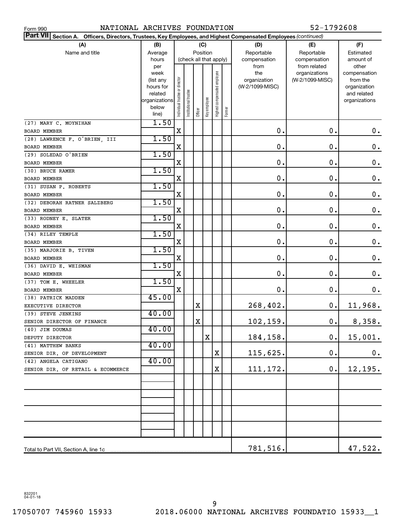| NATIONAL ARCHIVES FOUNDATION<br>Form 990                                                                                  |                |                                |                      |          |                        |                              |        |                 | 52-1792608                    |                       |
|---------------------------------------------------------------------------------------------------------------------------|----------------|--------------------------------|----------------------|----------|------------------------|------------------------------|--------|-----------------|-------------------------------|-----------------------|
| <b>Part VII</b><br>Section A. Officers, Directors, Trustees, Key Employees, and Highest Compensated Employees (continued) |                |                                |                      |          |                        |                              |        |                 |                               |                       |
| (A)                                                                                                                       | (B)            |                                |                      |          | (C)                    |                              |        | (D)             | (E)                           | (F)                   |
| Name and title                                                                                                            | Average        |                                |                      | Position |                        |                              |        | Reportable      | Reportable                    | Estimated             |
|                                                                                                                           | hours          |                                |                      |          | (check all that apply) |                              |        | compensation    | compensation                  | amount of             |
|                                                                                                                           | per<br>week    |                                |                      |          |                        |                              |        | from<br>the     | from related<br>organizations | other<br>compensation |
|                                                                                                                           | (list any      |                                |                      |          |                        |                              |        | organization    | (W-2/1099-MISC)               | from the              |
|                                                                                                                           | hours for      |                                |                      |          |                        |                              |        | (W-2/1099-MISC) |                               | organization          |
|                                                                                                                           | related        |                                |                      |          |                        |                              |        |                 |                               | and related           |
|                                                                                                                           | organizations  | Individual trustee or director | nstitutional trustee |          | Key employee           | Highest compensated employee |        |                 |                               | organizations         |
|                                                                                                                           | below<br>line) |                                |                      | Officer  |                        |                              | Former |                 |                               |                       |
| (27) MARY C. MOYNIHAN                                                                                                     | 1.50           |                                |                      |          |                        |                              |        |                 |                               |                       |
| <b>BOARD MEMBER</b>                                                                                                       |                | $\mathbf X$                    |                      |          |                        |                              |        | 0               | 0.                            | 0.                    |
| (28) LAWRENCE F. O'BRIEN, III                                                                                             | 1.50           |                                |                      |          |                        |                              |        |                 |                               |                       |
| <b>BOARD MEMBER</b>                                                                                                       |                | Χ                              |                      |          |                        |                              |        | 0               | 0.                            | 0.                    |
| (29) SOLEDAD O'BRIEN                                                                                                      | 1.50           |                                |                      |          |                        |                              |        |                 |                               |                       |
| <b>BOARD MEMBER</b>                                                                                                       |                | X                              |                      |          |                        |                              |        | 0               | 0.                            | 0.                    |
| (30) BRUCE RAMER                                                                                                          | 1.50           |                                |                      |          |                        |                              |        |                 |                               |                       |
| <b>BOARD MEMBER</b>                                                                                                       |                | Χ                              |                      |          |                        |                              |        | 0               | 0.                            | 0.                    |
| (31) SUSAN P. ROBERTS                                                                                                     | 1.50           |                                |                      |          |                        |                              |        |                 |                               |                       |
| <b>BOARD MEMBER</b>                                                                                                       |                | Χ                              |                      |          |                        |                              |        | 0               | 0.                            | 0.                    |
| (32) DEBORAH RATNER SALZBERG                                                                                              | 1.50           |                                |                      |          |                        |                              |        |                 |                               |                       |
| <b>BOARD MEMBER</b>                                                                                                       |                | Χ                              |                      |          |                        |                              |        | 0               | 0.                            | 0.                    |
| (33) RODNEY E. SLATER                                                                                                     | 1.50           |                                |                      |          |                        |                              |        |                 |                               |                       |
| <b>BOARD MEMBER</b>                                                                                                       |                | Χ                              |                      |          |                        |                              |        | 0               | 0.                            | 0.                    |
| (34) RILEY TEMPLE                                                                                                         | 1.50           |                                |                      |          |                        |                              |        |                 |                               |                       |
| <b>BOARD MEMBER</b>                                                                                                       |                | Χ                              |                      |          |                        |                              |        | 0               | 0.                            | 0.                    |
| (35) MARJORIE B. TIVEN                                                                                                    | 1.50           |                                |                      |          |                        |                              |        |                 |                               |                       |
| <b>BOARD MEMBER</b>                                                                                                       |                | Χ                              |                      |          |                        |                              |        | 0               | 0.                            | 0.                    |
| (36) DAVID E. WEISMAN                                                                                                     | 1.50           |                                |                      |          |                        |                              |        |                 |                               |                       |
| <b>BOARD MEMBER</b>                                                                                                       |                | Χ                              |                      |          |                        |                              |        | 0               | 0.                            | 0.                    |
| (37) TOM E. WHEELER                                                                                                       | 1.50           |                                |                      |          |                        |                              |        |                 |                               |                       |
| <b>BOARD MEMBER</b>                                                                                                       |                | $\mathbf X$                    |                      |          |                        |                              |        | 0               | 0.                            | 0.                    |
| (38) PATRICK MADDEN                                                                                                       | 45.00          |                                |                      |          |                        |                              |        |                 |                               |                       |
| EXECUTIVE DIRECTOR                                                                                                        |                |                                |                      | X        |                        |                              |        | 268,402.        | 0.                            | 11,968.               |
| (39) STEVE JENKINS                                                                                                        | 40.00          |                                |                      |          |                        |                              |        |                 |                               |                       |
| SENIOR DIRECTOR OF FINANCE                                                                                                | 40.00          |                                |                      | X        |                        |                              |        | 102, 159.       | 0.                            | 8,358.                |
| (40) JIM DOUMAS<br>DEPUTY DIRECTOR                                                                                        |                |                                |                      |          | X                      |                              |        | 184,158.        | 0.                            | 15,001.               |
| (41) MATTHEW BANKS                                                                                                        | 40.00          |                                |                      |          |                        |                              |        |                 |                               |                       |
| SENIOR DIR. OF DEVELOPMENT                                                                                                |                |                                |                      |          |                        | Χ                            |        | 115,625.        | 0.                            | $0$ .                 |
| (42) ANGELA CATIGANO                                                                                                      | 40.00          |                                |                      |          |                        |                              |        |                 |                               |                       |
| SENIOR DIR. OF RETAIL & ECOMMERCE                                                                                         |                |                                |                      |          |                        | Χ                            |        | 111,172.        | 0.                            | 12,195.               |
|                                                                                                                           |                |                                |                      |          |                        |                              |        |                 |                               |                       |
|                                                                                                                           |                |                                |                      |          |                        |                              |        |                 |                               |                       |
|                                                                                                                           |                |                                |                      |          |                        |                              |        |                 |                               |                       |
|                                                                                                                           |                |                                |                      |          |                        |                              |        |                 |                               |                       |
|                                                                                                                           |                |                                |                      |          |                        |                              |        |                 |                               |                       |
|                                                                                                                           |                |                                |                      |          |                        |                              |        |                 |                               |                       |
|                                                                                                                           |                |                                |                      |          |                        |                              |        |                 |                               |                       |
|                                                                                                                           |                |                                |                      |          |                        |                              |        |                 |                               |                       |
|                                                                                                                           |                |                                |                      |          |                        |                              |        |                 |                               |                       |
| Total to Part VII, Section A, line 1c                                                                                     |                |                                |                      |          |                        |                              |        | 781,516.        |                               | 47,522.               |

832201 04-01-18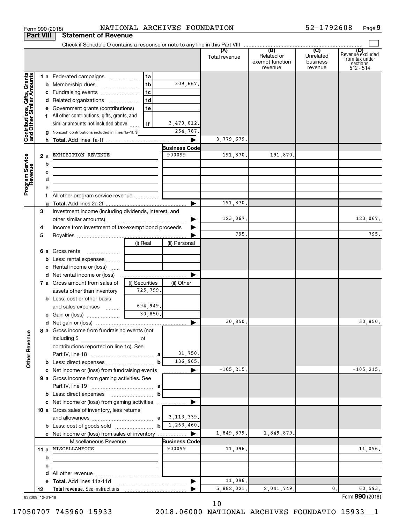|                                                           |    |    | Form 990 (2018)                                                             |                |                                | NATIONAL ARCHIVES FOUNDATION |                                          | 52-1792608                       | Page 9                                                             |
|-----------------------------------------------------------|----|----|-----------------------------------------------------------------------------|----------------|--------------------------------|------------------------------|------------------------------------------|----------------------------------|--------------------------------------------------------------------|
| <b>Part VIII</b>                                          |    |    | <b>Statement of Revenue</b>                                                 |                |                                |                              |                                          |                                  |                                                                    |
|                                                           |    |    |                                                                             |                |                                |                              |                                          |                                  |                                                                    |
|                                                           |    |    |                                                                             |                |                                | Total revenue                | Related or<br>exempt function<br>revenue | Unrelated<br>business<br>revenue | (D)<br>Revenue excluded<br>from tax under<br>sections<br>512 - 514 |
|                                                           |    |    | 1 a Federated campaigns                                                     | 1a             |                                |                              |                                          |                                  |                                                                    |
| Contributions, Gifts, Grants<br>and Other Similar Amounts |    |    |                                                                             | 1b             | 309,667.                       |                              |                                          |                                  |                                                                    |
|                                                           |    |    | c Fundraising events                                                        | l 1c           |                                |                              |                                          |                                  |                                                                    |
|                                                           |    |    | d Related organizations                                                     | 1 <sub>d</sub> |                                |                              |                                          |                                  |                                                                    |
|                                                           |    |    | e Government grants (contributions)                                         | 1e             |                                |                              |                                          |                                  |                                                                    |
|                                                           |    |    | f All other contributions, gifts, grants, and                               |                |                                |                              |                                          |                                  |                                                                    |
|                                                           |    |    | similar amounts not included above                                          | 1f             | 3,470,012.                     |                              |                                          |                                  |                                                                    |
|                                                           |    |    | g Noncash contributions included in lines 1a-1f: \$                         |                | 254,787.                       |                              |                                          |                                  |                                                                    |
|                                                           |    |    |                                                                             |                |                                | 3,779,679.                   |                                          |                                  |                                                                    |
|                                                           |    | 2a | <b>EXHIBITION REVENUE</b>                                                   |                | <b>Business Code</b><br>900099 | 191,870.                     | 191,870.                                 |                                  |                                                                    |
|                                                           |    | b  |                                                                             |                |                                |                              |                                          |                                  |                                                                    |
|                                                           |    | с  |                                                                             |                |                                |                              |                                          |                                  |                                                                    |
|                                                           |    | d  |                                                                             |                |                                |                              |                                          |                                  |                                                                    |
| Program Service<br>Revenue                                |    | е  |                                                                             |                |                                |                              |                                          |                                  |                                                                    |
|                                                           |    |    |                                                                             |                |                                |                              |                                          |                                  |                                                                    |
|                                                           |    | g  |                                                                             |                |                                | 191,870.                     |                                          |                                  |                                                                    |
|                                                           | 3  |    | Investment income (including dividends, interest, and                       |                |                                |                              |                                          |                                  |                                                                    |
|                                                           |    |    |                                                                             |                |                                | 123,067.                     |                                          |                                  | 123,067.                                                           |
|                                                           | 4  |    | Income from investment of tax-exempt bond proceeds                          |                |                                |                              |                                          |                                  |                                                                    |
|                                                           | 5  |    |                                                                             |                |                                | 795.                         |                                          |                                  | 795.                                                               |
|                                                           |    |    |                                                                             | (i) Real       | (ii) Personal                  |                              |                                          |                                  |                                                                    |
|                                                           |    |    | 6 a Gross rents<br>$\ldots \ldots \ldots \ldots \ldots$                     |                |                                |                              |                                          |                                  |                                                                    |
|                                                           |    |    | <b>b</b> Less: rental expenses<br><b>c</b> Rental income or (loss) $\ldots$ |                |                                |                              |                                          |                                  |                                                                    |
|                                                           |    |    |                                                                             |                |                                |                              |                                          |                                  |                                                                    |
|                                                           |    |    | 7 a Gross amount from sales of                                              | (i) Securities | (ii) Other                     |                              |                                          |                                  |                                                                    |
|                                                           |    |    | assets other than inventory                                                 | 725.799.       |                                |                              |                                          |                                  |                                                                    |
|                                                           |    |    | <b>b</b> Less: cost or other basis                                          |                |                                |                              |                                          |                                  |                                                                    |
|                                                           |    |    | and sales expenses                                                          | 694,949.       |                                |                              |                                          |                                  |                                                                    |
|                                                           |    |    | c Gain or (loss)                                                            | 30,850.        |                                |                              |                                          |                                  |                                                                    |
|                                                           |    |    |                                                                             |                |                                | 30,850.                      |                                          |                                  | 30,850.                                                            |
|                                                           |    |    | 8 a Gross income from fundraising events (not                               |                |                                |                              |                                          |                                  |                                                                    |
|                                                           |    |    | including \$                                                                | of             |                                |                              |                                          |                                  |                                                                    |
|                                                           |    |    | contributions reported on line 1c). See                                     |                |                                |                              |                                          |                                  |                                                                    |
| <b>Other Revenue</b>                                      |    |    |                                                                             | b              | 31,750.<br>136,965.            |                              |                                          |                                  |                                                                    |
|                                                           |    |    | c Net income or (loss) from fundraising events                              |                |                                | $-105, 215.$<br>▶            |                                          |                                  | $-105, 215.$                                                       |
|                                                           |    |    | 9 a Gross income from gaming activities. See                                |                |                                |                              |                                          |                                  |                                                                    |
|                                                           |    |    |                                                                             |                |                                |                              |                                          |                                  |                                                                    |
|                                                           |    |    | <b>b</b> Less: direct expenses <b>contained b</b>                           |                |                                |                              |                                          |                                  |                                                                    |
|                                                           |    |    |                                                                             |                |                                |                              |                                          |                                  |                                                                    |
|                                                           |    |    | 10 a Gross sales of inventory, less returns                                 |                |                                |                              |                                          |                                  |                                                                    |
|                                                           |    |    |                                                                             |                |                                |                              |                                          |                                  |                                                                    |
|                                                           |    |    | <b>b</b> Less: cost of goods sold $\ldots$ <b>b</b>                         |                | 1,263,460.                     |                              |                                          |                                  |                                                                    |
|                                                           |    |    | c Net income or (loss) from sales of inventory                              |                |                                | 1,849,879.                   | 1,849,879.                               |                                  |                                                                    |
|                                                           |    |    | Miscellaneous Revenue                                                       |                | <b>Business Code</b>           |                              |                                          |                                  |                                                                    |
|                                                           |    |    | 11 a MISCELLANEOUS                                                          |                | 900099                         | 11,096.                      |                                          |                                  | 11,096.                                                            |
|                                                           |    | b  |                                                                             |                |                                |                              |                                          |                                  |                                                                    |
|                                                           |    | с  |                                                                             |                |                                |                              |                                          |                                  |                                                                    |
|                                                           |    |    |                                                                             |                |                                | 11,096.                      |                                          |                                  |                                                                    |
|                                                           | 12 |    | Total revenue. See instructions _____________________                       |                |                                | 5,882,021.                   | 2,041,749.                               | $\mathbf{0}$ .                   | 60,593.                                                            |
| 832009 12-31-18                                           |    |    |                                                                             |                |                                |                              |                                          |                                  | Form 990 (2018)                                                    |

832009 12-31-18

10

17050707 745960 15933 2018.06000 NATIONAL ARCHIVES FOUNDATIO 15933\_\_1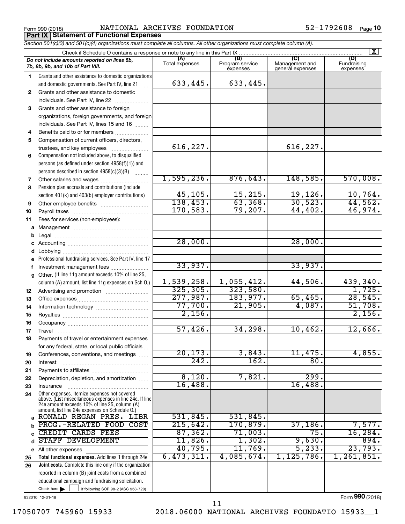**Part IX Statement of Functional Expenses**

Form 990 (2018) Page NATIONAL ARCHIVES FOUNDATION 52-1792608

*Section 501(c)(3) and 501(c)(4) organizations must complete all columns. All other organizations must complete column (A).*

|          | Check if Schedule O contains a response or note to any line in this Part IX                                                                                                                                 |                       |                                       | $\overline{\mathbf{X}}$            |                                |  |  |
|----------|-------------------------------------------------------------------------------------------------------------------------------------------------------------------------------------------------------------|-----------------------|---------------------------------------|------------------------------------|--------------------------------|--|--|
|          | Do not include amounts reported on lines 6b,<br>7b, 8b, 9b, and 10b of Part VIII.                                                                                                                           | (A)<br>Total expenses | (B)<br>Program service<br>expenses    | Management and<br>general expenses | (D)<br>Fundraising<br>expenses |  |  |
| 1.       | Grants and other assistance to domestic organizations                                                                                                                                                       |                       |                                       |                                    |                                |  |  |
|          | and domestic governments. See Part IV, line 21                                                                                                                                                              | 633,445.              | 633,445.                              |                                    |                                |  |  |
| 2        | Grants and other assistance to domestic                                                                                                                                                                     |                       |                                       |                                    |                                |  |  |
|          | individuals. See Part IV, line 22                                                                                                                                                                           |                       |                                       |                                    |                                |  |  |
| 3        | Grants and other assistance to foreign                                                                                                                                                                      |                       |                                       |                                    |                                |  |  |
|          | organizations, foreign governments, and foreign                                                                                                                                                             |                       |                                       |                                    |                                |  |  |
|          | individuals. See Part IV, lines 15 and 16                                                                                                                                                                   |                       |                                       |                                    |                                |  |  |
| 4        | Benefits paid to or for members                                                                                                                                                                             |                       |                                       |                                    |                                |  |  |
| 5        | Compensation of current officers, directors,                                                                                                                                                                |                       |                                       |                                    |                                |  |  |
|          | trustees, and key employees                                                                                                                                                                                 | 616,227.              |                                       | 616,227.                           |                                |  |  |
| 6        | Compensation not included above, to disqualified                                                                                                                                                            |                       |                                       |                                    |                                |  |  |
|          | persons (as defined under section 4958(f)(1)) and                                                                                                                                                           |                       |                                       |                                    |                                |  |  |
|          | persons described in section 4958(c)(3)(B)                                                                                                                                                                  |                       |                                       |                                    |                                |  |  |
| 7        | Other salaries and wages                                                                                                                                                                                    | 1,595,236.            | 876, 643.                             | 148,585.                           | 570,008.                       |  |  |
| 8        | Pension plan accruals and contributions (include                                                                                                                                                            |                       |                                       |                                    |                                |  |  |
|          | section 401(k) and 403(b) employer contributions)                                                                                                                                                           | 45, 105.              | $\frac{15,215.}{63,368.}$             | 19,126.                            | $\frac{10,764}{44,562}$        |  |  |
| 9        | Other employee benefits                                                                                                                                                                                     | 138, 453.             |                                       | 30,523.                            |                                |  |  |
| 10       |                                                                                                                                                                                                             | 170, 583.             | 79,207.                               | 44,402.                            | 46,974.                        |  |  |
| 11       | Fees for services (non-employees):                                                                                                                                                                          |                       |                                       |                                    |                                |  |  |
|          |                                                                                                                                                                                                             |                       |                                       |                                    |                                |  |  |
|          |                                                                                                                                                                                                             |                       |                                       |                                    |                                |  |  |
|          |                                                                                                                                                                                                             | 28,000.               |                                       | 28,000.                            |                                |  |  |
|          |                                                                                                                                                                                                             |                       |                                       |                                    |                                |  |  |
|          | Professional fundraising services. See Part IV, line 17                                                                                                                                                     |                       |                                       |                                    |                                |  |  |
|          | Investment management fees                                                                                                                                                                                  | 33,937.               |                                       | 33,937.                            |                                |  |  |
|          | g Other. (If line 11g amount exceeds 10% of line 25,                                                                                                                                                        |                       |                                       | 44,506.                            | 439,340.                       |  |  |
|          | column (A) amount, list line 11g expenses on Sch O.)                                                                                                                                                        | 325, 305.             | $1,539,258.$ $1,055,412.$<br>323,580. |                                    | 1,725.                         |  |  |
| 12       |                                                                                                                                                                                                             | $\overline{277,987.}$ | 183,977.                              | 65,465.                            | 28,545.                        |  |  |
| 13       |                                                                                                                                                                                                             | 77,700.               | 21,905.                               | 4,087.                             | 51,708.                        |  |  |
| 14       |                                                                                                                                                                                                             | 2,156.                |                                       |                                    | 2,156.                         |  |  |
| 15       |                                                                                                                                                                                                             |                       |                                       |                                    |                                |  |  |
| 16<br>17 | Travel                                                                                                                                                                                                      | 57,426.               | 34,298.                               | 10,462.                            | 12,666.                        |  |  |
| 18       | Payments of travel or entertainment expenses                                                                                                                                                                |                       |                                       |                                    |                                |  |  |
|          | for any federal, state, or local public officials                                                                                                                                                           |                       |                                       |                                    |                                |  |  |
| 19       | Conferences, conventions, and meetings                                                                                                                                                                      | 20, 173.              | 3,843.                                | 11,475.                            | 4,855.                         |  |  |
| 20       | Interest                                                                                                                                                                                                    | 242.                  | 162.                                  | 80.                                |                                |  |  |
| 21       |                                                                                                                                                                                                             |                       |                                       |                                    |                                |  |  |
| 22       | Depreciation, depletion, and amortization                                                                                                                                                                   | 8,120.                | 7,821.                                | 299.                               |                                |  |  |
| 23       | Insurance                                                                                                                                                                                                   | 16,488.               |                                       | 16,488                             |                                |  |  |
| 24       | Other expenses. Itemize expenses not covered<br>above. (List miscellaneous expenses in line 24e. If line<br>24e amount exceeds 10% of line 25, column (A)<br>amount, list line 24e expenses on Schedule O.) |                       |                                       |                                    |                                |  |  |
| a        | RONALD REGAN PRES. LIBR                                                                                                                                                                                     | 531,845.              | 531,845.                              |                                    |                                |  |  |
|          | <b>PROG.-RELATED FOOD COST</b>                                                                                                                                                                              | 215,642.              | 170,879.                              | 37,186.                            | 7,577.                         |  |  |
|          | CREDIT CARDS FEES                                                                                                                                                                                           | 87, 362.              | 71,003.                               | 75.                                | 16, 284.                       |  |  |
| d        | STAFF DEVELOPMENT                                                                                                                                                                                           | 11,826.               | 1,302.                                | 9,630.                             | 894.                           |  |  |
|          | e All other expenses                                                                                                                                                                                        | 40,795.               | 11,769.                               | 5, 233.                            | 23,793.                        |  |  |
| 25       | Total functional expenses. Add lines 1 through 24e                                                                                                                                                          | 6,473,311.            | 4,085,674.                            | 1, 125, 786.                       | 1,261,851.                     |  |  |
| 26       | Joint costs. Complete this line only if the organization                                                                                                                                                    |                       |                                       |                                    |                                |  |  |
|          | reported in column (B) joint costs from a combined                                                                                                                                                          |                       |                                       |                                    |                                |  |  |
|          | educational campaign and fundraising solicitation.                                                                                                                                                          |                       |                                       |                                    |                                |  |  |
|          | Check here $\blacktriangleright$<br>if following SOP 98-2 (ASC 958-720)                                                                                                                                     |                       |                                       |                                    |                                |  |  |

832010 12-31-18

Form (2018) **990**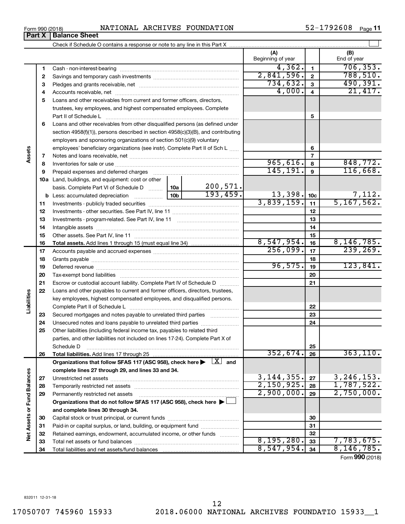| NATIONAL ARCHIVES FOUNDATION<br>Form 990 (2018) | $-1792608$<br>г о<br>Page<br>54-7 |
|-------------------------------------------------|-----------------------------------|
|-------------------------------------------------|-----------------------------------|

|                             |          |                                                                                                                                                                                                                               |           |          | (A)<br>Beginning of year |                           | (B)<br>End of year |
|-----------------------------|----------|-------------------------------------------------------------------------------------------------------------------------------------------------------------------------------------------------------------------------------|-----------|----------|--------------------------|---------------------------|--------------------|
|                             | 1        |                                                                                                                                                                                                                               |           |          | 4,362.                   | $\mathbf{1}$              | 706, 353.          |
|                             | 2        |                                                                                                                                                                                                                               |           |          | 2,841,596.               | $\overline{\mathbf{c}}$   | 788,510.           |
|                             | З        |                                                                                                                                                                                                                               |           |          | 734,632.                 | $\overline{\mathbf{3}}$   | 490, 391.          |
|                             | 4        |                                                                                                                                                                                                                               |           |          | 4,000.                   | $\overline{4}$            | 21,417.            |
|                             | 5        | Loans and other receivables from current and former officers, directors,                                                                                                                                                      |           |          |                          |                           |                    |
|                             |          | trustees, key employees, and highest compensated employees. Complete                                                                                                                                                          |           |          |                          |                           |                    |
|                             |          | Part II of Schedule L                                                                                                                                                                                                         |           |          |                          | 5                         |                    |
|                             | 6        | Loans and other receivables from other disqualified persons (as defined under                                                                                                                                                 |           |          |                          |                           |                    |
|                             |          | section 4958(f)(1)), persons described in section 4958(c)(3)(B), and contributing                                                                                                                                             |           |          |                          |                           |                    |
|                             |          | employers and sponsoring organizations of section 501(c)(9) voluntary                                                                                                                                                         |           |          |                          |                           |                    |
|                             |          | employees' beneficiary organizations (see instr). Complete Part II of Sch L                                                                                                                                                   |           |          |                          | 6                         |                    |
| Assets                      | 7        |                                                                                                                                                                                                                               |           |          |                          | $\overline{\phantom{a}}$  |                    |
|                             | 8        |                                                                                                                                                                                                                               |           |          | 965,616.                 | 8                         | 848,772.           |
|                             | 9        | Prepaid expenses and deferred charges [11] [11] Prepaid expenses and deferred charges [11] [11] Martin Marian Marian Marian Marian Marian Marian Marian Marian Marian Marian Marian Marian Marian Marian Marian Marian Marian |           |          | 145, 191.                | 9                         | 116,668.           |
|                             |          | 10a Land, buildings, and equipment: cost or other                                                                                                                                                                             |           |          |                          |                           |                    |
|                             |          | basis. Complete Part VI of Schedule D                                                                                                                                                                                         | 10a       | 200,571. |                          |                           |                    |
|                             |          | <b>b</b> Less: accumulated depreciation                                                                                                                                                                                       | 193, 459. | 13,398.  | 10 <sub>c</sub>          | $\frac{7,112}{5,167,562}$ |                    |
|                             | 11       |                                                                                                                                                                                                                               |           |          | 3,839,159.               | 11                        |                    |
|                             | 12       |                                                                                                                                                                                                                               |           |          | 12                       |                           |                    |
|                             | 13       |                                                                                                                                                                                                                               |           | 13       |                          |                           |                    |
|                             | 14       |                                                                                                                                                                                                                               |           |          | 14                       |                           |                    |
|                             | 15       |                                                                                                                                                                                                                               |           |          |                          | 15                        |                    |
|                             | 16       |                                                                                                                                                                                                                               |           |          | 8,547,954.               | 16                        | 8, 146, 785.       |
|                             | 17       |                                                                                                                                                                                                                               |           |          | 256,099.                 | 17                        | 239, 269.          |
|                             | 18       |                                                                                                                                                                                                                               | 96,575.   | 18       | 123,841.                 |                           |                    |
|                             | 19       |                                                                                                                                                                                                                               |           | 19       |                          |                           |                    |
|                             | 20       |                                                                                                                                                                                                                               |           |          | 20                       |                           |                    |
|                             | 21       | Escrow or custodial account liability. Complete Part IV of Schedule D                                                                                                                                                         |           |          |                          | 21                        |                    |
| Liabilities                 | 22       | Loans and other payables to current and former officers, directors, trustees,                                                                                                                                                 |           |          |                          |                           |                    |
|                             |          | key employees, highest compensated employees, and disqualified persons.                                                                                                                                                       |           |          |                          |                           |                    |
|                             |          | Secured mortgages and notes payable to unrelated third parties                                                                                                                                                                |           |          |                          | 22<br>23                  |                    |
|                             | 23<br>24 | Unsecured notes and loans payable to unrelated third parties                                                                                                                                                                  |           |          |                          | 24                        |                    |
|                             | 25       | Other liabilities (including federal income tax, payables to related third                                                                                                                                                    |           |          |                          |                           |                    |
|                             |          | parties, and other liabilities not included on lines 17-24). Complete Part X of                                                                                                                                               |           |          |                          |                           |                    |
|                             |          | Schedule D                                                                                                                                                                                                                    |           |          |                          | 25                        |                    |
|                             | 26       |                                                                                                                                                                                                                               |           |          | 352,674.                 | 26                        | 363, 110.          |
|                             |          | Organizations that follow SFAS 117 (ASC 958), check here $\blacktriangleright \begin{array}{c} \boxed{X} \end{array}$ and                                                                                                     |           |          |                          |                           |                    |
|                             |          | complete lines 27 through 29, and lines 33 and 34.                                                                                                                                                                            |           |          |                          |                           |                    |
|                             | 27       |                                                                                                                                                                                                                               |           |          | 3, 144, 355.             | 27                        | 3, 246, 153.       |
|                             | 28       |                                                                                                                                                                                                                               |           |          | 2,150,925.               | 28                        | 1,787,522.         |
|                             | 29       | Permanently restricted net assets                                                                                                                                                                                             |           |          | 2,900,000.               | 29                        | 2,750,000.         |
|                             |          | Organizations that do not follow SFAS 117 (ASC 958), check here ▶                                                                                                                                                             |           |          |                          |                           |                    |
|                             |          | and complete lines 30 through 34.                                                                                                                                                                                             |           |          |                          |                           |                    |
|                             | 30       |                                                                                                                                                                                                                               |           |          |                          | 30                        |                    |
|                             | 31       | Paid-in or capital surplus, or land, building, or equipment fund                                                                                                                                                              |           |          |                          | 31                        |                    |
| Net Assets or Fund Balances | 32       | Retained earnings, endowment, accumulated income, or other funds                                                                                                                                                              |           |          |                          | 32                        |                    |
|                             | 33       |                                                                                                                                                                                                                               |           |          | 8, 195, 280.             | 33                        | 7,783,675.         |
|                             | 34       |                                                                                                                                                                                                                               |           |          | 8,547,954.               | 34                        | 8, 146, 785.       |
|                             |          |                                                                                                                                                                                                                               |           |          |                          |                           | Form 990 (2018)    |

**Part X Balance Sheet**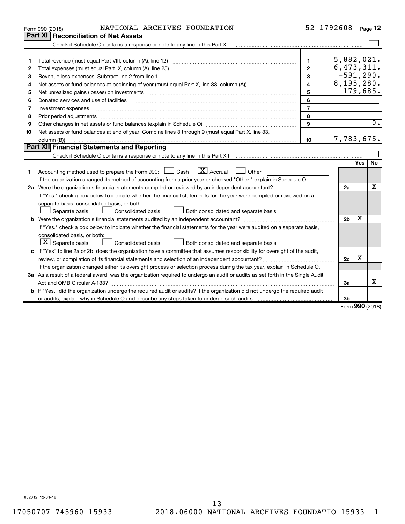|    | NATIONAL ARCHIVES FOUNDATION<br>Form 990 (2018)                                                                                                                                                                                                                                                                                                                                                                                                                                                     |                         | 52-1792608     |              | Page 12          |
|----|-----------------------------------------------------------------------------------------------------------------------------------------------------------------------------------------------------------------------------------------------------------------------------------------------------------------------------------------------------------------------------------------------------------------------------------------------------------------------------------------------------|-------------------------|----------------|--------------|------------------|
|    | <b>Part XI   Reconciliation of Net Assets</b>                                                                                                                                                                                                                                                                                                                                                                                                                                                       |                         |                |              |                  |
|    | Check if Schedule O contains a response or note to any line in this Part XI [11] [12] Check if Schedule O contains a response or note to any line in this Part XI                                                                                                                                                                                                                                                                                                                                   |                         |                |              |                  |
|    |                                                                                                                                                                                                                                                                                                                                                                                                                                                                                                     |                         |                |              |                  |
| 1  |                                                                                                                                                                                                                                                                                                                                                                                                                                                                                                     | 1                       | 5,882,021.     |              |                  |
| 2  |                                                                                                                                                                                                                                                                                                                                                                                                                                                                                                     | $\mathbf{2}$            | 6,473,311.     |              |                  |
| З  | Revenue less expenses. Subtract line 2 from line 1                                                                                                                                                                                                                                                                                                                                                                                                                                                  | 3                       | $-591,290.$    |              |                  |
| 4  |                                                                                                                                                                                                                                                                                                                                                                                                                                                                                                     | $\overline{\mathbf{4}}$ | 8,195,280.     |              |                  |
| 5  |                                                                                                                                                                                                                                                                                                                                                                                                                                                                                                     | 5                       |                |              | 179,685.         |
| 6  | Donated services and use of facilities                                                                                                                                                                                                                                                                                                                                                                                                                                                              | 6                       |                |              |                  |
| 7  | Investment expenses                                                                                                                                                                                                                                                                                                                                                                                                                                                                                 | $\overline{7}$          |                |              |                  |
| 8  | Prior period adjustments                                                                                                                                                                                                                                                                                                                                                                                                                                                                            | 8                       |                |              |                  |
| 9  |                                                                                                                                                                                                                                                                                                                                                                                                                                                                                                     | 9                       |                |              | $\overline{0}$ . |
| 10 | Net assets or fund balances at end of year. Combine lines 3 through 9 (must equal Part X, line 33,                                                                                                                                                                                                                                                                                                                                                                                                  |                         |                |              |                  |
|    | column (B))<br>$\begin{minipage}{0.9\linewidth} \begin{tabular}{l} \hline \textbf{0.01} \end{tabular} \end{minipage} \begin{tabular}{l} \hline \textbf{1.01} \end{tabular} \end{minipage} \begin{tabular}{l} \hline \textbf{1.01} \end{tabular} \end{minipage} \begin{minipage}{0.9\linewidth} \textbf{1.01} \end{minipage} \begin{tabular}{l} \hline \textbf{1.01} \end{tabular} \end{minipage} \begin{minipage}{0.9\linewidth} \textbf{1.01} \end{minipage} \begin{tabular}{l} \hline \textbf{1.$ | 10                      | 7,783,675.     |              |                  |
|    | Part XII Financial Statements and Reporting                                                                                                                                                                                                                                                                                                                                                                                                                                                         |                         |                |              |                  |
|    |                                                                                                                                                                                                                                                                                                                                                                                                                                                                                                     |                         |                |              |                  |
|    |                                                                                                                                                                                                                                                                                                                                                                                                                                                                                                     |                         |                | Yes          | No               |
| 1  | $\lfloor x \rfloor$ Accrual<br>Accounting method used to prepare the Form 990: $\Box$ Cash<br>Other                                                                                                                                                                                                                                                                                                                                                                                                 |                         |                |              |                  |
|    | If the organization changed its method of accounting from a prior year or checked "Other," explain in Schedule O.                                                                                                                                                                                                                                                                                                                                                                                   |                         |                |              |                  |
|    |                                                                                                                                                                                                                                                                                                                                                                                                                                                                                                     |                         | 2a             |              | x                |
|    | If "Yes," check a box below to indicate whether the financial statements for the year were compiled or reviewed on a                                                                                                                                                                                                                                                                                                                                                                                |                         |                |              |                  |
|    | separate basis, consolidated basis, or both:                                                                                                                                                                                                                                                                                                                                                                                                                                                        |                         |                |              |                  |
|    | Both consolidated and separate basis<br>Separate basis<br>Consolidated basis                                                                                                                                                                                                                                                                                                                                                                                                                        |                         |                |              |                  |
|    |                                                                                                                                                                                                                                                                                                                                                                                                                                                                                                     |                         | 2 <sub>b</sub> | x            |                  |
|    | If "Yes," check a box below to indicate whether the financial statements for the year were audited on a separate basis,                                                                                                                                                                                                                                                                                                                                                                             |                         |                |              |                  |
|    | consolidated basis, or both:                                                                                                                                                                                                                                                                                                                                                                                                                                                                        |                         |                |              |                  |
|    | $ \mathbf{X} $ Separate basis<br>Consolidated basis<br>Both consolidated and separate basis                                                                                                                                                                                                                                                                                                                                                                                                         |                         |                |              |                  |
|    | c If "Yes" to line 2a or 2b, does the organization have a committee that assumes responsibility for oversight of the audit,                                                                                                                                                                                                                                                                                                                                                                         |                         |                |              |                  |
|    |                                                                                                                                                                                                                                                                                                                                                                                                                                                                                                     |                         | 2c             | х            |                  |
|    | If the organization changed either its oversight process or selection process during the tax year, explain in Schedule O.                                                                                                                                                                                                                                                                                                                                                                           |                         |                |              |                  |
|    | 3a As a result of a federal award, was the organization required to undergo an audit or audits as set forth in the Single Audit                                                                                                                                                                                                                                                                                                                                                                     |                         |                |              |                  |
|    |                                                                                                                                                                                                                                                                                                                                                                                                                                                                                                     |                         | 3a             |              | x                |
|    | <b>b</b> If "Yes," did the organization undergo the required audit or audits? If the organization did not undergo the required audit                                                                                                                                                                                                                                                                                                                                                                |                         |                |              |                  |
|    |                                                                                                                                                                                                                                                                                                                                                                                                                                                                                                     |                         | 3b             |              |                  |
|    |                                                                                                                                                                                                                                                                                                                                                                                                                                                                                                     |                         |                | $000 \text{$ |                  |

Form (2018) **990**

832012 12-31-18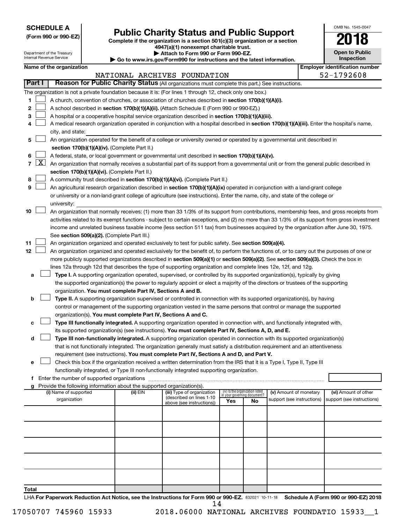**SCHEDULE A**

 $\mathsf{l}$ 

# Form 990 or 990-EZ)<br>
Complete if the organization is a section 501(c)(3) organization or a section<br> **Public Charity Status and Public Support**

**4947(a)(1) nonexempt charitable trust.**

| OMB No 1545-0047                    |
|-------------------------------------|
| 01                                  |
| <b>Open to Public</b><br>Inspection |

|    |                 | Department of the Treasury<br>Internal Revenue Service                                                                    |  | Attach to Form 990 or Form 990-EZ.<br>▶ Go to www.irs.gov/Form990 for instructions and the latest information. |                                                                                                                                               | <b>Open to Public</b><br><b>Inspection</b> |                                                                |                            |  |                                       |  |  |
|----|-----------------|---------------------------------------------------------------------------------------------------------------------------|--|----------------------------------------------------------------------------------------------------------------|-----------------------------------------------------------------------------------------------------------------------------------------------|--------------------------------------------|----------------------------------------------------------------|----------------------------|--|---------------------------------------|--|--|
|    |                 | Name of the organization                                                                                                  |  |                                                                                                                |                                                                                                                                               |                                            |                                                                |                            |  | <b>Employer identification number</b> |  |  |
|    |                 |                                                                                                                           |  |                                                                                                                | NATIONAL ARCHIVES FOUNDATION                                                                                                                  |                                            |                                                                |                            |  | 52-1792608                            |  |  |
|    | Part I          |                                                                                                                           |  |                                                                                                                | Reason for Public Charity Status (All organizations must complete this part.) See instructions.                                               |                                            |                                                                |                            |  |                                       |  |  |
|    |                 |                                                                                                                           |  |                                                                                                                | The organization is not a private foundation because it is: (For lines 1 through 12, check only one box.)                                     |                                            |                                                                |                            |  |                                       |  |  |
| 1  |                 |                                                                                                                           |  |                                                                                                                | A church, convention of churches, or association of churches described in section 170(b)(1)(A)(i).                                            |                                            |                                                                |                            |  |                                       |  |  |
| 2  |                 |                                                                                                                           |  |                                                                                                                | A school described in section 170(b)(1)(A)(ii). (Attach Schedule E (Form 990 or 990-EZ).)                                                     |                                            |                                                                |                            |  |                                       |  |  |
| З  |                 |                                                                                                                           |  |                                                                                                                | A hospital or a cooperative hospital service organization described in section 170(b)(1)(A)(iii).                                             |                                            |                                                                |                            |  |                                       |  |  |
| 4  |                 |                                                                                                                           |  |                                                                                                                | A medical research organization operated in conjunction with a hospital described in section 170(b)(1)(A)(iii). Enter the hospital's name,    |                                            |                                                                |                            |  |                                       |  |  |
|    |                 | city, and state:                                                                                                          |  |                                                                                                                |                                                                                                                                               |                                            |                                                                |                            |  |                                       |  |  |
| 5  |                 | An organization operated for the benefit of a college or university owned or operated by a governmental unit described in |  |                                                                                                                |                                                                                                                                               |                                            |                                                                |                            |  |                                       |  |  |
|    |                 |                                                                                                                           |  | section 170(b)(1)(A)(iv). (Complete Part II.)                                                                  |                                                                                                                                               |                                            |                                                                |                            |  |                                       |  |  |
| 6  |                 |                                                                                                                           |  |                                                                                                                | A federal, state, or local government or governmental unit described in section 170(b)(1)(A)(v).                                              |                                            |                                                                |                            |  |                                       |  |  |
|    | $7 \mid X \mid$ |                                                                                                                           |  |                                                                                                                | An organization that normally receives a substantial part of its support from a governmental unit or from the general public described in     |                                            |                                                                |                            |  |                                       |  |  |
|    |                 |                                                                                                                           |  | section 170(b)(1)(A)(vi). (Complete Part II.)                                                                  |                                                                                                                                               |                                            |                                                                |                            |  |                                       |  |  |
| 8  |                 |                                                                                                                           |  |                                                                                                                | A community trust described in section 170(b)(1)(A)(vi). (Complete Part II.)                                                                  |                                            |                                                                |                            |  |                                       |  |  |
| 9  |                 |                                                                                                                           |  |                                                                                                                | An agricultural research organization described in section 170(b)(1)(A)(ix) operated in conjunction with a land-grant college                 |                                            |                                                                |                            |  |                                       |  |  |
|    |                 |                                                                                                                           |  |                                                                                                                | or university or a non-land-grant college of agriculture (see instructions). Enter the name, city, and state of the college or                |                                            |                                                                |                            |  |                                       |  |  |
|    |                 | university:                                                                                                               |  |                                                                                                                |                                                                                                                                               |                                            |                                                                |                            |  |                                       |  |  |
| 10 |                 |                                                                                                                           |  |                                                                                                                | An organization that normally receives: (1) more than 33 1/3% of its support from contributions, membership fees, and gross receipts from     |                                            |                                                                |                            |  |                                       |  |  |
|    |                 |                                                                                                                           |  |                                                                                                                | activities related to its exempt functions - subject to certain exceptions, and (2) no more than 33 1/3% of its support from gross investment |                                            |                                                                |                            |  |                                       |  |  |
|    |                 |                                                                                                                           |  |                                                                                                                | income and unrelated business taxable income (less section 511 tax) from businesses acquired by the organization after June 30, 1975.         |                                            |                                                                |                            |  |                                       |  |  |
|    |                 |                                                                                                                           |  | See section 509(a)(2). (Complete Part III.)                                                                    |                                                                                                                                               |                                            |                                                                |                            |  |                                       |  |  |
| 11 |                 |                                                                                                                           |  |                                                                                                                | An organization organized and operated exclusively to test for public safety. See section 509(a)(4).                                          |                                            |                                                                |                            |  |                                       |  |  |
| 12 |                 |                                                                                                                           |  |                                                                                                                | An organization organized and operated exclusively for the benefit of, to perform the functions of, or to carry out the purposes of one or    |                                            |                                                                |                            |  |                                       |  |  |
|    |                 |                                                                                                                           |  |                                                                                                                | more publicly supported organizations described in section 509(a)(1) or section 509(a)(2). See section 509(a)(3). Check the box in            |                                            |                                                                |                            |  |                                       |  |  |
|    |                 |                                                                                                                           |  |                                                                                                                | lines 12a through 12d that describes the type of supporting organization and complete lines 12e, 12f, and 12g.                                |                                            |                                                                |                            |  |                                       |  |  |
| а  |                 |                                                                                                                           |  |                                                                                                                | Type I. A supporting organization operated, supervised, or controlled by its supported organization(s), typically by giving                   |                                            |                                                                |                            |  |                                       |  |  |
|    |                 |                                                                                                                           |  |                                                                                                                | the supported organization(s) the power to regularly appoint or elect a majority of the directors or trustees of the supporting               |                                            |                                                                |                            |  |                                       |  |  |
|    |                 |                                                                                                                           |  | organization. You must complete Part IV, Sections A and B.                                                     |                                                                                                                                               |                                            |                                                                |                            |  |                                       |  |  |
| b  |                 |                                                                                                                           |  |                                                                                                                | Type II. A supporting organization supervised or controlled in connection with its supported organization(s), by having                       |                                            |                                                                |                            |  |                                       |  |  |
|    |                 |                                                                                                                           |  |                                                                                                                | control or management of the supporting organization vested in the same persons that control or manage the supported                          |                                            |                                                                |                            |  |                                       |  |  |
|    |                 |                                                                                                                           |  | organization(s). You must complete Part IV, Sections A and C.                                                  |                                                                                                                                               |                                            |                                                                |                            |  |                                       |  |  |
| с  |                 |                                                                                                                           |  |                                                                                                                | Type III functionally integrated. A supporting organization operated in connection with, and functionally integrated with,                    |                                            |                                                                |                            |  |                                       |  |  |
|    |                 |                                                                                                                           |  |                                                                                                                | its supported organization(s) (see instructions). You must complete Part IV, Sections A, D, and E.                                            |                                            |                                                                |                            |  |                                       |  |  |
| d  |                 |                                                                                                                           |  |                                                                                                                | Type III non-functionally integrated. A supporting organization operated in connection with its supported organization(s)                     |                                            |                                                                |                            |  |                                       |  |  |
|    |                 |                                                                                                                           |  |                                                                                                                | that is not functionally integrated. The organization generally must satisfy a distribution requirement and an attentiveness                  |                                            |                                                                |                            |  |                                       |  |  |
|    |                 |                                                                                                                           |  |                                                                                                                | requirement (see instructions). You must complete Part IV, Sections A and D, and Part V.                                                      |                                            |                                                                |                            |  |                                       |  |  |
| е  |                 |                                                                                                                           |  |                                                                                                                | Check this box if the organization received a written determination from the IRS that it is a Type I, Type II, Type III                       |                                            |                                                                |                            |  |                                       |  |  |
|    |                 |                                                                                                                           |  |                                                                                                                | functionally integrated, or Type III non-functionally integrated supporting organization.                                                     |                                            |                                                                |                            |  |                                       |  |  |
|    |                 |                                                                                                                           |  |                                                                                                                |                                                                                                                                               |                                            |                                                                |                            |  |                                       |  |  |
|    |                 |                                                                                                                           |  | Provide the following information about the supported organization(s).                                         |                                                                                                                                               |                                            |                                                                |                            |  |                                       |  |  |
|    |                 | (i) Name of supported                                                                                                     |  | (ii) EIN                                                                                                       | (iii) Type of organization<br>(described on lines 1-10                                                                                        |                                            | (iv) Is the organization listed<br>in your governing document? | (v) Amount of monetary     |  | (vi) Amount of other                  |  |  |
|    |                 | organization                                                                                                              |  |                                                                                                                | above (see instructions))                                                                                                                     | Yes                                        | No                                                             | support (see instructions) |  | support (see instructions)            |  |  |
|    |                 |                                                                                                                           |  |                                                                                                                |                                                                                                                                               |                                            |                                                                |                            |  |                                       |  |  |
|    |                 |                                                                                                                           |  |                                                                                                                |                                                                                                                                               |                                            |                                                                |                            |  |                                       |  |  |
|    |                 |                                                                                                                           |  |                                                                                                                |                                                                                                                                               |                                            |                                                                |                            |  |                                       |  |  |
|    |                 |                                                                                                                           |  |                                                                                                                |                                                                                                                                               |                                            |                                                                |                            |  |                                       |  |  |
|    |                 |                                                                                                                           |  |                                                                                                                |                                                                                                                                               |                                            |                                                                |                            |  |                                       |  |  |
|    |                 |                                                                                                                           |  |                                                                                                                |                                                                                                                                               |                                            |                                                                |                            |  |                                       |  |  |
|    |                 |                                                                                                                           |  |                                                                                                                |                                                                                                                                               |                                            |                                                                |                            |  |                                       |  |  |
|    |                 |                                                                                                                           |  |                                                                                                                |                                                                                                                                               |                                            |                                                                |                            |  |                                       |  |  |
|    |                 |                                                                                                                           |  |                                                                                                                |                                                                                                                                               |                                            |                                                                |                            |  |                                       |  |  |

LHA For Paperwork Reduction Act Notice, see the Instructions for Form 990 or 990-EZ. 832021 10-11-18 Schedule A (Form 990 or 990-EZ) 2018 14

**Total**

17050707 745960 15933 2018.06000 NATIONAL ARCHIVES FOUNDATIO 15933\_\_1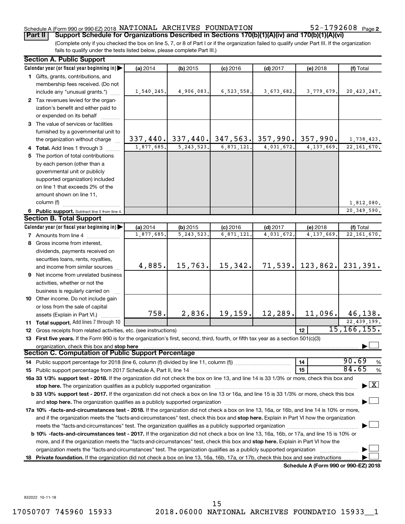#### Schedule A (Form 990 or 990-EZ) 2018 NATIONAL ARCHIVES FOUNDATION 52-1792608 Page

52-1792608 Page 2

(Complete only if you checked the box on line 5, 7, or 8 of Part I or if the organization failed to qualify under Part III. If the organization fails to qualify under the tests listed below, please complete Part III.) **Part II Support Schedule for Organizations Described in Sections 170(b)(1)(A)(iv) and 170(b)(1)(A)(vi)**

|    | <b>Section A. Public Support</b>                                                                                                                                                                                               |              |                                              |              |            |                 |                                    |  |
|----|--------------------------------------------------------------------------------------------------------------------------------------------------------------------------------------------------------------------------------|--------------|----------------------------------------------|--------------|------------|-----------------|------------------------------------|--|
|    | Calendar year (or fiscal year beginning in)                                                                                                                                                                                    | (a) 2014     | $(b)$ 2015                                   | $(c)$ 2016   | $(d)$ 2017 | (e) 2018        | (f) Total                          |  |
|    | 1 Gifts, grants, contributions, and                                                                                                                                                                                            |              |                                              |              |            |                 |                                    |  |
|    | membership fees received. (Do not                                                                                                                                                                                              |              |                                              |              |            |                 |                                    |  |
|    | include any "unusual grants.")                                                                                                                                                                                                 | 1, 540, 245. | 4,906,083.                                   | 6, 523, 558. | 3,673,682. | 3,779,679.      | 20, 423, 247.                      |  |
|    | 2 Tax revenues levied for the organ-                                                                                                                                                                                           |              |                                              |              |            |                 |                                    |  |
|    | ization's benefit and either paid to                                                                                                                                                                                           |              |                                              |              |            |                 |                                    |  |
|    | or expended on its behalf                                                                                                                                                                                                      |              |                                              |              |            |                 |                                    |  |
|    | 3 The value of services or facilities                                                                                                                                                                                          |              |                                              |              |            |                 |                                    |  |
|    | furnished by a governmental unit to                                                                                                                                                                                            |              |                                              |              |            |                 |                                    |  |
|    | the organization without charge                                                                                                                                                                                                |              | 337,440. 337,440. 347,563. 357,990. 357,990. |              |            |                 | 1,738,423.                         |  |
|    | 4 Total. Add lines 1 through 3                                                                                                                                                                                                 | 1,877,685.   | 5, 243, 523.                                 | 6,871,121.   | 4,031,672. | 4, 137, 669.    | 22, 161, 670.                      |  |
|    | 5 The portion of total contributions                                                                                                                                                                                           |              |                                              |              |            |                 |                                    |  |
|    | by each person (other than a                                                                                                                                                                                                   |              |                                              |              |            |                 |                                    |  |
|    | governmental unit or publicly                                                                                                                                                                                                  |              |                                              |              |            |                 |                                    |  |
|    | supported organization) included                                                                                                                                                                                               |              |                                              |              |            |                 |                                    |  |
|    | on line 1 that exceeds 2% of the                                                                                                                                                                                               |              |                                              |              |            |                 |                                    |  |
|    | amount shown on line 11,                                                                                                                                                                                                       |              |                                              |              |            |                 |                                    |  |
|    | column (f)                                                                                                                                                                                                                     |              |                                              |              |            |                 | 1,812,080.                         |  |
|    | 6 Public support. Subtract line 5 from line 4.                                                                                                                                                                                 |              |                                              |              |            |                 | 20, 349, 590.                      |  |
|    | <b>Section B. Total Support</b>                                                                                                                                                                                                |              |                                              |              |            |                 |                                    |  |
|    | Calendar year (or fiscal year beginning in)                                                                                                                                                                                    | (a) 2014     | (b) 2015                                     | $(c)$ 2016   | $(d)$ 2017 | (e) 2018        | (f) Total                          |  |
|    | 7 Amounts from line 4                                                                                                                                                                                                          | 1,877,685.   | 5, 243, 523.                                 | 6,871,121    | 4,031,672  | 4, 137, 669.    | 22, 161, 670.                      |  |
|    | 8 Gross income from interest,                                                                                                                                                                                                  |              |                                              |              |            |                 |                                    |  |
|    | dividends, payments received on                                                                                                                                                                                                |              |                                              |              |            |                 |                                    |  |
|    | securities loans, rents, royalties,                                                                                                                                                                                            |              |                                              |              |            |                 |                                    |  |
|    |                                                                                                                                                                                                                                | 4,885.       | 15,763.                                      | 15,342.      | 71, 539.   | 123,862.        | 231,391.                           |  |
|    | and income from similar sources<br><b>9</b> Net income from unrelated business                                                                                                                                                 |              |                                              |              |            |                 |                                    |  |
|    |                                                                                                                                                                                                                                |              |                                              |              |            |                 |                                    |  |
|    | activities, whether or not the                                                                                                                                                                                                 |              |                                              |              |            |                 |                                    |  |
|    | business is regularly carried on                                                                                                                                                                                               |              |                                              |              |            |                 |                                    |  |
|    | 10 Other income. Do not include gain                                                                                                                                                                                           |              |                                              |              |            |                 |                                    |  |
|    | or loss from the sale of capital                                                                                                                                                                                               | 758.         | 2,836.                                       | 19, 159.     | 12, 289.   | 11,096.         | 46,138.                            |  |
|    | assets (Explain in Part VI.)                                                                                                                                                                                                   |              |                                              |              |            |                 | 22, 439, 199.                      |  |
|    | 11 Total support. Add lines 7 through 10                                                                                                                                                                                       |              |                                              |              |            | 12 <sup>2</sup> | 15, 166, 155.                      |  |
|    | <b>12</b> Gross receipts from related activities, etc. (see instructions)                                                                                                                                                      |              |                                              |              |            |                 |                                    |  |
|    | 13 First five years. If the Form 990 is for the organization's first, second, third, fourth, or fifth tax year as a section 501(c)(3)                                                                                          |              |                                              |              |            |                 |                                    |  |
|    | organization, check this box and stop here<br><b>Section C. Computation of Public Support Percentage</b>                                                                                                                       |              |                                              |              |            |                 |                                    |  |
|    |                                                                                                                                                                                                                                |              |                                              |              |            | 14              | 90.69<br>%                         |  |
|    |                                                                                                                                                                                                                                |              |                                              |              |            | 15              | 84.65<br>%                         |  |
|    | 16a 33 1/3% support test - 2018. If the organization did not check the box on line 13, and line 14 is 33 1/3% or more, check this box and                                                                                      |              |                                              |              |            |                 |                                    |  |
|    |                                                                                                                                                                                                                                |              |                                              |              |            |                 | $\blacktriangleright$ $\mathbf{X}$ |  |
|    | stop here. The organization qualifies as a publicly supported organization [11] manuscription manuscription manuscription manuscription manuscription manuscription and the original state of the state of the state of the st |              |                                              |              |            |                 |                                    |  |
|    | b 33 1/3% support test - 2017. If the organization did not check a box on line 13 or 16a, and line 15 is 33 1/3% or more, check this box                                                                                       |              |                                              |              |            |                 |                                    |  |
|    |                                                                                                                                                                                                                                |              |                                              |              |            |                 |                                    |  |
|    | 17a 10% -facts-and-circumstances test - 2018. If the organization did not check a box on line 13, 16a, or 16b, and line 14 is 10% or more,                                                                                     |              |                                              |              |            |                 |                                    |  |
|    | and if the organization meets the "facts-and-circumstances" test, check this box and stop here. Explain in Part VI how the organization                                                                                        |              |                                              |              |            |                 |                                    |  |
|    | b 10% -facts-and-circumstances test - 2017. If the organization did not check a box on line 13, 16a, 16b, or 17a, and line 15 is 10% or                                                                                        |              |                                              |              |            |                 |                                    |  |
|    |                                                                                                                                                                                                                                |              |                                              |              |            |                 |                                    |  |
|    | more, and if the organization meets the "facts-and-circumstances" test, check this box and stop here. Explain in Part VI how the                                                                                               |              |                                              |              |            |                 |                                    |  |
|    | organization meets the "facts-and-circumstances" test. The organization qualifies as a publicly supported organization                                                                                                         |              |                                              |              |            |                 |                                    |  |
| 18 | Private foundation. If the organization did not check a box on line 13, 16a, 16b, 17a, or 17b, check this box and see instructions<br>Schodule A (Form 000 or 000 EZ) 2019                                                     |              |                                              |              |            |                 |                                    |  |

**Schedule A (Form 990 or 990-EZ) 2018**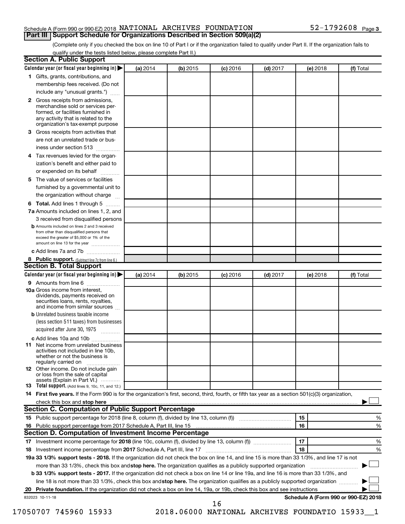#### Schedule A (Form 990 or 990-EZ) 2018 NATIONAL ARCHIVES FOUNDATION 52-1792608 Page **Part III Support Schedule for Organizations Described in Section 509(a)(2)**

(Complete only if you checked the box on line 10 of Part I or if the organization failed to qualify under Part II. If the organization fails to qualify under the tests listed below, please complete Part II.)

|              | Calendar year (or fiscal year beginning in)                                                                                                                                            | (a) 2014 | (b) 2015 | $(c)$ 2016 | $(d)$ 2017                                   |    | (e) 2018 | (f) Total                            |   |
|--------------|----------------------------------------------------------------------------------------------------------------------------------------------------------------------------------------|----------|----------|------------|----------------------------------------------|----|----------|--------------------------------------|---|
|              | 1 Gifts, grants, contributions, and                                                                                                                                                    |          |          |            |                                              |    |          |                                      |   |
|              | membership fees received. (Do not                                                                                                                                                      |          |          |            |                                              |    |          |                                      |   |
|              | include any "unusual grants.")                                                                                                                                                         |          |          |            |                                              |    |          |                                      |   |
| $\mathbf{2}$ | Gross receipts from admissions,<br>merchandise sold or services per-<br>formed, or facilities furnished in<br>any activity that is related to the<br>organization's tax-exempt purpose |          |          |            |                                              |    |          |                                      |   |
| 3.           | Gross receipts from activities that                                                                                                                                                    |          |          |            |                                              |    |          |                                      |   |
|              | are not an unrelated trade or bus-                                                                                                                                                     |          |          |            |                                              |    |          |                                      |   |
|              | iness under section 513                                                                                                                                                                |          |          |            |                                              |    |          |                                      |   |
| 4            | Tax revenues levied for the organ-                                                                                                                                                     |          |          |            |                                              |    |          |                                      |   |
|              | ization's benefit and either paid to<br>or expended on its behalf<br>.                                                                                                                 |          |          |            |                                              |    |          |                                      |   |
| 5            | The value of services or facilities                                                                                                                                                    |          |          |            |                                              |    |          |                                      |   |
|              | furnished by a governmental unit to<br>the organization without charge                                                                                                                 |          |          |            |                                              |    |          |                                      |   |
| 6            | Total. Add lines 1 through 5                                                                                                                                                           |          |          |            |                                              |    |          |                                      |   |
|              | 7a Amounts included on lines 1, 2, and                                                                                                                                                 |          |          |            |                                              |    |          |                                      |   |
|              | 3 received from disqualified persons                                                                                                                                                   |          |          |            |                                              |    |          |                                      |   |
|              | <b>b</b> Amounts included on lines 2 and 3 received                                                                                                                                    |          |          |            |                                              |    |          |                                      |   |
|              | from other than disqualified persons that<br>exceed the greater of \$5,000 or 1% of the<br>amount on line 13 for the year                                                              |          |          |            |                                              |    |          |                                      |   |
|              | c Add lines 7a and 7b                                                                                                                                                                  |          |          |            |                                              |    |          |                                      |   |
|              | 8 Public support. (Subtract line 7c from line 6.)                                                                                                                                      |          |          |            |                                              |    |          |                                      |   |
|              | <b>Section B. Total Support</b>                                                                                                                                                        |          |          |            |                                              |    |          |                                      |   |
|              | Calendar year (or fiscal year beginning in)                                                                                                                                            | (a) 2014 | (b) 2015 | $(c)$ 2016 | $(d)$ 2017                                   |    | (e) 2018 | (f) Total                            |   |
|              | 9 Amounts from line 6                                                                                                                                                                  |          |          |            |                                              |    |          |                                      |   |
|              | <b>10a</b> Gross income from interest,<br>dividends, payments received on<br>securities loans, rents, royalties,<br>and income from similar sources                                    |          |          |            |                                              |    |          |                                      |   |
|              | <b>b</b> Unrelated business taxable income                                                                                                                                             |          |          |            |                                              |    |          |                                      |   |
|              | (less section 511 taxes) from businesses<br>acquired after June 30, 1975                                                                                                               |          |          |            |                                              |    |          |                                      |   |
|              | c Add lines 10a and 10b                                                                                                                                                                |          |          |            |                                              |    |          |                                      |   |
| 11           | Net income from unrelated business<br>activities not included in line 10b.<br>whether or not the business is<br>regularly carried on                                                   |          |          |            |                                              |    |          |                                      |   |
|              | <b>12</b> Other income. Do not include gain<br>or loss from the sale of capital<br>assets (Explain in Part VI.)                                                                        |          |          |            |                                              |    |          |                                      |   |
|              | <b>13</b> Total support. (Add lines 9, 10c, 11, and 12.)                                                                                                                               |          |          |            |                                              |    |          |                                      |   |
|              | 14 First five years. If the Form 990 is for the organization's first, second, third, fourth, or fifth tax year as a section 501(c)(3) organization,                                    |          |          |            |                                              |    |          |                                      |   |
|              |                                                                                                                                                                                        |          |          |            |                                              |    |          |                                      |   |
|              | Section C. Computation of Public Support Percentage                                                                                                                                    |          |          |            |                                              |    |          |                                      |   |
|              |                                                                                                                                                                                        |          |          |            |                                              | 15 |          |                                      | % |
|              |                                                                                                                                                                                        |          |          |            |                                              | 16 |          |                                      | % |
|              | Section D. Computation of Investment Income Percentage                                                                                                                                 |          |          |            |                                              |    |          |                                      |   |
|              |                                                                                                                                                                                        |          |          |            |                                              | 17 |          |                                      | % |
|              |                                                                                                                                                                                        |          |          |            |                                              | 18 |          |                                      | % |
|              | 19a 33 1/3% support tests - 2018. If the organization did not check the box on line 14, and line 15 is more than 33 1/3%, and line 17 is not                                           |          |          |            |                                              |    |          |                                      |   |
|              | more than 33 1/3%, check this box and stop here. The organization qualifies as a publicly supported organization                                                                       |          |          |            |                                              |    |          |                                      |   |
|              | <b>b 33 1/3% support tests - 2017.</b> If the organization did not check a box on line 14 or line 19a, and line 16 is more than 33 1/3%, and                                           |          |          |            |                                              |    |          |                                      |   |
|              | line 18 is not more than 33 1/3%, check this box and stop here. The organization qualifies as a publicly supported organization                                                        |          |          |            |                                              |    |          |                                      |   |
|              |                                                                                                                                                                                        |          |          |            |                                              |    |          |                                      |   |
|              | 832023 10-11-18                                                                                                                                                                        |          |          |            |                                              |    |          | Schedule A (Form 990 or 990-EZ) 2018 |   |
|              |                                                                                                                                                                                        |          |          | 16         |                                              |    |          |                                      |   |
|              | 17050707 745960 15933                                                                                                                                                                  |          |          |            | 2018.06000 NATIONAL ARCHIVES FOUNDATIO 15933 |    |          |                                      |   |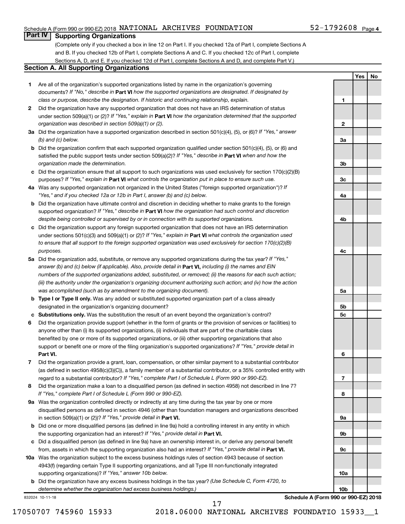#### Schedule A (Form 990 or 990-EZ) 2018 NATIONAL ARCHIVES FOUNDATION 52-1792608 Page

### **Part IV Supporting Organizations**

(Complete only if you checked a box in line 12 on Part I. If you checked 12a of Part I, complete Sections A and B. If you checked 12b of Part I, complete Sections A and C. If you checked 12c of Part I, complete Sections A, D, and E. If you checked 12d of Part I, complete Sections A and D, and complete Part V.)

#### **Section A. All Supporting Organizations**

- **1** Are all of the organization's supported organizations listed by name in the organization's governing documents? If "No," describe in Part VI how the supported organizations are designated. If designated by *class or purpose, describe the designation. If historic and continuing relationship, explain.*
- **2** Did the organization have any supported organization that does not have an IRS determination of status under section 509(a)(1) or (2)? If "Yes," explain in Part **VI** how the organization determined that the supported *organization was described in section 509(a)(1) or (2).*
- **3a** Did the organization have a supported organization described in section 501(c)(4), (5), or (6)? If "Yes," answer *(b) and (c) below.*
- **b** Did the organization confirm that each supported organization qualified under section 501(c)(4), (5), or (6) and satisfied the public support tests under section 509(a)(2)? If "Yes," describe in Part VI when and how the *organization made the determination.*
- **c** Did the organization ensure that all support to such organizations was used exclusively for section 170(c)(2)(B) purposes? If "Yes," explain in Part VI what controls the organization put in place to ensure such use.
- **4 a** *If* Was any supported organization not organized in the United States ("foreign supported organization")? *"Yes," and if you checked 12a or 12b in Part I, answer (b) and (c) below.*
- **b** Did the organization have ultimate control and discretion in deciding whether to make grants to the foreign supported organization? If "Yes," describe in Part VI how the organization had such control and discretion *despite being controlled or supervised by or in connection with its supported organizations.*
- **c** Did the organization support any foreign supported organization that does not have an IRS determination under sections 501(c)(3) and 509(a)(1) or (2)? If "Yes," explain in Part VI what controls the organization used *to ensure that all support to the foreign supported organization was used exclusively for section 170(c)(2)(B) purposes.*
- **5a** Did the organization add, substitute, or remove any supported organizations during the tax year? If "Yes," answer (b) and (c) below (if applicable). Also, provide detail in **Part VI,** including (i) the names and EIN *numbers of the supported organizations added, substituted, or removed; (ii) the reasons for each such action; (iii) the authority under the organization's organizing document authorizing such action; and (iv) how the action was accomplished (such as by amendment to the organizing document).*
- **b** Type I or Type II only. Was any added or substituted supported organization part of a class already designated in the organization's organizing document?
- **c Substitutions only.**  Was the substitution the result of an event beyond the organization's control?
- **6** Did the organization provide support (whether in the form of grants or the provision of services or facilities) to **Part VI.** support or benefit one or more of the filing organization's supported organizations? If "Yes," provide detail in anyone other than (i) its supported organizations, (ii) individuals that are part of the charitable class benefited by one or more of its supported organizations, or (iii) other supporting organizations that also
- **7** Did the organization provide a grant, loan, compensation, or other similar payment to a substantial contributor regard to a substantial contributor? If "Yes," complete Part I of Schedule L (Form 990 or 990-EZ). (as defined in section 4958(c)(3)(C)), a family member of a substantial contributor, or a 35% controlled entity with
- **8** Did the organization make a loan to a disqualified person (as defined in section 4958) not described in line 7? *If "Yes," complete Part I of Schedule L (Form 990 or 990-EZ).*
- **9 a** Was the organization controlled directly or indirectly at any time during the tax year by one or more in section 509(a)(1) or (2))? If "Yes," provide detail in **Part VI.** disqualified persons as defined in section 4946 (other than foundation managers and organizations described
- **b** Did one or more disqualified persons (as defined in line 9a) hold a controlling interest in any entity in which the supporting organization had an interest? If "Yes," provide detail in Part VI.
- **c** Did a disqualified person (as defined in line 9a) have an ownership interest in, or derive any personal benefit from, assets in which the supporting organization also had an interest? If "Yes," provide detail in Part VI.
- **10 a** Was the organization subject to the excess business holdings rules of section 4943 because of section supporting organizations)? If "Yes," answer 10b below. 4943(f) (regarding certain Type II supporting organizations, and all Type III non-functionally integrated
	- **b** Did the organization have any excess business holdings in the tax year? (Use Schedule C, Form 4720, to *determine whether the organization had excess business holdings.)*

832024 10-11-18

**Schedule A (Form 990 or 990-EZ) 2018**

17

**1**

**2**

**3a**

**3b**

**3c**

**4a**

**4b**

**4c**

**5a**

**5b 5c**

**6**

**7**

**8**

**9a**

**9b**

**9c**

**10a**

**10b**

**Yes No**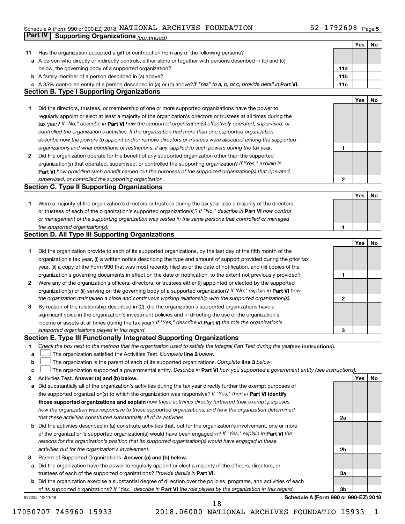#### Schedule A (Form 990 or 990-EZ) 2018 NATIONAL ARCHIVES FOUNDATION 52-1792608 Page **Part IV Supporting Organizations** *(continued)*

| Has the organization accepted a gift or contribution from any of the following persons?<br>11<br>a A person who directly or indirectly controls, either alone or together with persons described in (b) and (c)<br>below, the governing body of a supported organization?<br>11a<br>11 <sub>b</sub><br><b>b</b> A family member of a person described in (a) above?<br>c A 35% controlled entity of a person described in (a) or (b) above? If "Yes" to a, b, or c, provide detail in Part VI.<br>11c<br><b>Section B. Type I Supporting Organizations</b><br>Yes<br>No<br>Did the directors, trustees, or membership of one or more supported organizations have the power to<br>1.<br>regularly appoint or elect at least a majority of the organization's directors or trustees at all times during the<br>tax year? If "No," describe in Part VI how the supported organization(s) effectively operated, supervised, or<br>controlled the organization's activities. If the organization had more than one supported organization,<br>describe how the powers to appoint and/or remove directors or trustees were allocated among the supported<br>organizations and what conditions or restrictions, if any, applied to such powers during the tax year.<br>1<br>Did the organization operate for the benefit of any supported organization other than the supported<br>2<br>organization(s) that operated, supervised, or controlled the supporting organization? If "Yes," explain in<br>Part VI how providing such benefit carried out the purposes of the supported organization(s) that operated,<br>supervised, or controlled the supporting organization.<br>2<br><b>Section C. Type II Supporting Organizations</b><br>Yes<br>No<br>Were a majority of the organization's directors or trustees during the tax year also a majority of the directors<br>1.<br>or trustees of each of the organization's supported organization(s)? If "No," describe in Part VI how control<br>or management of the supporting organization was vested in the same persons that controlled or managed<br>the supported organization(s).<br>1<br><b>Section D. All Type III Supporting Organizations</b><br>Yes<br>No<br>Did the organization provide to each of its supported organizations, by the last day of the fifth month of the<br>1.<br>organization's tax year, (i) a written notice describing the type and amount of support provided during the prior tax<br>year, (ii) a copy of the Form 990 that was most recently filed as of the date of notification, and (iii) copies of the<br>organization's governing documents in effect on the date of notification, to the extent not previously provided?<br>1<br>Were any of the organization's officers, directors, or trustees either (i) appointed or elected by the supported<br>2<br>organization(s) or (ii) serving on the governing body of a supported organization? If "No," explain in Part VI how<br>the organization maintained a close and continuous working relationship with the supported organization(s).<br>2<br>By reason of the relationship described in (2), did the organization's supported organizations have a<br>3<br>significant voice in the organization's investment policies and in directing the use of the organization's<br>income or assets at all times during the tax year? If "Yes," describe in Part VI the role the organization's<br>supported organizations played in this regard.<br>з<br>Section E. Type III Functionally Integrated Supporting Organizations<br>Check the box next to the method that the organization used to satisfy the Integral Part Test during the yealsee instructions).<br>1<br>The organization satisfied the Activities Test. Complete line 2 below.<br>a<br>The organization is the parent of each of its supported organizations. Complete line 3 below.<br>b<br>The organization supported a governmental entity. Describe in Part VI how you supported a government entity (see instructions).<br>c<br>Activities Test. Answer (a) and (b) below.<br>Yes<br>No<br>2<br>Did substantially all of the organization's activities during the tax year directly further the exempt purposes of<br>а<br>the supported organization(s) to which the organization was responsive? If "Yes," then in Part VI identify<br>those supported organizations and explain how these activities directly furthered their exempt purposes,<br>how the organization was responsive to those supported organizations, and how the organization determined<br>that these activities constituted substantially all of its activities.<br>2a<br>Did the activities described in (a) constitute activities that, but for the organization's involvement, one or more<br>b<br>of the organization's supported organization(s) would have been engaged in? If "Yes," explain in Part VI the<br>reasons for the organization's position that its supported organization(s) would have engaged in these<br>activities but for the organization's involvement.<br>2b<br>Parent of Supported Organizations. Answer (a) and (b) below.<br>3<br>Did the organization have the power to regularly appoint or elect a majority of the officers, directors, or<br>а<br>trustees of each of the supported organizations? Provide details in Part VI.<br>За<br>Did the organization exercise a substantial degree of direction over the policies, programs, and activities of each<br>b<br>of its supported organizations? If "Yes," describe in Part VI the role played by the organization in this regard.<br>Зb<br><b>» 000 AV 000 EZI 0046</b> |  | Yes | No |
|----------------------------------------------------------------------------------------------------------------------------------------------------------------------------------------------------------------------------------------------------------------------------------------------------------------------------------------------------------------------------------------------------------------------------------------------------------------------------------------------------------------------------------------------------------------------------------------------------------------------------------------------------------------------------------------------------------------------------------------------------------------------------------------------------------------------------------------------------------------------------------------------------------------------------------------------------------------------------------------------------------------------------------------------------------------------------------------------------------------------------------------------------------------------------------------------------------------------------------------------------------------------------------------------------------------------------------------------------------------------------------------------------------------------------------------------------------------------------------------------------------------------------------------------------------------------------------------------------------------------------------------------------------------------------------------------------------------------------------------------------------------------------------------------------------------------------------------------------------------------------------------------------------------------------------------------------------------------------------------------------------------------------------------------------------------------------------------------------------------------------------------------------------------------------------------------------------------------------------------------------------------------------------------------------------------------------------------------------------------------------------------------------------------------------------------------------------------------------------------------------------------------------------------------------------------------------------------------------------------------------------------------------------------------------------------------------------------------------------------------------------------------------------------------------------------------------------------------------------------------------------------------------------------------------------------------------------------------------------------------------------------------------------------------------------------------------------------------------------------------------------------------------------------------------------------------------------------------------------------------------------------------------------------------------------------------------------------------------------------------------------------------------------------------------------------------------------------------------------------------------------------------------------------------------------------------------------------------------------------------------------------------------------------------------------------------------------------------------------------------------------------------------------------------------------------------------------------------------------------------------------------------------------------------------------------------------------------------------------------------------------------------------------------------------------------------------------------------------------------------------------------------------------------------------------------------------------------------------------------------------------------------------------------------------------------------------------------------------------------------------------------------------------------------------------------------------------------------------------------------------------------------------------------------------------------------------------------------------------------------------------------------------------------------------------------------------------------------------------------------------------------------------------------------------------------------------------------------------------------------------------------------------------------------------------------------------------------------------------------------------------------------------------------------------------------------------------------------------------------------------------------------------------------------------------------------------------------------------------------------------------------------------------------------------------------------------------------------------------------------------------------------------------------------------------------------------------------------------------------------------------------------------------------------------------------------------------------------------------------------------------------------------|--|-----|----|
|                                                                                                                                                                                                                                                                                                                                                                                                                                                                                                                                                                                                                                                                                                                                                                                                                                                                                                                                                                                                                                                                                                                                                                                                                                                                                                                                                                                                                                                                                                                                                                                                                                                                                                                                                                                                                                                                                                                                                                                                                                                                                                                                                                                                                                                                                                                                                                                                                                                                                                                                                                                                                                                                                                                                                                                                                                                                                                                                                                                                                                                                                                                                                                                                                                                                                                                                                                                                                                                                                                                                                                                                                                                                                                                                                                                                                                                                                                                                                                                                                                                                                                                                                                                                                                                                                                                                                                                                                                                                                                                                                                                                                                                                                                                                                                                                                                                                                                                                                                                                                                                                                                                                                                                                                                                                                                                                                                                                                                                                                                                                                                                                                                                    |  |     |    |
|                                                                                                                                                                                                                                                                                                                                                                                                                                                                                                                                                                                                                                                                                                                                                                                                                                                                                                                                                                                                                                                                                                                                                                                                                                                                                                                                                                                                                                                                                                                                                                                                                                                                                                                                                                                                                                                                                                                                                                                                                                                                                                                                                                                                                                                                                                                                                                                                                                                                                                                                                                                                                                                                                                                                                                                                                                                                                                                                                                                                                                                                                                                                                                                                                                                                                                                                                                                                                                                                                                                                                                                                                                                                                                                                                                                                                                                                                                                                                                                                                                                                                                                                                                                                                                                                                                                                                                                                                                                                                                                                                                                                                                                                                                                                                                                                                                                                                                                                                                                                                                                                                                                                                                                                                                                                                                                                                                                                                                                                                                                                                                                                                                                    |  |     |    |
|                                                                                                                                                                                                                                                                                                                                                                                                                                                                                                                                                                                                                                                                                                                                                                                                                                                                                                                                                                                                                                                                                                                                                                                                                                                                                                                                                                                                                                                                                                                                                                                                                                                                                                                                                                                                                                                                                                                                                                                                                                                                                                                                                                                                                                                                                                                                                                                                                                                                                                                                                                                                                                                                                                                                                                                                                                                                                                                                                                                                                                                                                                                                                                                                                                                                                                                                                                                                                                                                                                                                                                                                                                                                                                                                                                                                                                                                                                                                                                                                                                                                                                                                                                                                                                                                                                                                                                                                                                                                                                                                                                                                                                                                                                                                                                                                                                                                                                                                                                                                                                                                                                                                                                                                                                                                                                                                                                                                                                                                                                                                                                                                                                                    |  |     |    |
|                                                                                                                                                                                                                                                                                                                                                                                                                                                                                                                                                                                                                                                                                                                                                                                                                                                                                                                                                                                                                                                                                                                                                                                                                                                                                                                                                                                                                                                                                                                                                                                                                                                                                                                                                                                                                                                                                                                                                                                                                                                                                                                                                                                                                                                                                                                                                                                                                                                                                                                                                                                                                                                                                                                                                                                                                                                                                                                                                                                                                                                                                                                                                                                                                                                                                                                                                                                                                                                                                                                                                                                                                                                                                                                                                                                                                                                                                                                                                                                                                                                                                                                                                                                                                                                                                                                                                                                                                                                                                                                                                                                                                                                                                                                                                                                                                                                                                                                                                                                                                                                                                                                                                                                                                                                                                                                                                                                                                                                                                                                                                                                                                                                    |  |     |    |
|                                                                                                                                                                                                                                                                                                                                                                                                                                                                                                                                                                                                                                                                                                                                                                                                                                                                                                                                                                                                                                                                                                                                                                                                                                                                                                                                                                                                                                                                                                                                                                                                                                                                                                                                                                                                                                                                                                                                                                                                                                                                                                                                                                                                                                                                                                                                                                                                                                                                                                                                                                                                                                                                                                                                                                                                                                                                                                                                                                                                                                                                                                                                                                                                                                                                                                                                                                                                                                                                                                                                                                                                                                                                                                                                                                                                                                                                                                                                                                                                                                                                                                                                                                                                                                                                                                                                                                                                                                                                                                                                                                                                                                                                                                                                                                                                                                                                                                                                                                                                                                                                                                                                                                                                                                                                                                                                                                                                                                                                                                                                                                                                                                                    |  |     |    |
|                                                                                                                                                                                                                                                                                                                                                                                                                                                                                                                                                                                                                                                                                                                                                                                                                                                                                                                                                                                                                                                                                                                                                                                                                                                                                                                                                                                                                                                                                                                                                                                                                                                                                                                                                                                                                                                                                                                                                                                                                                                                                                                                                                                                                                                                                                                                                                                                                                                                                                                                                                                                                                                                                                                                                                                                                                                                                                                                                                                                                                                                                                                                                                                                                                                                                                                                                                                                                                                                                                                                                                                                                                                                                                                                                                                                                                                                                                                                                                                                                                                                                                                                                                                                                                                                                                                                                                                                                                                                                                                                                                                                                                                                                                                                                                                                                                                                                                                                                                                                                                                                                                                                                                                                                                                                                                                                                                                                                                                                                                                                                                                                                                                    |  |     |    |
|                                                                                                                                                                                                                                                                                                                                                                                                                                                                                                                                                                                                                                                                                                                                                                                                                                                                                                                                                                                                                                                                                                                                                                                                                                                                                                                                                                                                                                                                                                                                                                                                                                                                                                                                                                                                                                                                                                                                                                                                                                                                                                                                                                                                                                                                                                                                                                                                                                                                                                                                                                                                                                                                                                                                                                                                                                                                                                                                                                                                                                                                                                                                                                                                                                                                                                                                                                                                                                                                                                                                                                                                                                                                                                                                                                                                                                                                                                                                                                                                                                                                                                                                                                                                                                                                                                                                                                                                                                                                                                                                                                                                                                                                                                                                                                                                                                                                                                                                                                                                                                                                                                                                                                                                                                                                                                                                                                                                                                                                                                                                                                                                                                                    |  |     |    |
|                                                                                                                                                                                                                                                                                                                                                                                                                                                                                                                                                                                                                                                                                                                                                                                                                                                                                                                                                                                                                                                                                                                                                                                                                                                                                                                                                                                                                                                                                                                                                                                                                                                                                                                                                                                                                                                                                                                                                                                                                                                                                                                                                                                                                                                                                                                                                                                                                                                                                                                                                                                                                                                                                                                                                                                                                                                                                                                                                                                                                                                                                                                                                                                                                                                                                                                                                                                                                                                                                                                                                                                                                                                                                                                                                                                                                                                                                                                                                                                                                                                                                                                                                                                                                                                                                                                                                                                                                                                                                                                                                                                                                                                                                                                                                                                                                                                                                                                                                                                                                                                                                                                                                                                                                                                                                                                                                                                                                                                                                                                                                                                                                                                    |  |     |    |
|                                                                                                                                                                                                                                                                                                                                                                                                                                                                                                                                                                                                                                                                                                                                                                                                                                                                                                                                                                                                                                                                                                                                                                                                                                                                                                                                                                                                                                                                                                                                                                                                                                                                                                                                                                                                                                                                                                                                                                                                                                                                                                                                                                                                                                                                                                                                                                                                                                                                                                                                                                                                                                                                                                                                                                                                                                                                                                                                                                                                                                                                                                                                                                                                                                                                                                                                                                                                                                                                                                                                                                                                                                                                                                                                                                                                                                                                                                                                                                                                                                                                                                                                                                                                                                                                                                                                                                                                                                                                                                                                                                                                                                                                                                                                                                                                                                                                                                                                                                                                                                                                                                                                                                                                                                                                                                                                                                                                                                                                                                                                                                                                                                                    |  |     |    |
|                                                                                                                                                                                                                                                                                                                                                                                                                                                                                                                                                                                                                                                                                                                                                                                                                                                                                                                                                                                                                                                                                                                                                                                                                                                                                                                                                                                                                                                                                                                                                                                                                                                                                                                                                                                                                                                                                                                                                                                                                                                                                                                                                                                                                                                                                                                                                                                                                                                                                                                                                                                                                                                                                                                                                                                                                                                                                                                                                                                                                                                                                                                                                                                                                                                                                                                                                                                                                                                                                                                                                                                                                                                                                                                                                                                                                                                                                                                                                                                                                                                                                                                                                                                                                                                                                                                                                                                                                                                                                                                                                                                                                                                                                                                                                                                                                                                                                                                                                                                                                                                                                                                                                                                                                                                                                                                                                                                                                                                                                                                                                                                                                                                    |  |     |    |
|                                                                                                                                                                                                                                                                                                                                                                                                                                                                                                                                                                                                                                                                                                                                                                                                                                                                                                                                                                                                                                                                                                                                                                                                                                                                                                                                                                                                                                                                                                                                                                                                                                                                                                                                                                                                                                                                                                                                                                                                                                                                                                                                                                                                                                                                                                                                                                                                                                                                                                                                                                                                                                                                                                                                                                                                                                                                                                                                                                                                                                                                                                                                                                                                                                                                                                                                                                                                                                                                                                                                                                                                                                                                                                                                                                                                                                                                                                                                                                                                                                                                                                                                                                                                                                                                                                                                                                                                                                                                                                                                                                                                                                                                                                                                                                                                                                                                                                                                                                                                                                                                                                                                                                                                                                                                                                                                                                                                                                                                                                                                                                                                                                                    |  |     |    |
|                                                                                                                                                                                                                                                                                                                                                                                                                                                                                                                                                                                                                                                                                                                                                                                                                                                                                                                                                                                                                                                                                                                                                                                                                                                                                                                                                                                                                                                                                                                                                                                                                                                                                                                                                                                                                                                                                                                                                                                                                                                                                                                                                                                                                                                                                                                                                                                                                                                                                                                                                                                                                                                                                                                                                                                                                                                                                                                                                                                                                                                                                                                                                                                                                                                                                                                                                                                                                                                                                                                                                                                                                                                                                                                                                                                                                                                                                                                                                                                                                                                                                                                                                                                                                                                                                                                                                                                                                                                                                                                                                                                                                                                                                                                                                                                                                                                                                                                                                                                                                                                                                                                                                                                                                                                                                                                                                                                                                                                                                                                                                                                                                                                    |  |     |    |
|                                                                                                                                                                                                                                                                                                                                                                                                                                                                                                                                                                                                                                                                                                                                                                                                                                                                                                                                                                                                                                                                                                                                                                                                                                                                                                                                                                                                                                                                                                                                                                                                                                                                                                                                                                                                                                                                                                                                                                                                                                                                                                                                                                                                                                                                                                                                                                                                                                                                                                                                                                                                                                                                                                                                                                                                                                                                                                                                                                                                                                                                                                                                                                                                                                                                                                                                                                                                                                                                                                                                                                                                                                                                                                                                                                                                                                                                                                                                                                                                                                                                                                                                                                                                                                                                                                                                                                                                                                                                                                                                                                                                                                                                                                                                                                                                                                                                                                                                                                                                                                                                                                                                                                                                                                                                                                                                                                                                                                                                                                                                                                                                                                                    |  |     |    |
|                                                                                                                                                                                                                                                                                                                                                                                                                                                                                                                                                                                                                                                                                                                                                                                                                                                                                                                                                                                                                                                                                                                                                                                                                                                                                                                                                                                                                                                                                                                                                                                                                                                                                                                                                                                                                                                                                                                                                                                                                                                                                                                                                                                                                                                                                                                                                                                                                                                                                                                                                                                                                                                                                                                                                                                                                                                                                                                                                                                                                                                                                                                                                                                                                                                                                                                                                                                                                                                                                                                                                                                                                                                                                                                                                                                                                                                                                                                                                                                                                                                                                                                                                                                                                                                                                                                                                                                                                                                                                                                                                                                                                                                                                                                                                                                                                                                                                                                                                                                                                                                                                                                                                                                                                                                                                                                                                                                                                                                                                                                                                                                                                                                    |  |     |    |
|                                                                                                                                                                                                                                                                                                                                                                                                                                                                                                                                                                                                                                                                                                                                                                                                                                                                                                                                                                                                                                                                                                                                                                                                                                                                                                                                                                                                                                                                                                                                                                                                                                                                                                                                                                                                                                                                                                                                                                                                                                                                                                                                                                                                                                                                                                                                                                                                                                                                                                                                                                                                                                                                                                                                                                                                                                                                                                                                                                                                                                                                                                                                                                                                                                                                                                                                                                                                                                                                                                                                                                                                                                                                                                                                                                                                                                                                                                                                                                                                                                                                                                                                                                                                                                                                                                                                                                                                                                                                                                                                                                                                                                                                                                                                                                                                                                                                                                                                                                                                                                                                                                                                                                                                                                                                                                                                                                                                                                                                                                                                                                                                                                                    |  |     |    |
|                                                                                                                                                                                                                                                                                                                                                                                                                                                                                                                                                                                                                                                                                                                                                                                                                                                                                                                                                                                                                                                                                                                                                                                                                                                                                                                                                                                                                                                                                                                                                                                                                                                                                                                                                                                                                                                                                                                                                                                                                                                                                                                                                                                                                                                                                                                                                                                                                                                                                                                                                                                                                                                                                                                                                                                                                                                                                                                                                                                                                                                                                                                                                                                                                                                                                                                                                                                                                                                                                                                                                                                                                                                                                                                                                                                                                                                                                                                                                                                                                                                                                                                                                                                                                                                                                                                                                                                                                                                                                                                                                                                                                                                                                                                                                                                                                                                                                                                                                                                                                                                                                                                                                                                                                                                                                                                                                                                                                                                                                                                                                                                                                                                    |  |     |    |
|                                                                                                                                                                                                                                                                                                                                                                                                                                                                                                                                                                                                                                                                                                                                                                                                                                                                                                                                                                                                                                                                                                                                                                                                                                                                                                                                                                                                                                                                                                                                                                                                                                                                                                                                                                                                                                                                                                                                                                                                                                                                                                                                                                                                                                                                                                                                                                                                                                                                                                                                                                                                                                                                                                                                                                                                                                                                                                                                                                                                                                                                                                                                                                                                                                                                                                                                                                                                                                                                                                                                                                                                                                                                                                                                                                                                                                                                                                                                                                                                                                                                                                                                                                                                                                                                                                                                                                                                                                                                                                                                                                                                                                                                                                                                                                                                                                                                                                                                                                                                                                                                                                                                                                                                                                                                                                                                                                                                                                                                                                                                                                                                                                                    |  |     |    |
|                                                                                                                                                                                                                                                                                                                                                                                                                                                                                                                                                                                                                                                                                                                                                                                                                                                                                                                                                                                                                                                                                                                                                                                                                                                                                                                                                                                                                                                                                                                                                                                                                                                                                                                                                                                                                                                                                                                                                                                                                                                                                                                                                                                                                                                                                                                                                                                                                                                                                                                                                                                                                                                                                                                                                                                                                                                                                                                                                                                                                                                                                                                                                                                                                                                                                                                                                                                                                                                                                                                                                                                                                                                                                                                                                                                                                                                                                                                                                                                                                                                                                                                                                                                                                                                                                                                                                                                                                                                                                                                                                                                                                                                                                                                                                                                                                                                                                                                                                                                                                                                                                                                                                                                                                                                                                                                                                                                                                                                                                                                                                                                                                                                    |  |     |    |
|                                                                                                                                                                                                                                                                                                                                                                                                                                                                                                                                                                                                                                                                                                                                                                                                                                                                                                                                                                                                                                                                                                                                                                                                                                                                                                                                                                                                                                                                                                                                                                                                                                                                                                                                                                                                                                                                                                                                                                                                                                                                                                                                                                                                                                                                                                                                                                                                                                                                                                                                                                                                                                                                                                                                                                                                                                                                                                                                                                                                                                                                                                                                                                                                                                                                                                                                                                                                                                                                                                                                                                                                                                                                                                                                                                                                                                                                                                                                                                                                                                                                                                                                                                                                                                                                                                                                                                                                                                                                                                                                                                                                                                                                                                                                                                                                                                                                                                                                                                                                                                                                                                                                                                                                                                                                                                                                                                                                                                                                                                                                                                                                                                                    |  |     |    |
|                                                                                                                                                                                                                                                                                                                                                                                                                                                                                                                                                                                                                                                                                                                                                                                                                                                                                                                                                                                                                                                                                                                                                                                                                                                                                                                                                                                                                                                                                                                                                                                                                                                                                                                                                                                                                                                                                                                                                                                                                                                                                                                                                                                                                                                                                                                                                                                                                                                                                                                                                                                                                                                                                                                                                                                                                                                                                                                                                                                                                                                                                                                                                                                                                                                                                                                                                                                                                                                                                                                                                                                                                                                                                                                                                                                                                                                                                                                                                                                                                                                                                                                                                                                                                                                                                                                                                                                                                                                                                                                                                                                                                                                                                                                                                                                                                                                                                                                                                                                                                                                                                                                                                                                                                                                                                                                                                                                                                                                                                                                                                                                                                                                    |  |     |    |
|                                                                                                                                                                                                                                                                                                                                                                                                                                                                                                                                                                                                                                                                                                                                                                                                                                                                                                                                                                                                                                                                                                                                                                                                                                                                                                                                                                                                                                                                                                                                                                                                                                                                                                                                                                                                                                                                                                                                                                                                                                                                                                                                                                                                                                                                                                                                                                                                                                                                                                                                                                                                                                                                                                                                                                                                                                                                                                                                                                                                                                                                                                                                                                                                                                                                                                                                                                                                                                                                                                                                                                                                                                                                                                                                                                                                                                                                                                                                                                                                                                                                                                                                                                                                                                                                                                                                                                                                                                                                                                                                                                                                                                                                                                                                                                                                                                                                                                                                                                                                                                                                                                                                                                                                                                                                                                                                                                                                                                                                                                                                                                                                                                                    |  |     |    |
|                                                                                                                                                                                                                                                                                                                                                                                                                                                                                                                                                                                                                                                                                                                                                                                                                                                                                                                                                                                                                                                                                                                                                                                                                                                                                                                                                                                                                                                                                                                                                                                                                                                                                                                                                                                                                                                                                                                                                                                                                                                                                                                                                                                                                                                                                                                                                                                                                                                                                                                                                                                                                                                                                                                                                                                                                                                                                                                                                                                                                                                                                                                                                                                                                                                                                                                                                                                                                                                                                                                                                                                                                                                                                                                                                                                                                                                                                                                                                                                                                                                                                                                                                                                                                                                                                                                                                                                                                                                                                                                                                                                                                                                                                                                                                                                                                                                                                                                                                                                                                                                                                                                                                                                                                                                                                                                                                                                                                                                                                                                                                                                                                                                    |  |     |    |
|                                                                                                                                                                                                                                                                                                                                                                                                                                                                                                                                                                                                                                                                                                                                                                                                                                                                                                                                                                                                                                                                                                                                                                                                                                                                                                                                                                                                                                                                                                                                                                                                                                                                                                                                                                                                                                                                                                                                                                                                                                                                                                                                                                                                                                                                                                                                                                                                                                                                                                                                                                                                                                                                                                                                                                                                                                                                                                                                                                                                                                                                                                                                                                                                                                                                                                                                                                                                                                                                                                                                                                                                                                                                                                                                                                                                                                                                                                                                                                                                                                                                                                                                                                                                                                                                                                                                                                                                                                                                                                                                                                                                                                                                                                                                                                                                                                                                                                                                                                                                                                                                                                                                                                                                                                                                                                                                                                                                                                                                                                                                                                                                                                                    |  |     |    |
|                                                                                                                                                                                                                                                                                                                                                                                                                                                                                                                                                                                                                                                                                                                                                                                                                                                                                                                                                                                                                                                                                                                                                                                                                                                                                                                                                                                                                                                                                                                                                                                                                                                                                                                                                                                                                                                                                                                                                                                                                                                                                                                                                                                                                                                                                                                                                                                                                                                                                                                                                                                                                                                                                                                                                                                                                                                                                                                                                                                                                                                                                                                                                                                                                                                                                                                                                                                                                                                                                                                                                                                                                                                                                                                                                                                                                                                                                                                                                                                                                                                                                                                                                                                                                                                                                                                                                                                                                                                                                                                                                                                                                                                                                                                                                                                                                                                                                                                                                                                                                                                                                                                                                                                                                                                                                                                                                                                                                                                                                                                                                                                                                                                    |  |     |    |
|                                                                                                                                                                                                                                                                                                                                                                                                                                                                                                                                                                                                                                                                                                                                                                                                                                                                                                                                                                                                                                                                                                                                                                                                                                                                                                                                                                                                                                                                                                                                                                                                                                                                                                                                                                                                                                                                                                                                                                                                                                                                                                                                                                                                                                                                                                                                                                                                                                                                                                                                                                                                                                                                                                                                                                                                                                                                                                                                                                                                                                                                                                                                                                                                                                                                                                                                                                                                                                                                                                                                                                                                                                                                                                                                                                                                                                                                                                                                                                                                                                                                                                                                                                                                                                                                                                                                                                                                                                                                                                                                                                                                                                                                                                                                                                                                                                                                                                                                                                                                                                                                                                                                                                                                                                                                                                                                                                                                                                                                                                                                                                                                                                                    |  |     |    |
|                                                                                                                                                                                                                                                                                                                                                                                                                                                                                                                                                                                                                                                                                                                                                                                                                                                                                                                                                                                                                                                                                                                                                                                                                                                                                                                                                                                                                                                                                                                                                                                                                                                                                                                                                                                                                                                                                                                                                                                                                                                                                                                                                                                                                                                                                                                                                                                                                                                                                                                                                                                                                                                                                                                                                                                                                                                                                                                                                                                                                                                                                                                                                                                                                                                                                                                                                                                                                                                                                                                                                                                                                                                                                                                                                                                                                                                                                                                                                                                                                                                                                                                                                                                                                                                                                                                                                                                                                                                                                                                                                                                                                                                                                                                                                                                                                                                                                                                                                                                                                                                                                                                                                                                                                                                                                                                                                                                                                                                                                                                                                                                                                                                    |  |     |    |
|                                                                                                                                                                                                                                                                                                                                                                                                                                                                                                                                                                                                                                                                                                                                                                                                                                                                                                                                                                                                                                                                                                                                                                                                                                                                                                                                                                                                                                                                                                                                                                                                                                                                                                                                                                                                                                                                                                                                                                                                                                                                                                                                                                                                                                                                                                                                                                                                                                                                                                                                                                                                                                                                                                                                                                                                                                                                                                                                                                                                                                                                                                                                                                                                                                                                                                                                                                                                                                                                                                                                                                                                                                                                                                                                                                                                                                                                                                                                                                                                                                                                                                                                                                                                                                                                                                                                                                                                                                                                                                                                                                                                                                                                                                                                                                                                                                                                                                                                                                                                                                                                                                                                                                                                                                                                                                                                                                                                                                                                                                                                                                                                                                                    |  |     |    |
|                                                                                                                                                                                                                                                                                                                                                                                                                                                                                                                                                                                                                                                                                                                                                                                                                                                                                                                                                                                                                                                                                                                                                                                                                                                                                                                                                                                                                                                                                                                                                                                                                                                                                                                                                                                                                                                                                                                                                                                                                                                                                                                                                                                                                                                                                                                                                                                                                                                                                                                                                                                                                                                                                                                                                                                                                                                                                                                                                                                                                                                                                                                                                                                                                                                                                                                                                                                                                                                                                                                                                                                                                                                                                                                                                                                                                                                                                                                                                                                                                                                                                                                                                                                                                                                                                                                                                                                                                                                                                                                                                                                                                                                                                                                                                                                                                                                                                                                                                                                                                                                                                                                                                                                                                                                                                                                                                                                                                                                                                                                                                                                                                                                    |  |     |    |
|                                                                                                                                                                                                                                                                                                                                                                                                                                                                                                                                                                                                                                                                                                                                                                                                                                                                                                                                                                                                                                                                                                                                                                                                                                                                                                                                                                                                                                                                                                                                                                                                                                                                                                                                                                                                                                                                                                                                                                                                                                                                                                                                                                                                                                                                                                                                                                                                                                                                                                                                                                                                                                                                                                                                                                                                                                                                                                                                                                                                                                                                                                                                                                                                                                                                                                                                                                                                                                                                                                                                                                                                                                                                                                                                                                                                                                                                                                                                                                                                                                                                                                                                                                                                                                                                                                                                                                                                                                                                                                                                                                                                                                                                                                                                                                                                                                                                                                                                                                                                                                                                                                                                                                                                                                                                                                                                                                                                                                                                                                                                                                                                                                                    |  |     |    |
|                                                                                                                                                                                                                                                                                                                                                                                                                                                                                                                                                                                                                                                                                                                                                                                                                                                                                                                                                                                                                                                                                                                                                                                                                                                                                                                                                                                                                                                                                                                                                                                                                                                                                                                                                                                                                                                                                                                                                                                                                                                                                                                                                                                                                                                                                                                                                                                                                                                                                                                                                                                                                                                                                                                                                                                                                                                                                                                                                                                                                                                                                                                                                                                                                                                                                                                                                                                                                                                                                                                                                                                                                                                                                                                                                                                                                                                                                                                                                                                                                                                                                                                                                                                                                                                                                                                                                                                                                                                                                                                                                                                                                                                                                                                                                                                                                                                                                                                                                                                                                                                                                                                                                                                                                                                                                                                                                                                                                                                                                                                                                                                                                                                    |  |     |    |
|                                                                                                                                                                                                                                                                                                                                                                                                                                                                                                                                                                                                                                                                                                                                                                                                                                                                                                                                                                                                                                                                                                                                                                                                                                                                                                                                                                                                                                                                                                                                                                                                                                                                                                                                                                                                                                                                                                                                                                                                                                                                                                                                                                                                                                                                                                                                                                                                                                                                                                                                                                                                                                                                                                                                                                                                                                                                                                                                                                                                                                                                                                                                                                                                                                                                                                                                                                                                                                                                                                                                                                                                                                                                                                                                                                                                                                                                                                                                                                                                                                                                                                                                                                                                                                                                                                                                                                                                                                                                                                                                                                                                                                                                                                                                                                                                                                                                                                                                                                                                                                                                                                                                                                                                                                                                                                                                                                                                                                                                                                                                                                                                                                                    |  |     |    |
|                                                                                                                                                                                                                                                                                                                                                                                                                                                                                                                                                                                                                                                                                                                                                                                                                                                                                                                                                                                                                                                                                                                                                                                                                                                                                                                                                                                                                                                                                                                                                                                                                                                                                                                                                                                                                                                                                                                                                                                                                                                                                                                                                                                                                                                                                                                                                                                                                                                                                                                                                                                                                                                                                                                                                                                                                                                                                                                                                                                                                                                                                                                                                                                                                                                                                                                                                                                                                                                                                                                                                                                                                                                                                                                                                                                                                                                                                                                                                                                                                                                                                                                                                                                                                                                                                                                                                                                                                                                                                                                                                                                                                                                                                                                                                                                                                                                                                                                                                                                                                                                                                                                                                                                                                                                                                                                                                                                                                                                                                                                                                                                                                                                    |  |     |    |
|                                                                                                                                                                                                                                                                                                                                                                                                                                                                                                                                                                                                                                                                                                                                                                                                                                                                                                                                                                                                                                                                                                                                                                                                                                                                                                                                                                                                                                                                                                                                                                                                                                                                                                                                                                                                                                                                                                                                                                                                                                                                                                                                                                                                                                                                                                                                                                                                                                                                                                                                                                                                                                                                                                                                                                                                                                                                                                                                                                                                                                                                                                                                                                                                                                                                                                                                                                                                                                                                                                                                                                                                                                                                                                                                                                                                                                                                                                                                                                                                                                                                                                                                                                                                                                                                                                                                                                                                                                                                                                                                                                                                                                                                                                                                                                                                                                                                                                                                                                                                                                                                                                                                                                                                                                                                                                                                                                                                                                                                                                                                                                                                                                                    |  |     |    |
|                                                                                                                                                                                                                                                                                                                                                                                                                                                                                                                                                                                                                                                                                                                                                                                                                                                                                                                                                                                                                                                                                                                                                                                                                                                                                                                                                                                                                                                                                                                                                                                                                                                                                                                                                                                                                                                                                                                                                                                                                                                                                                                                                                                                                                                                                                                                                                                                                                                                                                                                                                                                                                                                                                                                                                                                                                                                                                                                                                                                                                                                                                                                                                                                                                                                                                                                                                                                                                                                                                                                                                                                                                                                                                                                                                                                                                                                                                                                                                                                                                                                                                                                                                                                                                                                                                                                                                                                                                                                                                                                                                                                                                                                                                                                                                                                                                                                                                                                                                                                                                                                                                                                                                                                                                                                                                                                                                                                                                                                                                                                                                                                                                                    |  |     |    |
|                                                                                                                                                                                                                                                                                                                                                                                                                                                                                                                                                                                                                                                                                                                                                                                                                                                                                                                                                                                                                                                                                                                                                                                                                                                                                                                                                                                                                                                                                                                                                                                                                                                                                                                                                                                                                                                                                                                                                                                                                                                                                                                                                                                                                                                                                                                                                                                                                                                                                                                                                                                                                                                                                                                                                                                                                                                                                                                                                                                                                                                                                                                                                                                                                                                                                                                                                                                                                                                                                                                                                                                                                                                                                                                                                                                                                                                                                                                                                                                                                                                                                                                                                                                                                                                                                                                                                                                                                                                                                                                                                                                                                                                                                                                                                                                                                                                                                                                                                                                                                                                                                                                                                                                                                                                                                                                                                                                                                                                                                                                                                                                                                                                    |  |     |    |
|                                                                                                                                                                                                                                                                                                                                                                                                                                                                                                                                                                                                                                                                                                                                                                                                                                                                                                                                                                                                                                                                                                                                                                                                                                                                                                                                                                                                                                                                                                                                                                                                                                                                                                                                                                                                                                                                                                                                                                                                                                                                                                                                                                                                                                                                                                                                                                                                                                                                                                                                                                                                                                                                                                                                                                                                                                                                                                                                                                                                                                                                                                                                                                                                                                                                                                                                                                                                                                                                                                                                                                                                                                                                                                                                                                                                                                                                                                                                                                                                                                                                                                                                                                                                                                                                                                                                                                                                                                                                                                                                                                                                                                                                                                                                                                                                                                                                                                                                                                                                                                                                                                                                                                                                                                                                                                                                                                                                                                                                                                                                                                                                                                                    |  |     |    |
|                                                                                                                                                                                                                                                                                                                                                                                                                                                                                                                                                                                                                                                                                                                                                                                                                                                                                                                                                                                                                                                                                                                                                                                                                                                                                                                                                                                                                                                                                                                                                                                                                                                                                                                                                                                                                                                                                                                                                                                                                                                                                                                                                                                                                                                                                                                                                                                                                                                                                                                                                                                                                                                                                                                                                                                                                                                                                                                                                                                                                                                                                                                                                                                                                                                                                                                                                                                                                                                                                                                                                                                                                                                                                                                                                                                                                                                                                                                                                                                                                                                                                                                                                                                                                                                                                                                                                                                                                                                                                                                                                                                                                                                                                                                                                                                                                                                                                                                                                                                                                                                                                                                                                                                                                                                                                                                                                                                                                                                                                                                                                                                                                                                    |  |     |    |
|                                                                                                                                                                                                                                                                                                                                                                                                                                                                                                                                                                                                                                                                                                                                                                                                                                                                                                                                                                                                                                                                                                                                                                                                                                                                                                                                                                                                                                                                                                                                                                                                                                                                                                                                                                                                                                                                                                                                                                                                                                                                                                                                                                                                                                                                                                                                                                                                                                                                                                                                                                                                                                                                                                                                                                                                                                                                                                                                                                                                                                                                                                                                                                                                                                                                                                                                                                                                                                                                                                                                                                                                                                                                                                                                                                                                                                                                                                                                                                                                                                                                                                                                                                                                                                                                                                                                                                                                                                                                                                                                                                                                                                                                                                                                                                                                                                                                                                                                                                                                                                                                                                                                                                                                                                                                                                                                                                                                                                                                                                                                                                                                                                                    |  |     |    |
|                                                                                                                                                                                                                                                                                                                                                                                                                                                                                                                                                                                                                                                                                                                                                                                                                                                                                                                                                                                                                                                                                                                                                                                                                                                                                                                                                                                                                                                                                                                                                                                                                                                                                                                                                                                                                                                                                                                                                                                                                                                                                                                                                                                                                                                                                                                                                                                                                                                                                                                                                                                                                                                                                                                                                                                                                                                                                                                                                                                                                                                                                                                                                                                                                                                                                                                                                                                                                                                                                                                                                                                                                                                                                                                                                                                                                                                                                                                                                                                                                                                                                                                                                                                                                                                                                                                                                                                                                                                                                                                                                                                                                                                                                                                                                                                                                                                                                                                                                                                                                                                                                                                                                                                                                                                                                                                                                                                                                                                                                                                                                                                                                                                    |  |     |    |
|                                                                                                                                                                                                                                                                                                                                                                                                                                                                                                                                                                                                                                                                                                                                                                                                                                                                                                                                                                                                                                                                                                                                                                                                                                                                                                                                                                                                                                                                                                                                                                                                                                                                                                                                                                                                                                                                                                                                                                                                                                                                                                                                                                                                                                                                                                                                                                                                                                                                                                                                                                                                                                                                                                                                                                                                                                                                                                                                                                                                                                                                                                                                                                                                                                                                                                                                                                                                                                                                                                                                                                                                                                                                                                                                                                                                                                                                                                                                                                                                                                                                                                                                                                                                                                                                                                                                                                                                                                                                                                                                                                                                                                                                                                                                                                                                                                                                                                                                                                                                                                                                                                                                                                                                                                                                                                                                                                                                                                                                                                                                                                                                                                                    |  |     |    |
|                                                                                                                                                                                                                                                                                                                                                                                                                                                                                                                                                                                                                                                                                                                                                                                                                                                                                                                                                                                                                                                                                                                                                                                                                                                                                                                                                                                                                                                                                                                                                                                                                                                                                                                                                                                                                                                                                                                                                                                                                                                                                                                                                                                                                                                                                                                                                                                                                                                                                                                                                                                                                                                                                                                                                                                                                                                                                                                                                                                                                                                                                                                                                                                                                                                                                                                                                                                                                                                                                                                                                                                                                                                                                                                                                                                                                                                                                                                                                                                                                                                                                                                                                                                                                                                                                                                                                                                                                                                                                                                                                                                                                                                                                                                                                                                                                                                                                                                                                                                                                                                                                                                                                                                                                                                                                                                                                                                                                                                                                                                                                                                                                                                    |  |     |    |
|                                                                                                                                                                                                                                                                                                                                                                                                                                                                                                                                                                                                                                                                                                                                                                                                                                                                                                                                                                                                                                                                                                                                                                                                                                                                                                                                                                                                                                                                                                                                                                                                                                                                                                                                                                                                                                                                                                                                                                                                                                                                                                                                                                                                                                                                                                                                                                                                                                                                                                                                                                                                                                                                                                                                                                                                                                                                                                                                                                                                                                                                                                                                                                                                                                                                                                                                                                                                                                                                                                                                                                                                                                                                                                                                                                                                                                                                                                                                                                                                                                                                                                                                                                                                                                                                                                                                                                                                                                                                                                                                                                                                                                                                                                                                                                                                                                                                                                                                                                                                                                                                                                                                                                                                                                                                                                                                                                                                                                                                                                                                                                                                                                                    |  |     |    |
|                                                                                                                                                                                                                                                                                                                                                                                                                                                                                                                                                                                                                                                                                                                                                                                                                                                                                                                                                                                                                                                                                                                                                                                                                                                                                                                                                                                                                                                                                                                                                                                                                                                                                                                                                                                                                                                                                                                                                                                                                                                                                                                                                                                                                                                                                                                                                                                                                                                                                                                                                                                                                                                                                                                                                                                                                                                                                                                                                                                                                                                                                                                                                                                                                                                                                                                                                                                                                                                                                                                                                                                                                                                                                                                                                                                                                                                                                                                                                                                                                                                                                                                                                                                                                                                                                                                                                                                                                                                                                                                                                                                                                                                                                                                                                                                                                                                                                                                                                                                                                                                                                                                                                                                                                                                                                                                                                                                                                                                                                                                                                                                                                                                    |  |     |    |
|                                                                                                                                                                                                                                                                                                                                                                                                                                                                                                                                                                                                                                                                                                                                                                                                                                                                                                                                                                                                                                                                                                                                                                                                                                                                                                                                                                                                                                                                                                                                                                                                                                                                                                                                                                                                                                                                                                                                                                                                                                                                                                                                                                                                                                                                                                                                                                                                                                                                                                                                                                                                                                                                                                                                                                                                                                                                                                                                                                                                                                                                                                                                                                                                                                                                                                                                                                                                                                                                                                                                                                                                                                                                                                                                                                                                                                                                                                                                                                                                                                                                                                                                                                                                                                                                                                                                                                                                                                                                                                                                                                                                                                                                                                                                                                                                                                                                                                                                                                                                                                                                                                                                                                                                                                                                                                                                                                                                                                                                                                                                                                                                                                                    |  |     |    |
|                                                                                                                                                                                                                                                                                                                                                                                                                                                                                                                                                                                                                                                                                                                                                                                                                                                                                                                                                                                                                                                                                                                                                                                                                                                                                                                                                                                                                                                                                                                                                                                                                                                                                                                                                                                                                                                                                                                                                                                                                                                                                                                                                                                                                                                                                                                                                                                                                                                                                                                                                                                                                                                                                                                                                                                                                                                                                                                                                                                                                                                                                                                                                                                                                                                                                                                                                                                                                                                                                                                                                                                                                                                                                                                                                                                                                                                                                                                                                                                                                                                                                                                                                                                                                                                                                                                                                                                                                                                                                                                                                                                                                                                                                                                                                                                                                                                                                                                                                                                                                                                                                                                                                                                                                                                                                                                                                                                                                                                                                                                                                                                                                                                    |  |     |    |
|                                                                                                                                                                                                                                                                                                                                                                                                                                                                                                                                                                                                                                                                                                                                                                                                                                                                                                                                                                                                                                                                                                                                                                                                                                                                                                                                                                                                                                                                                                                                                                                                                                                                                                                                                                                                                                                                                                                                                                                                                                                                                                                                                                                                                                                                                                                                                                                                                                                                                                                                                                                                                                                                                                                                                                                                                                                                                                                                                                                                                                                                                                                                                                                                                                                                                                                                                                                                                                                                                                                                                                                                                                                                                                                                                                                                                                                                                                                                                                                                                                                                                                                                                                                                                                                                                                                                                                                                                                                                                                                                                                                                                                                                                                                                                                                                                                                                                                                                                                                                                                                                                                                                                                                                                                                                                                                                                                                                                                                                                                                                                                                                                                                    |  |     |    |
|                                                                                                                                                                                                                                                                                                                                                                                                                                                                                                                                                                                                                                                                                                                                                                                                                                                                                                                                                                                                                                                                                                                                                                                                                                                                                                                                                                                                                                                                                                                                                                                                                                                                                                                                                                                                                                                                                                                                                                                                                                                                                                                                                                                                                                                                                                                                                                                                                                                                                                                                                                                                                                                                                                                                                                                                                                                                                                                                                                                                                                                                                                                                                                                                                                                                                                                                                                                                                                                                                                                                                                                                                                                                                                                                                                                                                                                                                                                                                                                                                                                                                                                                                                                                                                                                                                                                                                                                                                                                                                                                                                                                                                                                                                                                                                                                                                                                                                                                                                                                                                                                                                                                                                                                                                                                                                                                                                                                                                                                                                                                                                                                                                                    |  |     |    |
|                                                                                                                                                                                                                                                                                                                                                                                                                                                                                                                                                                                                                                                                                                                                                                                                                                                                                                                                                                                                                                                                                                                                                                                                                                                                                                                                                                                                                                                                                                                                                                                                                                                                                                                                                                                                                                                                                                                                                                                                                                                                                                                                                                                                                                                                                                                                                                                                                                                                                                                                                                                                                                                                                                                                                                                                                                                                                                                                                                                                                                                                                                                                                                                                                                                                                                                                                                                                                                                                                                                                                                                                                                                                                                                                                                                                                                                                                                                                                                                                                                                                                                                                                                                                                                                                                                                                                                                                                                                                                                                                                                                                                                                                                                                                                                                                                                                                                                                                                                                                                                                                                                                                                                                                                                                                                                                                                                                                                                                                                                                                                                                                                                                    |  |     |    |
|                                                                                                                                                                                                                                                                                                                                                                                                                                                                                                                                                                                                                                                                                                                                                                                                                                                                                                                                                                                                                                                                                                                                                                                                                                                                                                                                                                                                                                                                                                                                                                                                                                                                                                                                                                                                                                                                                                                                                                                                                                                                                                                                                                                                                                                                                                                                                                                                                                                                                                                                                                                                                                                                                                                                                                                                                                                                                                                                                                                                                                                                                                                                                                                                                                                                                                                                                                                                                                                                                                                                                                                                                                                                                                                                                                                                                                                                                                                                                                                                                                                                                                                                                                                                                                                                                                                                                                                                                                                                                                                                                                                                                                                                                                                                                                                                                                                                                                                                                                                                                                                                                                                                                                                                                                                                                                                                                                                                                                                                                                                                                                                                                                                    |  |     |    |
|                                                                                                                                                                                                                                                                                                                                                                                                                                                                                                                                                                                                                                                                                                                                                                                                                                                                                                                                                                                                                                                                                                                                                                                                                                                                                                                                                                                                                                                                                                                                                                                                                                                                                                                                                                                                                                                                                                                                                                                                                                                                                                                                                                                                                                                                                                                                                                                                                                                                                                                                                                                                                                                                                                                                                                                                                                                                                                                                                                                                                                                                                                                                                                                                                                                                                                                                                                                                                                                                                                                                                                                                                                                                                                                                                                                                                                                                                                                                                                                                                                                                                                                                                                                                                                                                                                                                                                                                                                                                                                                                                                                                                                                                                                                                                                                                                                                                                                                                                                                                                                                                                                                                                                                                                                                                                                                                                                                                                                                                                                                                                                                                                                                    |  |     |    |
|                                                                                                                                                                                                                                                                                                                                                                                                                                                                                                                                                                                                                                                                                                                                                                                                                                                                                                                                                                                                                                                                                                                                                                                                                                                                                                                                                                                                                                                                                                                                                                                                                                                                                                                                                                                                                                                                                                                                                                                                                                                                                                                                                                                                                                                                                                                                                                                                                                                                                                                                                                                                                                                                                                                                                                                                                                                                                                                                                                                                                                                                                                                                                                                                                                                                                                                                                                                                                                                                                                                                                                                                                                                                                                                                                                                                                                                                                                                                                                                                                                                                                                                                                                                                                                                                                                                                                                                                                                                                                                                                                                                                                                                                                                                                                                                                                                                                                                                                                                                                                                                                                                                                                                                                                                                                                                                                                                                                                                                                                                                                                                                                                                                    |  |     |    |
|                                                                                                                                                                                                                                                                                                                                                                                                                                                                                                                                                                                                                                                                                                                                                                                                                                                                                                                                                                                                                                                                                                                                                                                                                                                                                                                                                                                                                                                                                                                                                                                                                                                                                                                                                                                                                                                                                                                                                                                                                                                                                                                                                                                                                                                                                                                                                                                                                                                                                                                                                                                                                                                                                                                                                                                                                                                                                                                                                                                                                                                                                                                                                                                                                                                                                                                                                                                                                                                                                                                                                                                                                                                                                                                                                                                                                                                                                                                                                                                                                                                                                                                                                                                                                                                                                                                                                                                                                                                                                                                                                                                                                                                                                                                                                                                                                                                                                                                                                                                                                                                                                                                                                                                                                                                                                                                                                                                                                                                                                                                                                                                                                                                    |  |     |    |
|                                                                                                                                                                                                                                                                                                                                                                                                                                                                                                                                                                                                                                                                                                                                                                                                                                                                                                                                                                                                                                                                                                                                                                                                                                                                                                                                                                                                                                                                                                                                                                                                                                                                                                                                                                                                                                                                                                                                                                                                                                                                                                                                                                                                                                                                                                                                                                                                                                                                                                                                                                                                                                                                                                                                                                                                                                                                                                                                                                                                                                                                                                                                                                                                                                                                                                                                                                                                                                                                                                                                                                                                                                                                                                                                                                                                                                                                                                                                                                                                                                                                                                                                                                                                                                                                                                                                                                                                                                                                                                                                                                                                                                                                                                                                                                                                                                                                                                                                                                                                                                                                                                                                                                                                                                                                                                                                                                                                                                                                                                                                                                                                                                                    |  |     |    |
|                                                                                                                                                                                                                                                                                                                                                                                                                                                                                                                                                                                                                                                                                                                                                                                                                                                                                                                                                                                                                                                                                                                                                                                                                                                                                                                                                                                                                                                                                                                                                                                                                                                                                                                                                                                                                                                                                                                                                                                                                                                                                                                                                                                                                                                                                                                                                                                                                                                                                                                                                                                                                                                                                                                                                                                                                                                                                                                                                                                                                                                                                                                                                                                                                                                                                                                                                                                                                                                                                                                                                                                                                                                                                                                                                                                                                                                                                                                                                                                                                                                                                                                                                                                                                                                                                                                                                                                                                                                                                                                                                                                                                                                                                                                                                                                                                                                                                                                                                                                                                                                                                                                                                                                                                                                                                                                                                                                                                                                                                                                                                                                                                                                    |  |     |    |
|                                                                                                                                                                                                                                                                                                                                                                                                                                                                                                                                                                                                                                                                                                                                                                                                                                                                                                                                                                                                                                                                                                                                                                                                                                                                                                                                                                                                                                                                                                                                                                                                                                                                                                                                                                                                                                                                                                                                                                                                                                                                                                                                                                                                                                                                                                                                                                                                                                                                                                                                                                                                                                                                                                                                                                                                                                                                                                                                                                                                                                                                                                                                                                                                                                                                                                                                                                                                                                                                                                                                                                                                                                                                                                                                                                                                                                                                                                                                                                                                                                                                                                                                                                                                                                                                                                                                                                                                                                                                                                                                                                                                                                                                                                                                                                                                                                                                                                                                                                                                                                                                                                                                                                                                                                                                                                                                                                                                                                                                                                                                                                                                                                                    |  |     |    |

832025 10-11-18

**Schedule A (Form 990 or 990-EZ) 2018**

18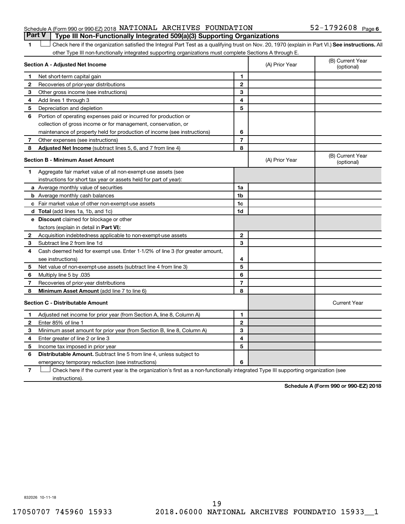#### Schedule A (Form 990 or 990-EZ) 2018 NATIONAL ARCHIVES FOUNDATION 52-1792608 Page **Part V Type III Non-Functionally Integrated 509(a)(3) Supporting Organizations**

1 **Letter See instructions.** All Check here if the organization satisfied the Integral Part Test as a qualifying trust on Nov. 20, 1970 (explain in Part VI.) See instructions. All other Type III non-functionally integrated supporting organizations must complete Sections A through E.

|              | Section A - Adjusted Net Income                                              | (A) Prior Year | (B) Current Year<br>(optional) |                                |
|--------------|------------------------------------------------------------------------------|----------------|--------------------------------|--------------------------------|
| 1            | Net short-term capital gain                                                  | 1              |                                |                                |
| 2            | Recoveries of prior-year distributions                                       | $\mathbf{2}$   |                                |                                |
| 3            | Other gross income (see instructions)                                        | 3              |                                |                                |
| 4            | Add lines 1 through 3                                                        | 4              |                                |                                |
| 5            | Depreciation and depletion                                                   | 5              |                                |                                |
| 6            | Portion of operating expenses paid or incurred for production or             |                |                                |                                |
|              | collection of gross income or for management, conservation, or               |                |                                |                                |
|              | maintenance of property held for production of income (see instructions)     | 6              |                                |                                |
| 7            | Other expenses (see instructions)                                            | $\overline{7}$ |                                |                                |
| 8            | Adjusted Net Income (subtract lines 5, 6, and 7 from line 4)                 | 8              |                                |                                |
|              | <b>Section B - Minimum Asset Amount</b>                                      |                | (A) Prior Year                 | (B) Current Year<br>(optional) |
| 1            | Aggregate fair market value of all non-exempt-use assets (see                |                |                                |                                |
|              | instructions for short tax year or assets held for part of year):            |                |                                |                                |
|              | a Average monthly value of securities                                        | 1a             |                                |                                |
|              | <b>b</b> Average monthly cash balances                                       | 1 <sub>b</sub> |                                |                                |
|              | c Fair market value of other non-exempt-use assets                           | 1c             |                                |                                |
|              | d Total (add lines 1a, 1b, and 1c)                                           | 1d             |                                |                                |
|              | e Discount claimed for blockage or other                                     |                |                                |                                |
|              | factors (explain in detail in <b>Part VI</b> ):                              |                |                                |                                |
| 2            | Acquisition indebtedness applicable to non-exempt-use assets                 | $\mathbf{2}$   |                                |                                |
| 3            | Subtract line 2 from line 1d                                                 | 3              |                                |                                |
| 4            | Cash deemed held for exempt use. Enter 1-1/2% of line 3 (for greater amount, |                |                                |                                |
|              | see instructions)                                                            | 4              |                                |                                |
| 5            | Net value of non-exempt-use assets (subtract line 4 from line 3)             | 5              |                                |                                |
| 6            | Multiply line 5 by .035                                                      | 6              |                                |                                |
| 7            | Recoveries of prior-year distributions                                       | $\overline{7}$ |                                |                                |
| 8            | Minimum Asset Amount (add line 7 to line 6)                                  | 8              |                                |                                |
|              | <b>Section C - Distributable Amount</b>                                      |                |                                | <b>Current Year</b>            |
| 1            | Adjusted net income for prior year (from Section A, line 8, Column A)        | 1              |                                |                                |
| $\mathbf{2}$ | Enter 85% of line 1                                                          | $\mathbf{2}$   |                                |                                |
| 3            | Minimum asset amount for prior year (from Section B, line 8, Column A)       | 3              |                                |                                |
| 4            | Enter greater of line 2 or line 3                                            | 4              |                                |                                |
| 5            | Income tax imposed in prior year                                             | 5              |                                |                                |
| 6            | Distributable Amount. Subtract line 5 from line 4, unless subject to         |                |                                |                                |
|              | emergency temporary reduction (see instructions)                             | 6              |                                |                                |
|              |                                                                              |                |                                |                                |

**7** Check here if the current year is the organization's first as a non-functionally integrated Type III supporting organization (see † instructions).

**Schedule A (Form 990 or 990-EZ) 2018**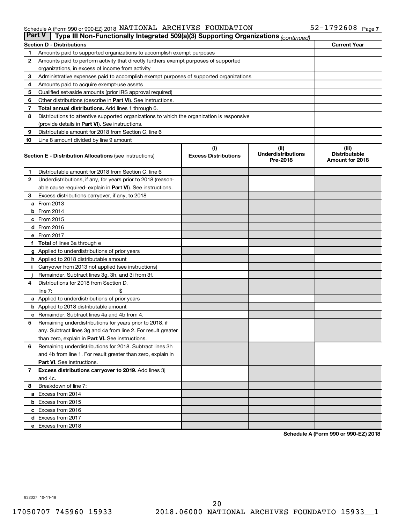#### Schedule A (Form 990 or 990-EZ) 2018 NATIONAL ARCHIVES FOUNDATION 5 Z - I 7 9 Z 6 U 8 Page NATIONAL ARCHIVES FOUNDATION 52-1792608

| <b>Part V</b><br>Type III Non-Functionally Integrated 509(a)(3) Supporting Organizations (continued) |                                                                                            |                             |                                       |                                         |  |  |  |  |
|------------------------------------------------------------------------------------------------------|--------------------------------------------------------------------------------------------|-----------------------------|---------------------------------------|-----------------------------------------|--|--|--|--|
|                                                                                                      | <b>Section D - Distributions</b>                                                           |                             |                                       | <b>Current Year</b>                     |  |  |  |  |
| 1                                                                                                    | Amounts paid to supported organizations to accomplish exempt purposes                      |                             |                                       |                                         |  |  |  |  |
| $\mathbf{2}$                                                                                         | Amounts paid to perform activity that directly furthers exempt purposes of supported       |                             |                                       |                                         |  |  |  |  |
|                                                                                                      | organizations, in excess of income from activity                                           |                             |                                       |                                         |  |  |  |  |
| 3                                                                                                    | Administrative expenses paid to accomplish exempt purposes of supported organizations      |                             |                                       |                                         |  |  |  |  |
| 4                                                                                                    | Amounts paid to acquire exempt-use assets                                                  |                             |                                       |                                         |  |  |  |  |
| 5                                                                                                    | Qualified set-aside amounts (prior IRS approval required)                                  |                             |                                       |                                         |  |  |  |  |
| 6                                                                                                    | Other distributions (describe in <b>Part VI</b> ). See instructions.                       |                             |                                       |                                         |  |  |  |  |
| 7                                                                                                    | Total annual distributions. Add lines 1 through 6.                                         |                             |                                       |                                         |  |  |  |  |
| 8                                                                                                    | Distributions to attentive supported organizations to which the organization is responsive |                             |                                       |                                         |  |  |  |  |
|                                                                                                      | (provide details in Part VI). See instructions.                                            |                             |                                       |                                         |  |  |  |  |
| 9                                                                                                    | Distributable amount for 2018 from Section C, line 6                                       |                             |                                       |                                         |  |  |  |  |
| 10                                                                                                   | Line 8 amount divided by line 9 amount                                                     |                             |                                       |                                         |  |  |  |  |
|                                                                                                      |                                                                                            | (i)                         | (ii)                                  | (iii)                                   |  |  |  |  |
|                                                                                                      | <b>Section E - Distribution Allocations (see instructions)</b>                             | <b>Excess Distributions</b> | <b>Underdistributions</b><br>Pre-2018 | <b>Distributable</b><br>Amount for 2018 |  |  |  |  |
| 1                                                                                                    | Distributable amount for 2018 from Section C, line 6                                       |                             |                                       |                                         |  |  |  |  |
| $\mathbf{2}$                                                                                         | Underdistributions, if any, for years prior to 2018 (reason-                               |                             |                                       |                                         |  |  |  |  |
|                                                                                                      | able cause required-explain in Part VI). See instructions.                                 |                             |                                       |                                         |  |  |  |  |
| 3                                                                                                    | Excess distributions carryover, if any, to 2018                                            |                             |                                       |                                         |  |  |  |  |
|                                                                                                      | <b>a</b> From 2013                                                                         |                             |                                       |                                         |  |  |  |  |
|                                                                                                      | <b>b</b> From 2014                                                                         |                             |                                       |                                         |  |  |  |  |
|                                                                                                      | c From 2015                                                                                |                             |                                       |                                         |  |  |  |  |
|                                                                                                      | d From 2016                                                                                |                             |                                       |                                         |  |  |  |  |
|                                                                                                      | e From 2017                                                                                |                             |                                       |                                         |  |  |  |  |
|                                                                                                      | f Total of lines 3a through e                                                              |                             |                                       |                                         |  |  |  |  |
|                                                                                                      | g Applied to underdistributions of prior years                                             |                             |                                       |                                         |  |  |  |  |
|                                                                                                      | h Applied to 2018 distributable amount                                                     |                             |                                       |                                         |  |  |  |  |
| Ť.                                                                                                   | Carryover from 2013 not applied (see instructions)                                         |                             |                                       |                                         |  |  |  |  |
|                                                                                                      | Remainder. Subtract lines 3g, 3h, and 3i from 3f.                                          |                             |                                       |                                         |  |  |  |  |
| 4                                                                                                    | Distributions for 2018 from Section D,                                                     |                             |                                       |                                         |  |  |  |  |
|                                                                                                      | line $7:$                                                                                  |                             |                                       |                                         |  |  |  |  |
|                                                                                                      | a Applied to underdistributions of prior years                                             |                             |                                       |                                         |  |  |  |  |
|                                                                                                      | <b>b</b> Applied to 2018 distributable amount                                              |                             |                                       |                                         |  |  |  |  |
| с                                                                                                    | Remainder. Subtract lines 4a and 4b from 4.                                                |                             |                                       |                                         |  |  |  |  |
| 5                                                                                                    | Remaining underdistributions for years prior to 2018, if                                   |                             |                                       |                                         |  |  |  |  |
|                                                                                                      | any. Subtract lines 3g and 4a from line 2. For result greater                              |                             |                                       |                                         |  |  |  |  |
|                                                                                                      | than zero, explain in Part VI. See instructions.                                           |                             |                                       |                                         |  |  |  |  |
| 6                                                                                                    | Remaining underdistributions for 2018. Subtract lines 3h                                   |                             |                                       |                                         |  |  |  |  |
|                                                                                                      | and 4b from line 1. For result greater than zero, explain in                               |                             |                                       |                                         |  |  |  |  |
|                                                                                                      | <b>Part VI.</b> See instructions.                                                          |                             |                                       |                                         |  |  |  |  |
| $\mathbf{7}$                                                                                         | Excess distributions carryover to 2019. Add lines 3j                                       |                             |                                       |                                         |  |  |  |  |
|                                                                                                      | and 4c.                                                                                    |                             |                                       |                                         |  |  |  |  |
| 8                                                                                                    | Breakdown of line 7:                                                                       |                             |                                       |                                         |  |  |  |  |
|                                                                                                      | a Excess from 2014                                                                         |                             |                                       |                                         |  |  |  |  |
|                                                                                                      | <b>b</b> Excess from 2015                                                                  |                             |                                       |                                         |  |  |  |  |
|                                                                                                      | c Excess from 2016                                                                         |                             |                                       |                                         |  |  |  |  |
|                                                                                                      | d Excess from 2017                                                                         |                             |                                       |                                         |  |  |  |  |
|                                                                                                      | e Excess from 2018                                                                         |                             |                                       |                                         |  |  |  |  |

**Schedule A (Form 990 or 990-EZ) 2018**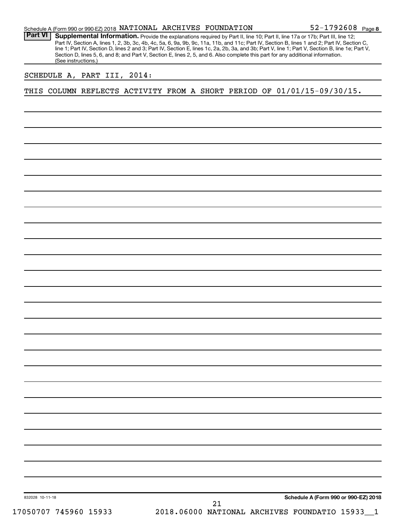|  |  | Schedule A (Form 990 or 990-EZ) 2018 NATIONAL ARCHIVES FOUNDATION |  |  | $52 - 1792608$ Page 8 |
|--|--|-------------------------------------------------------------------|--|--|-----------------------|
|--|--|-------------------------------------------------------------------|--|--|-----------------------|

Part VI | Supplemental Information. Provide the explanations required by Part II, line 10; Part II, line 17a or 17b; Part III, line 12; Part IV, Section A, lines 1, 2, 3b, 3c, 4b, 4c, 5a, 6, 9a, 9b, 9c, 11a, 11b, and 11c; Part IV, Section B, lines 1 and 2; Part IV, Section C, line 1; Part IV, Section D, lines 2 and 3; Part IV, Section E, lines 1c, 2a, 2b, 3a, and 3b; Part V, line 1; Part V, Section B, line 1e; Part V, Section D, lines 5, 6, and 8; and Part V, Section E, lines 2, 5, and 6. Also complete this part for any additional information. (See instructions.)

#### SCHEDULE A, PART III, 2014:

THIS COLUMN REFLECTS ACTIVITY FROM A SHORT PERIOD OF 01/01/15-09/30/15.

**Schedule A (Form 990 or 990-EZ) 2018**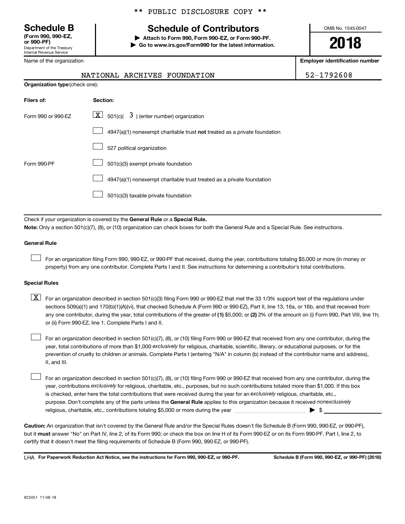**(Form 990, 990-EZ,**

Department of the Treasury Internal Revenue Service

Name of the organization

## **Schedule B Schedule of Contributors**

**or 990-PF) | Attach to Form 990, Form 990-EZ, or Form 990-PF. | Go to www.irs.gov/Form990 for the latest information.** OMB No. 1545-0047

**2018**

**Employer identification number**

| 792608 |  |
|--------|--|
|--------|--|

| NATIONAL ARCHIVES FOUNDATION | 52-1792608 |
|------------------------------|------------|

| <b>Organization type (check one):</b> |                                                                                    |  |  |  |  |  |
|---------------------------------------|------------------------------------------------------------------------------------|--|--|--|--|--|
| Filers of:                            | Section:                                                                           |  |  |  |  |  |
| Form 990 or 990-EZ                    | $\lfloor x \rfloor$ 501(c)( 3) (enter number) organization                         |  |  |  |  |  |
|                                       | $4947(a)(1)$ nonexempt charitable trust <b>not</b> treated as a private foundation |  |  |  |  |  |
|                                       | 527 political organization                                                         |  |  |  |  |  |
| Form 990-PF                           | 501(c)(3) exempt private foundation                                                |  |  |  |  |  |
|                                       | 4947(a)(1) nonexempt charitable trust treated as a private foundation              |  |  |  |  |  |
|                                       | 501(c)(3) taxable private foundation                                               |  |  |  |  |  |
|                                       |                                                                                    |  |  |  |  |  |

Check if your organization is covered by the General Rule or a Special Rule.

**Note:**  Only a section 501(c)(7), (8), or (10) organization can check boxes for both the General Rule and a Special Rule. See instructions.

#### **General Rule**

 $\Box$ 

For an organization filing Form 990, 990-EZ, or 990-PF that received, during the year, contributions totaling \$5,000 or more (in money or property) from any one contributor. Complete Parts I and II. See instructions for determining a contributor's total contributions.

#### **Special Rules**

any one contributor, during the year, total contributions of the greater of (1) \$5,000; or (2) 2% of the amount on (i) Form 990, Part VIII, line 1h;  $\boxed{\text{X}}$  For an organization described in section 501(c)(3) filing Form 990 or 990-EZ that met the 33 1/3% support test of the regulations under sections 509(a)(1) and 170(b)(1)(A)(vi), that checked Schedule A (Form 990 or 990-EZ), Part II, line 13, 16a, or 16b, and that received from or (ii) Form 990-EZ, line 1. Complete Parts I and II.

year, total contributions of more than \$1,000 *exclusively* for religious, charitable, scientific, literary, or educational purposes, or for the For an organization described in section 501(c)(7), (8), or (10) filing Form 990 or 990-EZ that received from any one contributor, during the prevention of cruelty to children or animals. Complete Parts I (entering "N/A" in column (b) instead of the contributor name and address), II, and III.  $\Box$ 

purpose. Don't complete any of the parts unless the General Rule applies to this organization because it received nonexclusively year, contributions exclusively for religious, charitable, etc., purposes, but no such contributions totaled more than \$1,000. If this box is checked, enter here the total contributions that were received during the year for an exclusively religious, charitable, etc., For an organization described in section 501(c)(7), (8), or (10) filing Form 990 or 990-EZ that received from any one contributor, during the religious, charitable, etc., contributions totaling \$5,000 or more during the year  $~\ldots\ldots\ldots\ldots\ldots\ldots\ldots\ldots\blacktriangleright~$ \$  $\Box$ 

**Caution:**  An organization that isn't covered by the General Rule and/or the Special Rules doesn't file Schedule B (Form 990, 990-EZ, or 990-PF),  **must** but it answer "No" on Part IV, line 2, of its Form 990; or check the box on line H of its Form 990-EZ or on its Form 990-PF, Part I, line 2, to certify that it doesn't meet the filing requirements of Schedule B (Form 990, 990-EZ, or 990-PF).

**For Paperwork Reduction Act Notice, see the instructions for Form 990, 990-EZ, or 990-PF. Schedule B (Form 990, 990-EZ, or 990-PF) (2018)** LHA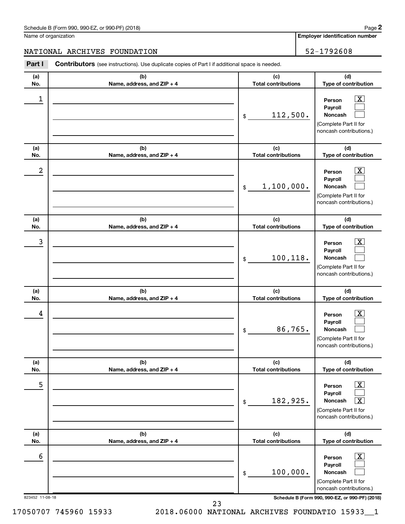#### Schedule B (Form 990, 990-EZ, or 990-PF) (2018)

Name of organization

**Employer identification number**

## NATIONAL ARCHIVES FOUNDATION 52-1792608

| Part I          | Contributors (see instructions). Use duplicate copies of Part I if additional space is needed. |                                   |                                                                                                                                        |
|-----------------|------------------------------------------------------------------------------------------------|-----------------------------------|----------------------------------------------------------------------------------------------------------------------------------------|
| (a)             | (b)                                                                                            | (c)                               | (d)                                                                                                                                    |
| No.             | Name, address, and ZIP + 4                                                                     | <b>Total contributions</b>        | Type of contribution                                                                                                                   |
| 1               |                                                                                                | 112,500.<br>\$                    | $\overline{\mathbf{X}}$<br>Person<br>Payroll<br>Noncash<br>(Complete Part II for<br>noncash contributions.)                            |
| (a)             | (b)                                                                                            | (c)                               | (d)                                                                                                                                    |
| No.             | Name, address, and ZIP + 4                                                                     | <b>Total contributions</b>        | Type of contribution                                                                                                                   |
| 2               |                                                                                                | 1,100,000.<br>$\$$                | $\overline{\mathbf{X}}$<br>Person<br>Payroll<br>Noncash<br>(Complete Part II for<br>noncash contributions.)                            |
| (a)<br>No.      | (b)<br>Name, address, and ZIP + 4                                                              | (c)<br><b>Total contributions</b> | (d)<br>Type of contribution                                                                                                            |
| 3               |                                                                                                | 100, 118.<br>\$                   | $\overline{\mathbf{X}}$<br>Person<br>Payroll<br>Noncash<br>(Complete Part II for<br>noncash contributions.)                            |
| (a)<br>No.      | (b)<br>Name, address, and ZIP + 4                                                              | (c)<br><b>Total contributions</b> | (d)<br>Type of contribution                                                                                                            |
| 4               |                                                                                                | 86,765.<br>\$                     | $\overline{\mathbf{X}}$<br>Person<br>Payroll<br>Noncash<br>(Complete Part II for<br>noncash contributions.)                            |
| (a)<br>No.      | (b)<br>Name, address, and ZIP + 4                                                              | (c)<br><b>Total contributions</b> | (d)<br>Type of contribution                                                                                                            |
| 5               |                                                                                                | 182,925.<br>$\$$                  | $\overline{\mathbf{X}}$<br>Person<br>Payroll<br>$\overline{\textbf{x}}$<br>Noncash<br>(Complete Part II for<br>noncash contributions.) |
| (a)             | (b)                                                                                            | (c)<br><b>Total contributions</b> | (d)<br>Type of contribution                                                                                                            |
| No.<br>6        | Name, address, and ZIP + 4                                                                     | 100,000.<br>\$                    | $\overline{\textbf{X}}$<br>Person<br>Payroll<br>Noncash<br>(Complete Part II for<br>noncash contributions.)                            |
| 823452 11-08-18 |                                                                                                |                                   | Schedule B (Form 990, 990-EZ, or 990-PF) (2018)                                                                                        |

23

**2**

17050707 745960 15933 2018.06000 NATIONAL ARCHIVES FOUNDATIO 15933\_\_1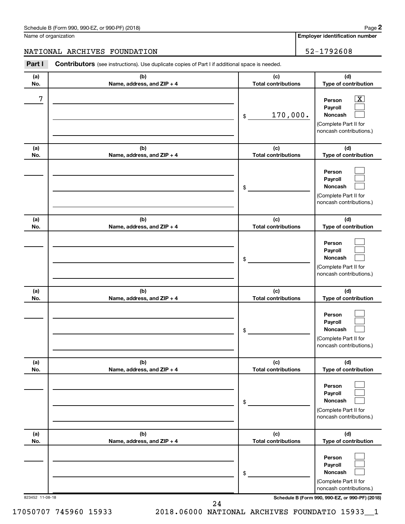#### Schedule B (Form 990, 990-EZ, or 990-PF) (2018)

Name of organization

**Employer identification number**

## NATIONAL ARCHIVES FOUNDATION 52-1792608

| Part I          | <b>Contributors</b> (see instructions). Use duplicate copies of Part I if additional space is needed. |                                   |                                                                                                          |
|-----------------|-------------------------------------------------------------------------------------------------------|-----------------------------------|----------------------------------------------------------------------------------------------------------|
| (a)<br>No.      | (b)<br>Name, address, and ZIP + 4                                                                     | (c)<br><b>Total contributions</b> | (d)<br>Type of contribution                                                                              |
| 7               |                                                                                                       | 170,000.<br>\$                    | $\boxed{\textbf{X}}$<br>Person<br>Payroll<br>Noncash<br>(Complete Part II for<br>noncash contributions.) |
| (a)<br>No.      | (b)<br>Name, address, and ZIP + 4                                                                     | (c)<br><b>Total contributions</b> | (d)<br>Type of contribution                                                                              |
|                 |                                                                                                       | \$                                | Person<br>Payroll<br>Noncash<br>(Complete Part II for<br>noncash contributions.)                         |
| (a)<br>No.      | (b)<br>Name, address, and ZIP + 4                                                                     | (c)<br><b>Total contributions</b> | (d)<br>Type of contribution                                                                              |
|                 |                                                                                                       | \$                                | Person<br>Payroll<br>Noncash<br>(Complete Part II for<br>noncash contributions.)                         |
| (a)<br>No.      | (b)<br>Name, address, and ZIP + 4                                                                     | (c)<br><b>Total contributions</b> | (d)<br>Type of contribution                                                                              |
|                 |                                                                                                       | \$                                | Person<br>Payroll<br><b>Noncash</b><br>(Complete Part II for<br>noncash contributions.)                  |
| (a)<br>No.      | (b)<br>Name, address, and ZIP + 4                                                                     | (c)<br><b>Total contributions</b> | (d)<br>Type of contribution                                                                              |
|                 |                                                                                                       | \$                                | Person<br>Payroll<br>Noncash<br>(Complete Part II for<br>noncash contributions.)                         |
| (a)<br>No.      | (b)<br>Name, address, and ZIP + 4                                                                     | (c)<br><b>Total contributions</b> | (d)<br>Type of contribution                                                                              |
|                 |                                                                                                       | \$                                | Person<br>Payroll<br>Noncash<br>(Complete Part II for<br>noncash contributions.)                         |
| 823452 11-08-18 |                                                                                                       | 24                                | Schedule B (Form 990, 990-EZ, or 990-PF) (2018)                                                          |

17050707 745960 15933 2018.06000 NATIONAL ARCHIVES FOUNDATIO 15933\_\_1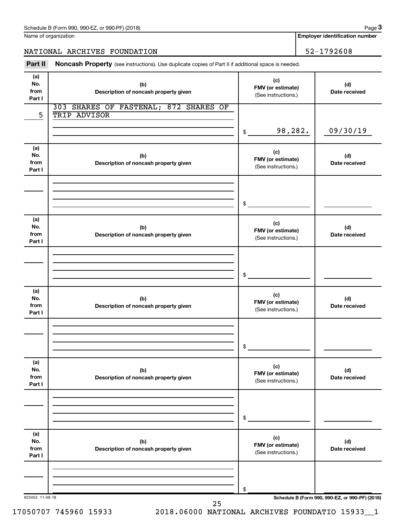Name of organization

**Employer identification number 3**

### NATIONAL ARCHIVES FOUNDATION 52-1792608

Part II Noncash Property (see instructions). Use duplicate copies of Part II if additional space is needed.

| (a)<br>No.<br>from<br>Part I | (b)<br>Description of noncash property given          | (c)<br>FMV (or estimate)<br>(See instructions.) | (d)<br>Date received                            |
|------------------------------|-------------------------------------------------------|-------------------------------------------------|-------------------------------------------------|
| 5                            | 303 SHARES OF FASTENAL; 872 SHARES OF<br>TRIP ADVISOR |                                                 |                                                 |
|                              |                                                       |                                                 |                                                 |
|                              |                                                       | 98,282.<br>$\frac{1}{2}$                        | 09/30/19                                        |
| (a)<br>No.<br>from<br>Part I | (b)<br>Description of noncash property given          | (c)<br>FMV (or estimate)<br>(See instructions.) | (d)<br>Date received                            |
|                              |                                                       |                                                 |                                                 |
|                              |                                                       |                                                 |                                                 |
|                              |                                                       | $\mathsf{\$}$                                   |                                                 |
| (a)<br>No.<br>from<br>Part I | (b)<br>Description of noncash property given          | (c)<br>FMV (or estimate)<br>(See instructions.) | (d)<br>Date received                            |
|                              |                                                       |                                                 |                                                 |
|                              |                                                       | $\frac{1}{2}$                                   |                                                 |
|                              |                                                       |                                                 |                                                 |
| (a)<br>No.<br>from<br>Part I | (b)<br>Description of noncash property given          | (c)<br>FMV (or estimate)<br>(See instructions.) | (d)<br>Date received                            |
|                              |                                                       |                                                 |                                                 |
|                              |                                                       |                                                 |                                                 |
|                              |                                                       | \$                                              |                                                 |
| (a)<br>No.<br>from<br>Part I | (b)<br>Description of noncash property given          | (c)<br>FMV (or estimate)<br>(See instructions.) | (d)<br>Date received                            |
|                              |                                                       |                                                 |                                                 |
|                              |                                                       |                                                 |                                                 |
|                              |                                                       | \$                                              |                                                 |
| (a)<br>No.<br>from<br>Part I | (b)<br>Description of noncash property given          | (c)<br>FMV (or estimate)<br>(See instructions.) | (d)<br>Date received                            |
|                              |                                                       |                                                 |                                                 |
|                              |                                                       |                                                 |                                                 |
| 823453 11-08-18              | クら                                                    | \$                                              | Schedule B (Form 990, 990-EZ, or 990-PF) (2018) |

17050707 745960 15933 2018.06000 NATIONAL ARCHIVES FOUNDATIO 15933\_\_1

د 2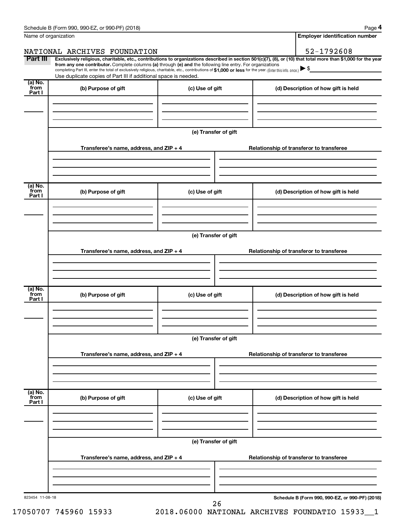| Schedule B (Form 990, 990-EZ, or 990-PF) (2018) | Page |
|-------------------------------------------------|------|
|-------------------------------------------------|------|

**4**

|                           | Name of organization                                                                                                                                                                                                                                                                                                                                               |                      | <b>Employer identification number</b>                                                                                                                          |
|---------------------------|--------------------------------------------------------------------------------------------------------------------------------------------------------------------------------------------------------------------------------------------------------------------------------------------------------------------------------------------------------------------|----------------------|----------------------------------------------------------------------------------------------------------------------------------------------------------------|
|                           | NATIONAL ARCHIVES FOUNDATION                                                                                                                                                                                                                                                                                                                                       |                      | 52-1792608                                                                                                                                                     |
| Part III                  | from any one contributor. Complete columns (a) through (e) and the following line entry. For organizations<br>completing Part III, enter the total of exclusively religious, charitable, etc., contributions of \$1,000 or less for the year. (Enter this info. once.) $\blacktriangleright$ \$<br>Use duplicate copies of Part III if additional space is needed. |                      | Exclusively religious, charitable, etc., contributions to organizations described in section 501(c)(7), (8), or (10) that total more than \$1,000 for the year |
| (a) No.<br>from<br>Part I | (b) Purpose of gift                                                                                                                                                                                                                                                                                                                                                | (c) Use of gift      | (d) Description of how gift is held                                                                                                                            |
|                           |                                                                                                                                                                                                                                                                                                                                                                    |                      |                                                                                                                                                                |
|                           |                                                                                                                                                                                                                                                                                                                                                                    | (e) Transfer of gift |                                                                                                                                                                |
|                           | Transferee's name, address, and ZIP + 4                                                                                                                                                                                                                                                                                                                            |                      | Relationship of transferor to transferee                                                                                                                       |
| (a) No.<br>from<br>Part I | (b) Purpose of gift                                                                                                                                                                                                                                                                                                                                                | (c) Use of gift      | (d) Description of how gift is held                                                                                                                            |
|                           |                                                                                                                                                                                                                                                                                                                                                                    |                      |                                                                                                                                                                |
|                           |                                                                                                                                                                                                                                                                                                                                                                    | (e) Transfer of gift |                                                                                                                                                                |
|                           | Transferee's name, address, and ZIP + 4                                                                                                                                                                                                                                                                                                                            |                      | Relationship of transferor to transferee                                                                                                                       |
| (a) No.<br>from           |                                                                                                                                                                                                                                                                                                                                                                    |                      |                                                                                                                                                                |
| Part I                    | (b) Purpose of gift                                                                                                                                                                                                                                                                                                                                                | (c) Use of gift      | (d) Description of how gift is held                                                                                                                            |
|                           |                                                                                                                                                                                                                                                                                                                                                                    | (e) Transfer of gift |                                                                                                                                                                |
|                           | Transferee's name, address, and ZIP + 4                                                                                                                                                                                                                                                                                                                            |                      | Relationship of transferor to transferee                                                                                                                       |
| (a) No.<br>from<br>Part I | (b) Purpose of gift                                                                                                                                                                                                                                                                                                                                                | (c) Use of gift      | (d) Description of how gift is held                                                                                                                            |
|                           |                                                                                                                                                                                                                                                                                                                                                                    |                      |                                                                                                                                                                |
|                           |                                                                                                                                                                                                                                                                                                                                                                    | (e) Transfer of gift |                                                                                                                                                                |
|                           | Transferee's name, address, and ZIP + 4                                                                                                                                                                                                                                                                                                                            |                      | Relationship of transferor to transferee                                                                                                                       |
|                           |                                                                                                                                                                                                                                                                                                                                                                    |                      |                                                                                                                                                                |
| 823454 11-08-18           |                                                                                                                                                                                                                                                                                                                                                                    | 26                   | Schedule B (Form 990, 990-EZ, or 990-PF) (2018)                                                                                                                |

17050707 745960 15933 2018.06000 NATIONAL ARCHIVES FOUNDATIO 15933\_\_1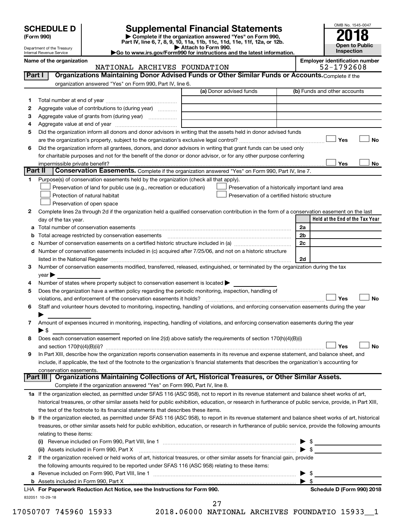| <b>SCHEDULE D</b> |  |
|-------------------|--|
|-------------------|--|

| (Form 990) |
|------------|
|            |

# **SCHEDULE D Supplemental Financial Statements**<br> **Form 990 2018**<br> **Part IV** line 6.7.8.9.10, 11a, 11b, 11d, 11d, 11d, 11d, 11d, 12a, 0r, 12b

**(Form 990) | Complete if the organization answered "Yes" on Form 990, Part IV, line 6, 7, 8, 9, 10, 11a, 11b, 11c, 11d, 11e, 11f, 12a, or 12b.**

**| Attach to Form 990. |Go to www.irs.gov/Form990 for instructions and the latest information.**



Department of the Treasury Internal Revenue Service **Name of the organization Employer identification number**

#### NATIONAL ARCHIVES FOUNDATION 52-1792608

| Part I   | Organizations Maintaining Donor Advised Funds or Other Similar Funds or Accounts. Complete if the                                                         |                         |                                                    |
|----------|-----------------------------------------------------------------------------------------------------------------------------------------------------------|-------------------------|----------------------------------------------------|
|          | organization answered "Yes" on Form 990, Part IV, line 6.                                                                                                 | (a) Donor advised funds | (b) Funds and other accounts                       |
|          |                                                                                                                                                           |                         |                                                    |
| 1.<br>2  | Aggregate value of contributions to (during year)                                                                                                         |                         |                                                    |
| 3        |                                                                                                                                                           |                         |                                                    |
| 4        |                                                                                                                                                           |                         |                                                    |
| 5        | Did the organization inform all donors and donor advisors in writing that the assets held in donor advised funds                                          |                         |                                                    |
|          |                                                                                                                                                           |                         | Yes<br>No                                          |
| 6        | Did the organization inform all grantees, donors, and donor advisors in writing that grant funds can be used only                                         |                         |                                                    |
|          | for charitable purposes and not for the benefit of the donor or donor advisor, or for any other purpose conferring                                        |                         |                                                    |
|          |                                                                                                                                                           |                         | Yes<br>No                                          |
| Part II  | Conservation Easements. Complete if the organization answered "Yes" on Form 990, Part IV, line 7.                                                         |                         |                                                    |
|          | Purpose(s) of conservation easements held by the organization (check all that apply).                                                                     |                         |                                                    |
|          | Preservation of land for public use (e.g., recreation or education)                                                                                       |                         | Preservation of a historically important land area |
|          | Protection of natural habitat                                                                                                                             |                         | Preservation of a certified historic structure     |
|          | Preservation of open space                                                                                                                                |                         |                                                    |
| 2        | Complete lines 2a through 2d if the organization held a qualified conservation contribution in the form of a conservation easement on the last            |                         |                                                    |
|          | day of the tax year.                                                                                                                                      |                         | Held at the End of the Tax Year                    |
| а        |                                                                                                                                                           |                         | 2a                                                 |
|          |                                                                                                                                                           |                         | 2b                                                 |
|          |                                                                                                                                                           |                         | 2c                                                 |
| d        | Number of conservation easements included in (c) acquired after 7/25/06, and not on a historic structure                                                  |                         |                                                    |
|          |                                                                                                                                                           |                         | 2d                                                 |
| З        | Number of conservation easements modified, transferred, released, extinguished, or terminated by the organization during the tax                          |                         |                                                    |
|          | year                                                                                                                                                      |                         |                                                    |
| 4        | Number of states where property subject to conservation easement is located >                                                                             |                         |                                                    |
| 5        | Does the organization have a written policy regarding the periodic monitoring, inspection, handling of                                                    |                         |                                                    |
|          | violations, and enforcement of the conservation easements it holds?                                                                                       |                         | Yes<br>No                                          |
| 6        | Staff and volunteer hours devoted to monitoring, inspecting, handling of violations, and enforcing conservation easements during the year                 |                         |                                                    |
|          |                                                                                                                                                           |                         |                                                    |
| 7        | Amount of expenses incurred in monitoring, inspecting, handling of violations, and enforcing conservation easements during the year                       |                         |                                                    |
|          | $\blacktriangleright$ \$                                                                                                                                  |                         |                                                    |
| 8        | Does each conservation easement reported on line 2(d) above satisfy the requirements of section 170(h)(4)(B)(i)                                           |                         |                                                    |
|          |                                                                                                                                                           |                         | Yes<br><b>No</b>                                   |
| 9        | In Part XIII, describe how the organization reports conservation easements in its revenue and expense statement, and balance sheet, and                   |                         |                                                    |
|          | include, if applicable, the text of the footnote to the organization's financial statements that describes the organization's accounting for              |                         |                                                    |
| Part III | conservation easements.<br>Organizations Maintaining Collections of Art, Historical Treasures, or Other Similar Assets.                                   |                         |                                                    |
|          | Complete if the organization answered "Yes" on Form 990, Part IV, line 8.                                                                                 |                         |                                                    |
|          | 1a If the organization elected, as permitted under SFAS 116 (ASC 958), not to report in its revenue statement and balance sheet works of art,             |                         |                                                    |
|          | historical treasures, or other similar assets held for public exhibition, education, or research in furtherance of public service, provide, in Part XIII, |                         |                                                    |
|          | the text of the footnote to its financial statements that describes these items.                                                                          |                         |                                                    |
| b        | If the organization elected, as permitted under SFAS 116 (ASC 958), to report in its revenue statement and balance sheet works of art, historical         |                         |                                                    |
|          | treasures, or other similar assets held for public exhibition, education, or research in furtherance of public service, provide the following amounts     |                         |                                                    |
|          | relating to these items:                                                                                                                                  |                         |                                                    |
|          |                                                                                                                                                           |                         | - \$                                               |
|          | (ii) Assets included in Form 990, Part X                                                                                                                  |                         | $\triangleright$ \$                                |
| 2        | If the organization received or held works of art, historical treasures, or other similar assets for financial gain, provide                              |                         |                                                    |
|          | the following amounts required to be reported under SFAS 116 (ASC 958) relating to these items:                                                           |                         |                                                    |
| а        |                                                                                                                                                           |                         | -\$<br>▸                                           |
|          |                                                                                                                                                           |                         | -\$                                                |
|          | LHA For Paperwork Reduction Act Notice, see the Instructions for Form 990.                                                                                |                         | Schedule D (Form 990) 2018                         |
|          | 832051 10-29-18                                                                                                                                           |                         |                                                    |
|          |                                                                                                                                                           | 27                      |                                                    |

17050707 745960 15933 2018.06000 NATIONAL ARCHIVES FOUNDATIO 15933\_\_1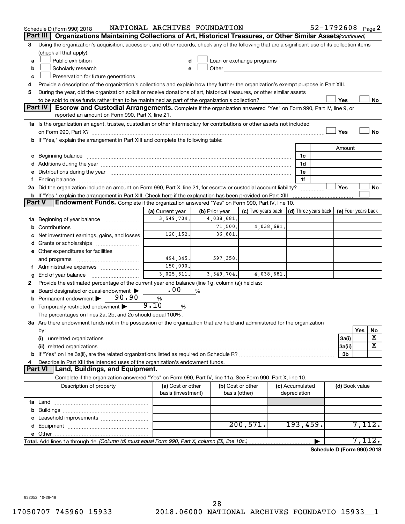|        | Schedule D (Form 990) 2018                                                                                                                                                                                                     | NATIONAL ARCHIVES FOUNDATION |                |                                                         |                 |                | 52-1792608 Page 2          |
|--------|--------------------------------------------------------------------------------------------------------------------------------------------------------------------------------------------------------------------------------|------------------------------|----------------|---------------------------------------------------------|-----------------|----------------|----------------------------|
|        | Part III<br>Organizations Maintaining Collections of Art, Historical Treasures, or Other Similar Assets(continued)                                                                                                             |                              |                |                                                         |                 |                |                            |
| з      | Using the organization's acquisition, accession, and other records, check any of the following that are a significant use of its collection items                                                                              |                              |                |                                                         |                 |                |                            |
|        | (check all that apply):                                                                                                                                                                                                        |                              |                |                                                         |                 |                |                            |
| a      | Public exhibition                                                                                                                                                                                                              |                              |                | Loan or exchange programs                               |                 |                |                            |
| b      | Scholarly research                                                                                                                                                                                                             |                              | Other          |                                                         |                 |                |                            |
| c      | Preservation for future generations                                                                                                                                                                                            |                              |                |                                                         |                 |                |                            |
|        | Provide a description of the organization's collections and explain how they further the organization's exempt purpose in Part XIII.                                                                                           |                              |                |                                                         |                 |                |                            |
| 5      | During the year, did the organization solicit or receive donations of art, historical treasures, or other similar assets                                                                                                       |                              |                |                                                         |                 |                |                            |
|        |                                                                                                                                                                                                                                |                              |                |                                                         |                 | Yes            | No                         |
|        | <b>Part IV</b><br><b>Escrow and Custodial Arrangements.</b> Complete if the organization answered "Yes" on Form 990, Part IV, line 9, or<br>reported an amount on Form 990, Part X, line 21.                                   |                              |                |                                                         |                 |                |                            |
|        | 1a Is the organization an agent, trustee, custodian or other intermediary for contributions or other assets not included                                                                                                       |                              |                |                                                         |                 |                |                            |
|        |                                                                                                                                                                                                                                |                              |                |                                                         |                 | Yes            | No                         |
|        | b If "Yes," explain the arrangement in Part XIII and complete the following table:                                                                                                                                             |                              |                |                                                         |                 |                |                            |
|        |                                                                                                                                                                                                                                |                              |                |                                                         |                 | Amount         |                            |
|        | c Beginning balance measurements and the contract of the contract of the contract of the contract of the contract of the contract of the contract of the contract of the contract of the contract of the contract of the contr |                              |                |                                                         | 1c              |                |                            |
|        |                                                                                                                                                                                                                                |                              |                |                                                         | 1d              |                |                            |
|        | e Distributions during the year manufactured and continuum and contact the year manufactured and contact the year manufactured and contact the year manufactured and contact the year manufactured and contact the year manufa |                              |                |                                                         | 1e              |                |                            |
|        |                                                                                                                                                                                                                                |                              |                |                                                         | 1f              |                |                            |
|        | 2a Did the organization include an amount on Form 990, Part X, line 21, for escrow or custodial account liability?                                                                                                             |                              |                |                                                         |                 | Yes            | No                         |
|        | <b>b</b> If "Yes," explain the arrangement in Part XIII. Check here if the explanation has been provided on Part XIII                                                                                                          |                              |                |                                                         |                 |                |                            |
| Part V | Endowment Funds. Complete if the organization answered "Yes" on Form 990, Part IV, line 10.                                                                                                                                    |                              |                |                                                         |                 |                |                            |
|        |                                                                                                                                                                                                                                | (a) Current year             | (b) Prior year | (c) Two years back $\vert$ (d) Three years back $\vert$ |                 |                | (e) Four years back        |
|        | <b>1a</b> Beginning of year balance                                                                                                                                                                                            | 3,549,704.                   | 4,038,681.     |                                                         |                 |                |                            |
|        |                                                                                                                                                                                                                                |                              | 71,500.        | 4,038,681.                                              |                 |                |                            |
|        | Net investment earnings, gains, and losses                                                                                                                                                                                     | 120,152.                     | 36,881.        |                                                         |                 |                |                            |
|        |                                                                                                                                                                                                                                |                              |                |                                                         |                 |                |                            |
|        | e Other expenditures for facilities                                                                                                                                                                                            |                              |                |                                                         |                 |                |                            |
|        | and programs                                                                                                                                                                                                                   | 494,345.                     | 597,358.       |                                                         |                 |                |                            |
|        | f Administrative expenses                                                                                                                                                                                                      | 150,000.<br>3,025,511.       | 3,549,704.     | 4,038,681.                                              |                 |                |                            |
| g      |                                                                                                                                                                                                                                |                              |                |                                                         |                 |                |                            |
|        | Provide the estimated percentage of the current year end balance (line 1g, column (a)) held as:                                                                                                                                | .00                          | %              |                                                         |                 |                |                            |
|        | Board designated or quasi-endowment<br>90.90<br><b>b</b> Permanent endowment $\blacktriangleright$                                                                                                                             | %                            |                |                                                         |                 |                |                            |
|        | c Temporarily restricted endowment $\blacktriangleright$                                                                                                                                                                       | 9.10<br>%                    |                |                                                         |                 |                |                            |
|        | The percentages on lines 2a, 2b, and 2c should equal 100%.                                                                                                                                                                     |                              |                |                                                         |                 |                |                            |
|        | 3a Are there endowment funds not in the possession of the organization that are held and administered for the organization                                                                                                     |                              |                |                                                         |                 |                |                            |
|        | by:                                                                                                                                                                                                                            |                              |                |                                                         |                 |                | Yes<br>No                  |
|        | (i)                                                                                                                                                                                                                            |                              |                |                                                         |                 | 3a(i)          | х                          |
|        |                                                                                                                                                                                                                                |                              |                |                                                         |                 | 3a(ii)         | х                          |
|        |                                                                                                                                                                                                                                |                              |                |                                                         |                 | 3b             |                            |
|        | Describe in Part XIII the intended uses of the organization's endowment funds.                                                                                                                                                 |                              |                |                                                         |                 |                |                            |
|        | Land, Buildings, and Equipment.<br>Part VI                                                                                                                                                                                     |                              |                |                                                         |                 |                |                            |
|        | Complete if the organization answered "Yes" on Form 990, Part IV, line 11a. See Form 990, Part X, line 10.                                                                                                                     |                              |                |                                                         |                 |                |                            |
|        | Description of property                                                                                                                                                                                                        | (a) Cost or other            |                | (b) Cost or other                                       | (c) Accumulated | (d) Book value |                            |
|        |                                                                                                                                                                                                                                | basis (investment)           |                | basis (other)                                           | depreciation    |                |                            |
|        |                                                                                                                                                                                                                                |                              |                |                                                         |                 |                |                            |
|        |                                                                                                                                                                                                                                |                              |                |                                                         |                 |                |                            |
|        |                                                                                                                                                                                                                                |                              |                |                                                         |                 |                |                            |
|        |                                                                                                                                                                                                                                |                              |                | 200,571.                                                | 193,459.        |                | 7,112.                     |
|        |                                                                                                                                                                                                                                |                              |                |                                                         |                 |                |                            |
|        | Total. Add lines 1a through 1e. (Column (d) must equal Form 990, Part X, column (B), line 10c.)                                                                                                                                |                              |                |                                                         |                 |                | 7,112.                     |
|        |                                                                                                                                                                                                                                |                              |                |                                                         |                 |                | Schedule D (Form 990) 2018 |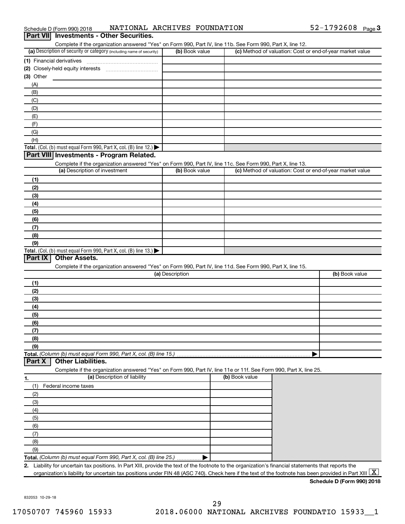| Schedule D (Form 990) 2018                      | NATIONAL ARCHIVES FOUNDATION | 52-1792608 | Page $3$ |
|-------------------------------------------------|------------------------------|------------|----------|
| <b>Part VII</b> Investments - Other Securities. |                              |            |          |

| Complete if the organization answered "Yes" on Form 990, Part IV, line 11b. See Form 990, Part X, line 12.<br>(a) Description of security or category (including name of security)                                         | (b) Book value  |                | (c) Method of valuation: Cost or end-of-year market value |
|----------------------------------------------------------------------------------------------------------------------------------------------------------------------------------------------------------------------------|-----------------|----------------|-----------------------------------------------------------|
|                                                                                                                                                                                                                            |                 |                |                                                           |
|                                                                                                                                                                                                                            |                 |                |                                                           |
| (3) Other                                                                                                                                                                                                                  |                 |                |                                                           |
| (A)                                                                                                                                                                                                                        |                 |                |                                                           |
| (B)                                                                                                                                                                                                                        |                 |                |                                                           |
| (C)                                                                                                                                                                                                                        |                 |                |                                                           |
| (D)                                                                                                                                                                                                                        |                 |                |                                                           |
| (E)                                                                                                                                                                                                                        |                 |                |                                                           |
| (F)                                                                                                                                                                                                                        |                 |                |                                                           |
| (G)                                                                                                                                                                                                                        |                 |                |                                                           |
| (H)                                                                                                                                                                                                                        |                 |                |                                                           |
| Total. (Col. (b) must equal Form 990, Part X, col. (B) line 12.) $\blacktriangleright$                                                                                                                                     |                 |                |                                                           |
| Part VIII Investments - Program Related.                                                                                                                                                                                   |                 |                |                                                           |
| Complete if the organization answered "Yes" on Form 990, Part IV, line 11c. See Form 990, Part X, line 13.                                                                                                                 |                 |                |                                                           |
| (a) Description of investment                                                                                                                                                                                              | (b) Book value  |                | (c) Method of valuation: Cost or end-of-year market value |
| (1)                                                                                                                                                                                                                        |                 |                |                                                           |
| (2)                                                                                                                                                                                                                        |                 |                |                                                           |
| (3)                                                                                                                                                                                                                        |                 |                |                                                           |
| (4)                                                                                                                                                                                                                        |                 |                |                                                           |
| (5)                                                                                                                                                                                                                        |                 |                |                                                           |
| (6)                                                                                                                                                                                                                        |                 |                |                                                           |
| (7)                                                                                                                                                                                                                        |                 |                |                                                           |
| (8)                                                                                                                                                                                                                        |                 |                |                                                           |
| (9)                                                                                                                                                                                                                        |                 |                |                                                           |
| Total. (Col. (b) must equal Form 990, Part X, col. (B) line 13.) $\blacktriangleright$                                                                                                                                     |                 |                |                                                           |
| <b>Other Assets.</b><br>Part IX                                                                                                                                                                                            |                 |                |                                                           |
| Complete if the organization answered "Yes" on Form 990, Part IV, line 11d. See Form 990, Part X, line 15.                                                                                                                 |                 |                |                                                           |
|                                                                                                                                                                                                                            | (a) Description |                | (b) Book value                                            |
| (1)                                                                                                                                                                                                                        |                 |                |                                                           |
| (2)                                                                                                                                                                                                                        |                 |                |                                                           |
| (3)                                                                                                                                                                                                                        |                 |                |                                                           |
| (4)                                                                                                                                                                                                                        |                 |                |                                                           |
| (5)                                                                                                                                                                                                                        |                 |                |                                                           |
| (6)                                                                                                                                                                                                                        |                 |                |                                                           |
| (7)                                                                                                                                                                                                                        |                 |                |                                                           |
| (8)                                                                                                                                                                                                                        |                 |                |                                                           |
| (9)                                                                                                                                                                                                                        |                 |                |                                                           |
| Total. (Column (b) must equal Form 990, Part X, col. (B) line 15.)                                                                                                                                                         |                 |                |                                                           |
| <b>Other Liabilities.</b><br>Part X                                                                                                                                                                                        |                 |                |                                                           |
| Complete if the organization answered "Yes" on Form 990, Part IV, line 11e or 11f. See Form 990, Part X, line 25.                                                                                                          |                 |                |                                                           |
| (a) Description of liability<br>1.                                                                                                                                                                                         |                 | (b) Book value |                                                           |
|                                                                                                                                                                                                                            |                 |                |                                                           |
|                                                                                                                                                                                                                            |                 |                |                                                           |
| (1)<br>Federal income taxes                                                                                                                                                                                                |                 |                |                                                           |
| (2)                                                                                                                                                                                                                        |                 |                |                                                           |
| (3)                                                                                                                                                                                                                        |                 |                |                                                           |
| (4)                                                                                                                                                                                                                        |                 |                |                                                           |
| (5)                                                                                                                                                                                                                        |                 |                |                                                           |
| (6)                                                                                                                                                                                                                        |                 |                |                                                           |
| (7)                                                                                                                                                                                                                        |                 |                |                                                           |
| (8)                                                                                                                                                                                                                        |                 |                |                                                           |
| (9)                                                                                                                                                                                                                        |                 |                |                                                           |
| Total. (Column (b) must equal Form 990, Part X, col. (B) line 25.)<br>2. Liability for uncertain tax positions. In Part XIII, provide the text of the footnote to the organization's financial statements that reports the |                 |                |                                                           |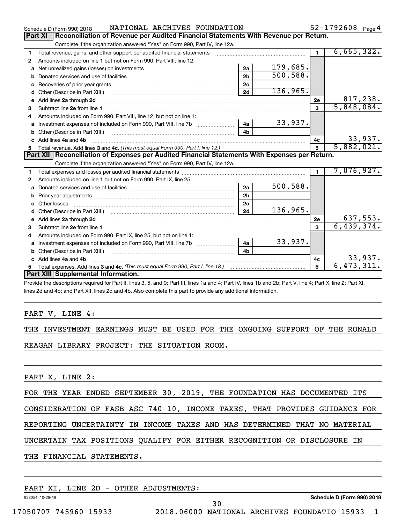|   | NATIONAL ARCHIVES FOUNDATION<br>Schedule D (Form 990) 2018                                                                                                                                                                          |                |            |                | $52 - 1792608$ Page 4 |
|---|-------------------------------------------------------------------------------------------------------------------------------------------------------------------------------------------------------------------------------------|----------------|------------|----------------|-----------------------|
|   | Reconciliation of Revenue per Audited Financial Statements With Revenue per Return.<br>Part XI                                                                                                                                      |                |            |                |                       |
|   | Complete if the organization answered "Yes" on Form 990, Part IV, line 12a.                                                                                                                                                         |                |            |                |                       |
| 1 | Total revenue, gains, and other support per audited financial statements                                                                                                                                                            |                |            | $\mathbf{1}$   | 6,665,322.            |
| 2 | Amounts included on line 1 but not on Form 990, Part VIII, line 12:                                                                                                                                                                 |                |            |                |                       |
| a |                                                                                                                                                                                                                                     | 2a             | 179,685.   |                |                       |
|   |                                                                                                                                                                                                                                     | 2 <sub>b</sub> | 500, 588.  |                |                       |
|   |                                                                                                                                                                                                                                     | 2c             |            |                |                       |
| d |                                                                                                                                                                                                                                     | 2d             | 136,965.   |                |                       |
| e | Add lines 2a through 2d                                                                                                                                                                                                             |                |            | 2е             | 817,238.              |
| З |                                                                                                                                                                                                                                     |                |            | $\mathbf{a}$   | 5,848,084.            |
| 4 | Amounts included on Form 990, Part VIII, line 12, but not on line 1:                                                                                                                                                                |                |            |                |                       |
| a |                                                                                                                                                                                                                                     | 4a             | 33,937.    |                |                       |
|   |                                                                                                                                                                                                                                     | 4 <sub>h</sub> |            |                |                       |
|   | c Add lines 4a and 4b                                                                                                                                                                                                               |                |            | 4 <sub>c</sub> | 33,937.               |
|   |                                                                                                                                                                                                                                     |                | 5,882,021. |                |                       |
|   | Part XII Reconciliation of Expenses per Audited Financial Statements With Expenses per Return.                                                                                                                                      |                |            |                |                       |
|   | Complete if the organization answered "Yes" on Form 990, Part IV, line 12a.                                                                                                                                                         |                |            |                |                       |
| 1 |                                                                                                                                                                                                                                     |                |            | 1              | 7,076,927.            |
| 2 | Amounts included on line 1 but not on Form 990, Part IX, line 25:                                                                                                                                                                   |                |            |                |                       |
| a |                                                                                                                                                                                                                                     | 2a             | 500,588.   |                |                       |
|   |                                                                                                                                                                                                                                     | 2 <sub>b</sub> |            |                |                       |
|   | Other losses                                                                                                                                                                                                                        | 2 <sub>c</sub> |            |                |                       |
|   |                                                                                                                                                                                                                                     | 2d             | 136,965.   |                |                       |
| e | Add lines 2a through 2d <b>contained a contained a contained a contained a</b> contained a contained a contained a contained a contained a contained a contained a contained a contained a contained a contained a contained a cont |                |            | 2e             | 637,553.              |
| 3 | Subtract line 2e from line 1 <b>Manual Community of the Community of the Community Community</b> Subtract line 2e from line 1                                                                                                       |                |            | $\mathbf{a}$   | 6,439,374.            |
|   | Amounts included on Form 990, Part IX, line 25, but not on line 1:                                                                                                                                                                  |                |            |                |                       |
| a |                                                                                                                                                                                                                                     | 4a             | 33,937.    |                |                       |
| b |                                                                                                                                                                                                                                     | 4 <sub>b</sub> |            |                |                       |
|   | Add lines 4a and 4b                                                                                                                                                                                                                 |                |            | 4 <sub>c</sub> | 33,937.               |
| 5 |                                                                                                                                                                                                                                     |                |            | 5              | 6,473,311.            |
|   | Part XIII Supplemental Information.                                                                                                                                                                                                 |                |            |                |                       |
|   |                                                                                                                                                                                                                                     |                |            |                |                       |

Provide the descriptions required for Part II, lines 3, 5, and 9; Part III, lines 1a and 4; Part IV, lines 1b and 2b; Part V, line 4; Part X, line 2; Part XI, lines 2d and 4b; and Part XII, lines 2d and 4b. Also complete this part to provide any additional information.

#### PART V, LINE 4:

THE INVESTMENT EARNINGS MUST BE USED FOR THE ONGOING SUPPORT OF THE RONALD REAGAN LIBRARY PROJECT: THE SITUATION ROOM.

PART X, LINE 2:

FOR THE YEAR ENDED SEPTEMBER 30, 2019, THE FOUNDATION HAS DOCUMENTED ITS

CONSIDERATION OF FASB ASC 740-10, INCOME TAXES, THAT PROVIDES GUIDANCE FOR

REPORTING UNCERTAINTY IN INCOME TAXES AND HAS DETERMINED THAT NO MATERIAL

UNCERTAIN TAX POSITIONS QUALIFY FOR EITHER RECOGNITION OR DISCLOSURE IN

THE FINANCIAL STATEMENTS.

|  |  |  | PART XI, LINE 2D - OTHER ADJUSTMENTS: |  |
|--|--|--|---------------------------------------|--|
|  |  |  |                                       |  |

832054 10-29-18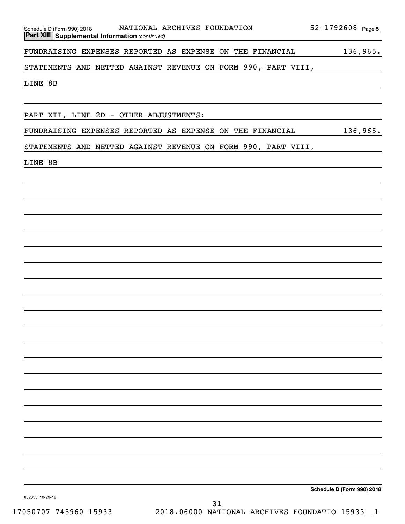| NATIONAL ARCHIVES FOUNDATION<br>Schedule D (Form 990) 2018<br><b>Part XIII Supplemental Information (continued)</b> | 52-1792608 Page 5          |
|---------------------------------------------------------------------------------------------------------------------|----------------------------|
| FUNDRAISING EXPENSES REPORTED AS EXPENSE ON THE FINANCIAL                                                           |                            |
|                                                                                                                     | 136,965.                   |
| STATEMENTS AND NETTED AGAINST REVENUE ON FORM 990, PART VIII,                                                       |                            |
| LINE 8B                                                                                                             |                            |
|                                                                                                                     |                            |
| PART XII, LINE 2D - OTHER ADJUSTMENTS:                                                                              |                            |
| FUNDRAISING EXPENSES REPORTED AS EXPENSE ON THE FINANCIAL                                                           | 136,965.                   |
| STATEMENTS AND NETTED AGAINST REVENUE ON FORM 990, PART VIII,                                                       |                            |
| LINE 8B                                                                                                             |                            |
|                                                                                                                     |                            |
|                                                                                                                     |                            |
|                                                                                                                     |                            |
|                                                                                                                     |                            |
|                                                                                                                     |                            |
|                                                                                                                     |                            |
|                                                                                                                     |                            |
|                                                                                                                     |                            |
|                                                                                                                     |                            |
|                                                                                                                     |                            |
|                                                                                                                     |                            |
|                                                                                                                     |                            |
|                                                                                                                     |                            |
|                                                                                                                     |                            |
|                                                                                                                     |                            |
|                                                                                                                     |                            |
|                                                                                                                     |                            |
|                                                                                                                     |                            |
|                                                                                                                     |                            |
|                                                                                                                     |                            |
|                                                                                                                     |                            |
|                                                                                                                     | Schedule D (Form 990) 2018 |
| 832055 10-29-18<br>31                                                                                               |                            |
|                                                                                                                     |                            |

17050707 745960 15933 2018.06000 NATIONAL ARCHIVES FOUNDATIO 15933\_\_1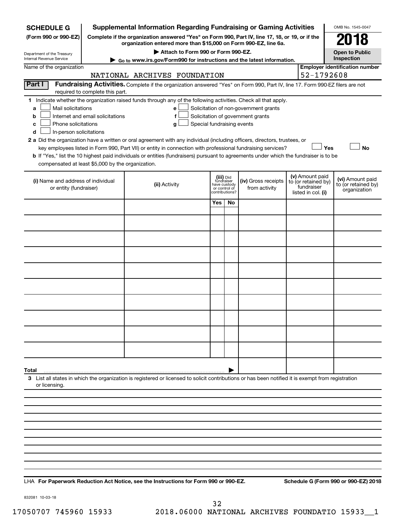| <b>SCHEDULE G</b>                                                                                                                                                                                                                                                                                                                                                                                                                                                                                                                                                                                                                                                                                                                                                                                                                                                                                                          |  | <b>Supplemental Information Regarding Fundraising or Gaming Activities</b>                                                                                          |            |                                                 |                                      |  |                                                         | OMB No. 1545-0047                                       |  |  |
|----------------------------------------------------------------------------------------------------------------------------------------------------------------------------------------------------------------------------------------------------------------------------------------------------------------------------------------------------------------------------------------------------------------------------------------------------------------------------------------------------------------------------------------------------------------------------------------------------------------------------------------------------------------------------------------------------------------------------------------------------------------------------------------------------------------------------------------------------------------------------------------------------------------------------|--|---------------------------------------------------------------------------------------------------------------------------------------------------------------------|------------|-------------------------------------------------|--------------------------------------|--|---------------------------------------------------------|---------------------------------------------------------|--|--|
| (Form 990 or 990-EZ)                                                                                                                                                                                                                                                                                                                                                                                                                                                                                                                                                                                                                                                                                                                                                                                                                                                                                                       |  | Complete if the organization answered "Yes" on Form 990, Part IV, line 17, 18, or 19, or if the<br>organization entered more than \$15,000 on Form 990-EZ, line 6a. |            |                                                 |                                      |  |                                                         | 2018                                                    |  |  |
| Department of the Treasury                                                                                                                                                                                                                                                                                                                                                                                                                                                                                                                                                                                                                                                                                                                                                                                                                                                                                                 |  | Attach to Form 990 or Form 990-EZ.                                                                                                                                  |            |                                                 |                                      |  |                                                         | <b>Open to Public</b>                                   |  |  |
| Internal Revenue Service                                                                                                                                                                                                                                                                                                                                                                                                                                                                                                                                                                                                                                                                                                                                                                                                                                                                                                   |  | ► Go to www.irs.gov/Form990 for instructions and the latest information.                                                                                            |            |                                                 |                                      |  |                                                         | Inspection                                              |  |  |
| Name of the organization                                                                                                                                                                                                                                                                                                                                                                                                                                                                                                                                                                                                                                                                                                                                                                                                                                                                                                   |  | NATIONAL ARCHIVES FOUNDATION                                                                                                                                        |            |                                                 |                                      |  | 52-1792608                                              | <b>Employer identification number</b>                   |  |  |
| Part I                                                                                                                                                                                                                                                                                                                                                                                                                                                                                                                                                                                                                                                                                                                                                                                                                                                                                                                     |  | Fundraising Activities. Complete if the organization answered "Yes" on Form 990, Part IV, line 17. Form 990-EZ filers are not                                       |            |                                                 |                                      |  |                                                         |                                                         |  |  |
| required to complete this part.<br>1 Indicate whether the organization raised funds through any of the following activities. Check all that apply.<br>Mail solicitations<br>Solicitation of non-government grants<br>a<br>е<br>Internet and email solicitations<br>Solicitation of government grants<br>b<br>f<br>Phone solicitations<br>Special fundraising events<br>с<br>g<br>In-person solicitations<br>d<br>2 a Did the organization have a written or oral agreement with any individual (including officers, directors, trustees, or<br><b>No</b><br>key employees listed in Form 990, Part VII) or entity in connection with professional fundraising services?<br>Yes<br>b If "Yes," list the 10 highest paid individuals or entities (fundraisers) pursuant to agreements under which the fundraiser is to be<br>compensated at least \$5,000 by the organization.<br>(v) Amount paid<br>(iii) Did<br>fundraiser |  |                                                                                                                                                                     |            |                                                 |                                      |  |                                                         |                                                         |  |  |
| (i) Name and address of individual<br>or entity (fundraiser)                                                                                                                                                                                                                                                                                                                                                                                                                                                                                                                                                                                                                                                                                                                                                                                                                                                               |  | (ii) Activity                                                                                                                                                       |            | have custody<br>or control of<br>contributions? | (iv) Gross receipts<br>from activity |  | to (or retained by)<br>fundraiser<br>listed in col. (i) | (vi) Amount paid<br>to (or retained by)<br>organization |  |  |
|                                                                                                                                                                                                                                                                                                                                                                                                                                                                                                                                                                                                                                                                                                                                                                                                                                                                                                                            |  |                                                                                                                                                                     | <b>Yes</b> | No                                              |                                      |  |                                                         |                                                         |  |  |
|                                                                                                                                                                                                                                                                                                                                                                                                                                                                                                                                                                                                                                                                                                                                                                                                                                                                                                                            |  |                                                                                                                                                                     |            |                                                 |                                      |  |                                                         |                                                         |  |  |
|                                                                                                                                                                                                                                                                                                                                                                                                                                                                                                                                                                                                                                                                                                                                                                                                                                                                                                                            |  |                                                                                                                                                                     |            |                                                 |                                      |  |                                                         |                                                         |  |  |
|                                                                                                                                                                                                                                                                                                                                                                                                                                                                                                                                                                                                                                                                                                                                                                                                                                                                                                                            |  |                                                                                                                                                                     |            |                                                 |                                      |  |                                                         |                                                         |  |  |
|                                                                                                                                                                                                                                                                                                                                                                                                                                                                                                                                                                                                                                                                                                                                                                                                                                                                                                                            |  |                                                                                                                                                                     |            |                                                 |                                      |  |                                                         |                                                         |  |  |
|                                                                                                                                                                                                                                                                                                                                                                                                                                                                                                                                                                                                                                                                                                                                                                                                                                                                                                                            |  |                                                                                                                                                                     |            |                                                 |                                      |  |                                                         |                                                         |  |  |
|                                                                                                                                                                                                                                                                                                                                                                                                                                                                                                                                                                                                                                                                                                                                                                                                                                                                                                                            |  |                                                                                                                                                                     |            |                                                 |                                      |  |                                                         |                                                         |  |  |
|                                                                                                                                                                                                                                                                                                                                                                                                                                                                                                                                                                                                                                                                                                                                                                                                                                                                                                                            |  |                                                                                                                                                                     |            |                                                 |                                      |  |                                                         |                                                         |  |  |
|                                                                                                                                                                                                                                                                                                                                                                                                                                                                                                                                                                                                                                                                                                                                                                                                                                                                                                                            |  |                                                                                                                                                                     |            |                                                 |                                      |  |                                                         |                                                         |  |  |
|                                                                                                                                                                                                                                                                                                                                                                                                                                                                                                                                                                                                                                                                                                                                                                                                                                                                                                                            |  |                                                                                                                                                                     |            |                                                 |                                      |  |                                                         |                                                         |  |  |
| Total                                                                                                                                                                                                                                                                                                                                                                                                                                                                                                                                                                                                                                                                                                                                                                                                                                                                                                                      |  |                                                                                                                                                                     |            |                                                 |                                      |  |                                                         |                                                         |  |  |
| or licensing.                                                                                                                                                                                                                                                                                                                                                                                                                                                                                                                                                                                                                                                                                                                                                                                                                                                                                                              |  | 3 List all states in which the organization is registered or licensed to solicit contributions or has been notified it is exempt from registration                  |            |                                                 |                                      |  |                                                         |                                                         |  |  |
|                                                                                                                                                                                                                                                                                                                                                                                                                                                                                                                                                                                                                                                                                                                                                                                                                                                                                                                            |  |                                                                                                                                                                     |            |                                                 |                                      |  |                                                         |                                                         |  |  |
|                                                                                                                                                                                                                                                                                                                                                                                                                                                                                                                                                                                                                                                                                                                                                                                                                                                                                                                            |  |                                                                                                                                                                     |            |                                                 |                                      |  |                                                         |                                                         |  |  |
|                                                                                                                                                                                                                                                                                                                                                                                                                                                                                                                                                                                                                                                                                                                                                                                                                                                                                                                            |  |                                                                                                                                                                     |            |                                                 |                                      |  |                                                         |                                                         |  |  |
|                                                                                                                                                                                                                                                                                                                                                                                                                                                                                                                                                                                                                                                                                                                                                                                                                                                                                                                            |  |                                                                                                                                                                     |            |                                                 |                                      |  |                                                         |                                                         |  |  |
|                                                                                                                                                                                                                                                                                                                                                                                                                                                                                                                                                                                                                                                                                                                                                                                                                                                                                                                            |  |                                                                                                                                                                     |            |                                                 |                                      |  |                                                         |                                                         |  |  |
|                                                                                                                                                                                                                                                                                                                                                                                                                                                                                                                                                                                                                                                                                                                                                                                                                                                                                                                            |  |                                                                                                                                                                     |            |                                                 |                                      |  |                                                         |                                                         |  |  |
|                                                                                                                                                                                                                                                                                                                                                                                                                                                                                                                                                                                                                                                                                                                                                                                                                                                                                                                            |  |                                                                                                                                                                     |            |                                                 |                                      |  |                                                         |                                                         |  |  |

**For Paperwork Reduction Act Notice, see the Instructions for Form 990 or 990-EZ. Schedule G (Form 990 or 990-EZ) 2018** LHA

832081 10-03-18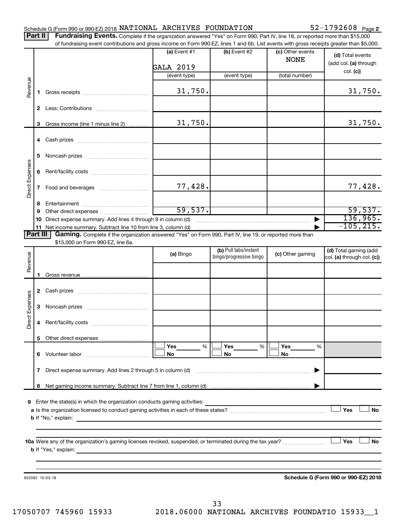#### Schedule G (Form 990 or 990-EZ) 2018  $\verb|NATIONAL|$   $\verb|ARCHIVES|$   $\verb|FOUNDATION|$   $\verb|52-1792608|$   $\verb|Page|$

52-1792608 Page 2

Part II | Fundraising Events. Complete if the organization answered "Yes" on Form 990, Part IV, line 18, or reported more than \$15,000 of fundraising event contributions and gross income on Form 990-EZ, lines 1 and 6b. List events with gross receipts greater than \$5,000.

|                        |              | OF iditionalshig event contributions and gross income on Form 990-EZ, lines T and 6D. Elst events with gross receipts greater than \$5,000.                                                                                               |                |                                                  |                                 |                                                     |
|------------------------|--------------|-------------------------------------------------------------------------------------------------------------------------------------------------------------------------------------------------------------------------------------------|----------------|--------------------------------------------------|---------------------------------|-----------------------------------------------------|
|                        |              |                                                                                                                                                                                                                                           | (a) Event $#1$ | $(b)$ Event #2                                   | (c) Other events<br><b>NONE</b> | (d) Total events<br>(add col. (a) through           |
|                        |              |                                                                                                                                                                                                                                           | GALA 2019      |                                                  |                                 | col. (c)                                            |
|                        |              |                                                                                                                                                                                                                                           | (event type)   | (event type)                                     | (total number)                  |                                                     |
| Revenue                | 1.           |                                                                                                                                                                                                                                           | 31,750.        |                                                  |                                 | 31,750.                                             |
|                        |              |                                                                                                                                                                                                                                           |                |                                                  |                                 |                                                     |
|                        | 3            | Gross income (line 1 minus line 2)                                                                                                                                                                                                        | 31,750.        |                                                  |                                 | 31,750.                                             |
|                        |              |                                                                                                                                                                                                                                           |                |                                                  |                                 |                                                     |
|                        | 5            |                                                                                                                                                                                                                                           |                |                                                  |                                 |                                                     |
|                        | 6            |                                                                                                                                                                                                                                           |                |                                                  |                                 |                                                     |
| Direct Expenses        | $\mathbf{7}$ |                                                                                                                                                                                                                                           | 77,428.        |                                                  |                                 | 77,428.                                             |
|                        | 8            |                                                                                                                                                                                                                                           |                |                                                  |                                 |                                                     |
|                        | 9            |                                                                                                                                                                                                                                           | 59,537.        |                                                  |                                 | 59,537.                                             |
|                        | 10           | Direct expense summary. Add lines 4 through 9 in column (d)                                                                                                                                                                               |                |                                                  |                                 | 136,965.                                            |
|                        |              |                                                                                                                                                                                                                                           |                |                                                  |                                 | $-105, 215.$                                        |
| Part III               |              | Gaming. Complete if the organization answered "Yes" on Form 990, Part IV, line 19, or reported more than                                                                                                                                  |                |                                                  |                                 |                                                     |
|                        |              | \$15,000 on Form 990-EZ, line 6a.                                                                                                                                                                                                         |                |                                                  |                                 |                                                     |
| Revenue                |              |                                                                                                                                                                                                                                           | (a) Bingo      | (b) Pull tabs/instant<br>bingo/progressive bingo | (c) Other gaming                | (d) Total gaming (add<br>col. (a) through col. (c)) |
|                        |              |                                                                                                                                                                                                                                           |                |                                                  |                                 |                                                     |
|                        | 1.           |                                                                                                                                                                                                                                           |                |                                                  |                                 |                                                     |
|                        |              |                                                                                                                                                                                                                                           |                |                                                  |                                 |                                                     |
| <b>Direct Expenses</b> | 3            |                                                                                                                                                                                                                                           |                |                                                  |                                 |                                                     |
|                        | 4            |                                                                                                                                                                                                                                           |                |                                                  |                                 |                                                     |
|                        |              |                                                                                                                                                                                                                                           |                |                                                  |                                 |                                                     |
|                        | 6            | Volunteer labor                                                                                                                                                                                                                           | Yes<br>%<br>No | Yes<br>%<br>No                                   | <b>Yes</b><br>%<br>No           |                                                     |
|                        | 7            | Direct expense summary. Add lines 2 through 5 in column (d)                                                                                                                                                                               |                |                                                  |                                 |                                                     |
|                        | 8            |                                                                                                                                                                                                                                           |                |                                                  |                                 |                                                     |
|                        |              |                                                                                                                                                                                                                                           |                |                                                  |                                 |                                                     |
| 9                      |              | Enter the state(s) in which the organization conducts gaming activities:                                                                                                                                                                  |                |                                                  |                                 | Yes<br>No                                           |
|                        |              | <b>b</b> If "No," explain:                                                                                                                                                                                                                |                |                                                  |                                 |                                                     |
|                        |              |                                                                                                                                                                                                                                           |                |                                                  |                                 |                                                     |
|                        |              |                                                                                                                                                                                                                                           |                |                                                  |                                 |                                                     |
|                        |              | <b>b</b> If "Yes," explain: <u>And If the Secondary Contract of the Secondary Contract of the Secondary Contract of the Secondary Contract of the Secondary Contract of the Secondary Contract of the Secondary Contract of the Secon</u> |                |                                                  |                                 | Yes<br>No                                           |
|                        |              |                                                                                                                                                                                                                                           |                |                                                  |                                 |                                                     |
|                        |              |                                                                                                                                                                                                                                           |                |                                                  |                                 |                                                     |
|                        |              | 832082 10-03-18                                                                                                                                                                                                                           |                |                                                  |                                 | Schedule G (Form 990 or 990-EZ) 2018                |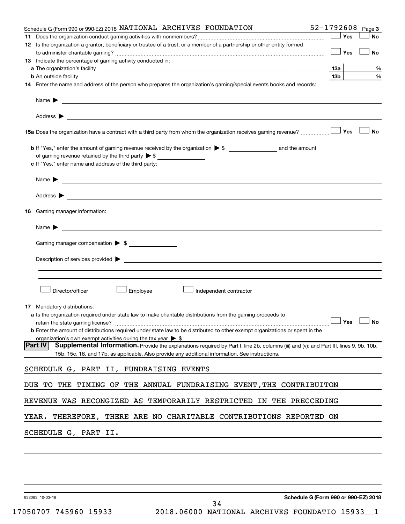|     | 52-1792608<br>Schedule G (Form 990 or 990-EZ) 2018 NATIONAL ARCHIVES FOUNDATION                                                                                                                                                                         |                 |     | Page 3    |
|-----|---------------------------------------------------------------------------------------------------------------------------------------------------------------------------------------------------------------------------------------------------------|-----------------|-----|-----------|
| 11. |                                                                                                                                                                                                                                                         |                 | Yes | <b>No</b> |
|     | 12 Is the organization a grantor, beneficiary or trustee of a trust, or a member of a partnership or other entity formed                                                                                                                                |                 |     |           |
|     |                                                                                                                                                                                                                                                         |                 | Yes | No        |
|     | 13 Indicate the percentage of gaming activity conducted in:                                                                                                                                                                                             |                 |     |           |
|     |                                                                                                                                                                                                                                                         | 13a             |     | %         |
|     |                                                                                                                                                                                                                                                         | 13 <sub>b</sub> |     | %         |
|     | 14 Enter the name and address of the person who prepares the organization's gaming/special events books and records:                                                                                                                                    |                 |     |           |
|     |                                                                                                                                                                                                                                                         |                 |     |           |
|     |                                                                                                                                                                                                                                                         |                 |     |           |
|     | 15a Does the organization have a contract with a third party from whom the organization receives gaming revenue?                                                                                                                                        |                 | Yes | No        |
|     |                                                                                                                                                                                                                                                         |                 |     |           |
|     | of gaming revenue retained by the third party $\triangleright$ \$                                                                                                                                                                                       |                 |     |           |
|     | c If "Yes," enter name and address of the third party:                                                                                                                                                                                                  |                 |     |           |
|     |                                                                                                                                                                                                                                                         |                 |     |           |
|     | Name $\blacktriangleright$                                                                                                                                                                                                                              |                 |     |           |
|     |                                                                                                                                                                                                                                                         |                 |     |           |
|     | <b>16</b> Gaming manager information:                                                                                                                                                                                                                   |                 |     |           |
|     |                                                                                                                                                                                                                                                         |                 |     |           |
|     | Name $\blacktriangleright$<br><u> 1989 - Johann Stein, mars an deus an deus Amerikaanse komme van de Fryske komme</u>                                                                                                                                   |                 |     |           |
|     | Gaming manager compensation > \$                                                                                                                                                                                                                        |                 |     |           |
|     |                                                                                                                                                                                                                                                         |                 |     |           |
|     | Description of services provided > example and the contract of the contract of the contract of the contract of                                                                                                                                          |                 |     |           |
|     |                                                                                                                                                                                                                                                         |                 |     |           |
|     |                                                                                                                                                                                                                                                         |                 |     |           |
|     | Director/officer<br>Employee<br>Independent contractor                                                                                                                                                                                                  |                 |     |           |
|     | <b>17</b> Mandatory distributions:                                                                                                                                                                                                                      |                 |     |           |
|     | <b>a</b> Is the organization required under state law to make charitable distributions from the gaming proceeds to                                                                                                                                      |                 |     |           |
|     | retain the state gaming license? $\Box$ No                                                                                                                                                                                                              |                 |     |           |
|     | <b>b</b> Enter the amount of distributions required under state law to be distributed to other exempt organizations or spent in the                                                                                                                     |                 |     |           |
|     | organization's own exempt activities during the tax year $\triangleright$ \$                                                                                                                                                                            |                 |     |           |
|     | Supplemental Information. Provide the explanations required by Part I, line 2b, columns (iii) and (v); and Part III, lines 9, 9b, 10b,<br> Part IV <br>15b, 15c, 16, and 17b, as applicable. Also provide any additional information. See instructions. |                 |     |           |
|     | SCHEDULE G, PART II, FUNDRAISING EVENTS                                                                                                                                                                                                                 |                 |     |           |
|     | DUE TO THE TIMING OF THE ANNUAL FUNDRAISING EVENT, THE CONTRIBUITON                                                                                                                                                                                     |                 |     |           |
|     | REVENUE WAS RECONGIZED AS TEMPORARILY RESTRICTED IN THE PRECCEDING                                                                                                                                                                                      |                 |     |           |
|     | YEAR.<br>THEREFORE, THERE ARE NO CHARITABLE CONTRIBUTIONS REPORTED ON                                                                                                                                                                                   |                 |     |           |
|     |                                                                                                                                                                                                                                                         |                 |     |           |
|     | SCHEDULE G, PART II.                                                                                                                                                                                                                                    |                 |     |           |
|     |                                                                                                                                                                                                                                                         |                 |     |           |
|     |                                                                                                                                                                                                                                                         |                 |     |           |
|     |                                                                                                                                                                                                                                                         |                 |     |           |
|     |                                                                                                                                                                                                                                                         |                 |     |           |

832083 10-03-18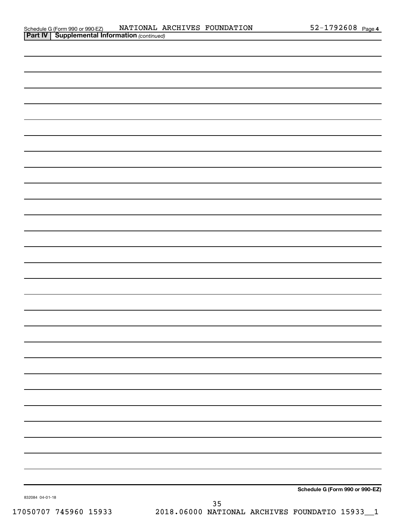| Schedule G (Form 990 or 990-EZ) |
|---------------------------------|

832084 04-01-18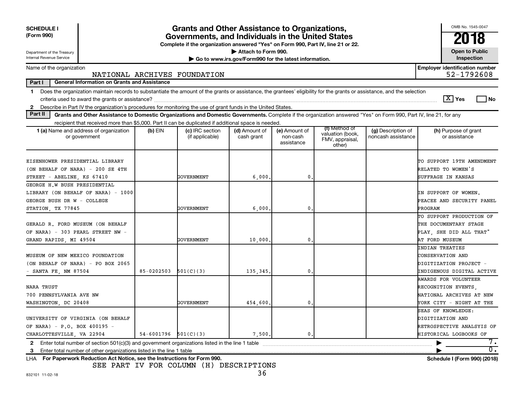| <b>SCHEDULE I</b><br>(Form 990)<br>Department of the Treasury                                                                                                                                                                                                                                                   |                          | Grants and Other Assistance to Organizations,<br>Governments, and Individuals in the United States<br>Complete if the organization answered "Yes" on Form 990, Part IV, line 21 or 22. | Attach to Form 990.                                   |                        |                                               |                    | OMB No. 1545-0047<br>2018<br><b>Open to Public</b>  |
|-----------------------------------------------------------------------------------------------------------------------------------------------------------------------------------------------------------------------------------------------------------------------------------------------------------------|--------------------------|----------------------------------------------------------------------------------------------------------------------------------------------------------------------------------------|-------------------------------------------------------|------------------------|-----------------------------------------------|--------------------|-----------------------------------------------------|
| Internal Revenue Service                                                                                                                                                                                                                                                                                        |                          |                                                                                                                                                                                        | Go to www.irs.gov/Form990 for the latest information. |                        |                                               |                    | Inspection                                          |
| Name of the organization                                                                                                                                                                                                                                                                                        |                          | NATIONAL ARCHIVES FOUNDATION                                                                                                                                                           |                                                       |                        |                                               |                    | <b>Employer identification number</b><br>52-1792608 |
| Part I<br><b>General Information on Grants and Assistance</b>                                                                                                                                                                                                                                                   |                          |                                                                                                                                                                                        |                                                       |                        |                                               |                    |                                                     |
| Does the organization maintain records to substantiate the amount of the grants or assistance, the grantees' eligibility for the grants or assistance, and the selection<br>1.<br>Describe in Part IV the organization's procedures for monitoring the use of grant funds in the United States.<br>$\mathbf{2}$ |                          |                                                                                                                                                                                        |                                                       |                        |                                               |                    | $\boxed{\text{X}}$ Yes<br>l No                      |
| Part II<br>Grants and Other Assistance to Domestic Organizations and Domestic Governments. Complete if the organization answered "Yes" on Form 990, Part IV, line 21, for any                                                                                                                                   |                          |                                                                                                                                                                                        |                                                       |                        |                                               |                    |                                                     |
| recipient that received more than \$5,000. Part II can be duplicated if additional space is needed.<br><b>1 (a)</b> Name and address of organization                                                                                                                                                            | $(b)$ EIN                | (c) IRC section                                                                                                                                                                        | (d) Amount of                                         | (e) Amount of          | (f) Method of                                 | (g) Description of | (h) Purpose of grant                                |
| or government                                                                                                                                                                                                                                                                                                   |                          | (if applicable)                                                                                                                                                                        | cash grant                                            | non-cash<br>assistance | valuation (book,<br>FMV, appraisal,<br>other) | noncash assistance | or assistance                                       |
| EISENHOWER PRESIDENTIAL LIBRARY                                                                                                                                                                                                                                                                                 |                          |                                                                                                                                                                                        |                                                       |                        |                                               |                    | TO SUPPORT 19TH AMENDMENT                           |
| (ON BEHALF OF NARA) - 200 SE 4TH                                                                                                                                                                                                                                                                                |                          |                                                                                                                                                                                        |                                                       |                        |                                               |                    | RELATED TO WOMEN'S                                  |
| STREET - ABELINE, KS 67410<br>GEORGE H.W BUSH PRESIDENTIAL                                                                                                                                                                                                                                                      |                          | GOVERNMENT                                                                                                                                                                             | 6,000                                                 | $\mathbf 0$            |                                               |                    | SUFFRAGE IN KANSAS                                  |
| LIBRARY (ON BEHALF OF NARA) - 1000                                                                                                                                                                                                                                                                              |                          |                                                                                                                                                                                        |                                                       |                        |                                               |                    | IN SUPPORT OF WOMEN.                                |
| GEORGE BUSH DR W - COLLEGE                                                                                                                                                                                                                                                                                      |                          |                                                                                                                                                                                        |                                                       |                        |                                               |                    | PEACEE AND SECURITY PANEL                           |
| STATION, TX 77845                                                                                                                                                                                                                                                                                               |                          | GOVERNMENT                                                                                                                                                                             | 6,000,                                                | 0.                     |                                               |                    | PROGRAM                                             |
| GERALD R. FORD MUSEUM (ON BEHALF                                                                                                                                                                                                                                                                                |                          |                                                                                                                                                                                        |                                                       |                        |                                               |                    | TO SUPPORT PRODUCTION OF<br>THE DOCUMENTARY STAGE   |
| OF NARA) - 303 PEARL STREET NW -                                                                                                                                                                                                                                                                                |                          |                                                                                                                                                                                        |                                                       |                        |                                               |                    | PLAY, SHE DID ALL THAT"                             |
| GRAND RAPIDS, MI 49504                                                                                                                                                                                                                                                                                          |                          | GOVERNMENT                                                                                                                                                                             | 10,000                                                | 0                      |                                               |                    | AT FORD MUSEUM                                      |
|                                                                                                                                                                                                                                                                                                                 |                          |                                                                                                                                                                                        |                                                       |                        |                                               |                    | INDIAN TREATIES                                     |
| MUSEUM OF NEW MEXICO FOUNDATION                                                                                                                                                                                                                                                                                 |                          |                                                                                                                                                                                        |                                                       |                        |                                               |                    | CONSERVATION AND                                    |
| (ON BEHALF OF NARA) - PO BOX 2065                                                                                                                                                                                                                                                                               |                          |                                                                                                                                                                                        |                                                       |                        |                                               |                    | DIGITIZATION PROJECT -                              |
| - SANTA FE, NM 87504                                                                                                                                                                                                                                                                                            | 85-0202503               | 501(C)(3)                                                                                                                                                                              | 135,345,                                              | 0                      |                                               |                    | INDIGENOUS DIGITAL ACTIVE                           |
|                                                                                                                                                                                                                                                                                                                 |                          |                                                                                                                                                                                        |                                                       |                        |                                               |                    | AWARDS FOR VOLUNTEER                                |
| NARA TRUST                                                                                                                                                                                                                                                                                                      |                          |                                                                                                                                                                                        |                                                       |                        |                                               |                    | RECOGNITION EVENTS,                                 |
| 700 PENNSYLVANIA AVE NW                                                                                                                                                                                                                                                                                         |                          |                                                                                                                                                                                        |                                                       |                        |                                               |                    | NATIONAL ARCHIVES AT NEW                            |
| WASHINGTON, DC 20408                                                                                                                                                                                                                                                                                            |                          | <b>GOVERNMENT</b>                                                                                                                                                                      | 454,600,                                              | 0                      |                                               |                    | YORK CITY - NIGHT AT THE                            |
|                                                                                                                                                                                                                                                                                                                 |                          |                                                                                                                                                                                        |                                                       |                        |                                               |                    | SEAS OF KNOWLEDGE:                                  |
| UNIVERSITY OF VIRGINIA (ON BEHALF                                                                                                                                                                                                                                                                               |                          |                                                                                                                                                                                        |                                                       |                        |                                               |                    | DIGITIZATION AND                                    |
| OF NARA) - P.O. BOX 400195 -                                                                                                                                                                                                                                                                                    |                          |                                                                                                                                                                                        |                                                       |                        |                                               |                    | RETROSPECTIVE ANALSYIS OF                           |
| CHARLOTTESVILLE, VA 22904                                                                                                                                                                                                                                                                                       | $54-6001796$ $501(C)(3)$ |                                                                                                                                                                                        | 7.500.                                                | 0.                     |                                               |                    | HISTORICAL LOGBOOKS OF                              |
| 2 Enter total number of section 501(c)(3) and government organizations listed in the line 1 table                                                                                                                                                                                                               |                          |                                                                                                                                                                                        |                                                       |                        |                                               |                    | 7.                                                  |
| 3                                                                                                                                                                                                                                                                                                               |                          |                                                                                                                                                                                        |                                                       |                        |                                               |                    | 0.                                                  |
| For Paperwork Reduction Act Notice, see the Instructions for Form 990.<br>LHA                                                                                                                                                                                                                                   |                          |                                                                                                                                                                                        |                                                       |                        |                                               |                    | Schedule I (Form 990) (2018)                        |

SEE PART IV FOR COLUMN (H) DESCRIPTIONS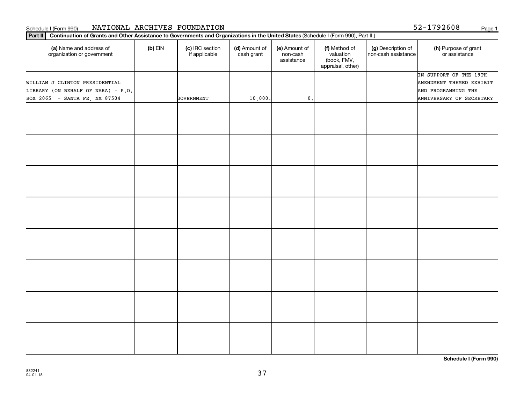#### Schedule I (Form 990) NATIONAL ARCHIVES FOUNDATION 52-1792608 <sub>Page 1</sub>

Part II | Continuation of Grants and Other Assistance to Governments and Organizations in the United States (Schedule I (Form 990), Part II.)

т

т

| (a) Name and address of<br>organization or government                | $(b)$ EIN | (c) IRC section<br>if applicable | (d) Amount of<br>cash grant | (e) Amount of<br>non-cash<br>assistance | (f) Method of<br>valuation<br>(book, FMV,<br>appraisal, other) | (g) Description of<br>non-cash assistance | (h) Purpose of grant<br>or assistance                                                                 |
|----------------------------------------------------------------------|-----------|----------------------------------|-----------------------------|-----------------------------------------|----------------------------------------------------------------|-------------------------------------------|-------------------------------------------------------------------------------------------------------|
| WILLIAM J CLINTON PRESIDENTIAL<br>LIBRARY (ON BEHALF OF NARA) - P.O. |           | <b>GOVERNMENT</b>                |                             |                                         |                                                                |                                           | IN SUPPORT OF THE 19TH<br>AMENDMENT THEMED EXHIBIT<br>AND PROGRAMMING THE<br>ANNIVERSARY OF SECRETARY |
| BOX 2065 - SANTA FE, NM 87504                                        |           |                                  | 10,000.                     | $\mathfrak o$ .                         |                                                                |                                           |                                                                                                       |
|                                                                      |           |                                  |                             |                                         |                                                                |                                           |                                                                                                       |
|                                                                      |           |                                  |                             |                                         |                                                                |                                           |                                                                                                       |
|                                                                      |           |                                  |                             |                                         |                                                                |                                           |                                                                                                       |
|                                                                      |           |                                  |                             |                                         |                                                                |                                           |                                                                                                       |
|                                                                      |           |                                  |                             |                                         |                                                                |                                           |                                                                                                       |
|                                                                      |           |                                  |                             |                                         |                                                                |                                           |                                                                                                       |
|                                                                      |           |                                  |                             |                                         |                                                                |                                           |                                                                                                       |
|                                                                      |           |                                  |                             |                                         |                                                                |                                           |                                                                                                       |

┱

**Schedule I (Form 990)**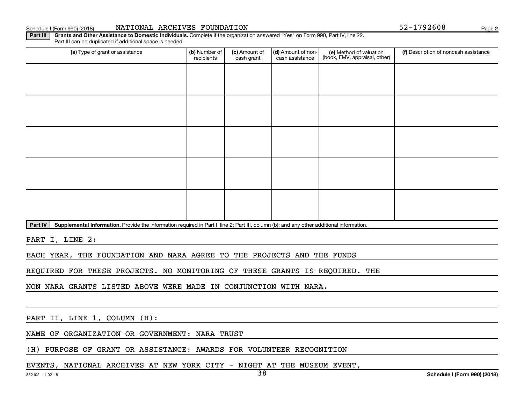Schedule I (Form 990) (2018) MATIONAL ARCHIVES FOUNDATION 52-1792608 Page

**2**

Part III | Grants and Other Assistance to Domestic Individuals. Complete if the organization answered "Yes" on Form 990, Part IV, line 22. Part III can be duplicated if additional space is needed.

| (a) Type of grant or assistance | (b) Number of<br>recipients | (c) Amount of<br>cash grant | (d) Amount of non-<br>cash assistance | (e) Method of valuation<br>(book, FMV, appraisal, other) | (f) Description of noncash assistance |
|---------------------------------|-----------------------------|-----------------------------|---------------------------------------|----------------------------------------------------------|---------------------------------------|
|                                 |                             |                             |                                       |                                                          |                                       |
|                                 |                             |                             |                                       |                                                          |                                       |
|                                 |                             |                             |                                       |                                                          |                                       |
|                                 |                             |                             |                                       |                                                          |                                       |
|                                 |                             |                             |                                       |                                                          |                                       |
|                                 |                             |                             |                                       |                                                          |                                       |
|                                 |                             |                             |                                       |                                                          |                                       |
|                                 |                             |                             |                                       |                                                          |                                       |
|                                 |                             |                             |                                       |                                                          |                                       |
|                                 |                             |                             |                                       |                                                          |                                       |

Part IV | Supplemental Information. Provide the information required in Part I, line 2; Part III, column (b); and any other additional information.

PART I, LINE 2:

EACH YEAR, THE FOUNDATION AND NARA AGREE TO THE PROJECTS AND THE FUNDS

REQUIRED FOR THESE PROJECTS. NO MONITORING OF THESE GRANTS IS REQUIRED. THE

NON NARA GRANTS LISTED ABOVE WERE MADE IN CONJUNCTION WITH NARA.

PART II, LINE 1, COLUMN (H):

NAME OF ORGANIZATION OR GOVERNMENT: NARA TRUST

(H) PURPOSE OF GRANT OR ASSISTANCE: AWARDS FOR VOLUNTEER RECOGNITION

EVENTS, NATIONAL ARCHIVES AT NEW YORK CITY - NIGHT AT THE MUSEUM EVENT,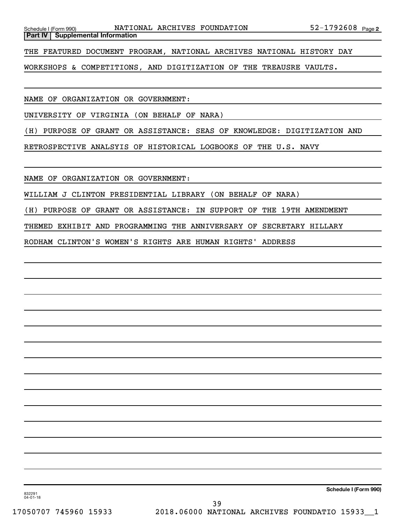**Part IV** | Supplemental Information

THE FEATURED DOCUMENT PROGRAM, NATIONAL ARCHIVES NATIONAL HISTORY DAY

WORKSHOPS & COMPETITIONS, AND DIGITIZATION OF THE TREAUSRE VAULTS.

NAME OF ORGANIZATION OR GOVERNMENT:

UNIVERSITY OF VIRGINIA (ON BEHALF OF NARA)

(H) PURPOSE OF GRANT OR ASSISTANCE: SEAS OF KNOWLEDGE: DIGITIZATION AND

RETROSPECTIVE ANALSYIS OF HISTORICAL LOGBOOKS OF THE U.S. NAVY

NAME OF ORGANIZATION OR GOVERNMENT:

WILLIAM J CLINTON PRESIDENTIAL LIBRARY (ON BEHALF OF NARA)

(H) PURPOSE OF GRANT OR ASSISTANCE: IN SUPPORT OF THE 19TH AMENDMENT

THEMED EXHIBIT AND PROGRAMMING THE ANNIVERSARY OF SECRETARY HILLARY

RODHAM CLINTON'S WOMEN'S RIGHTS ARE HUMAN RIGHTS' ADDRESS

**Schedule I (Form 990)**

832291 04-01-18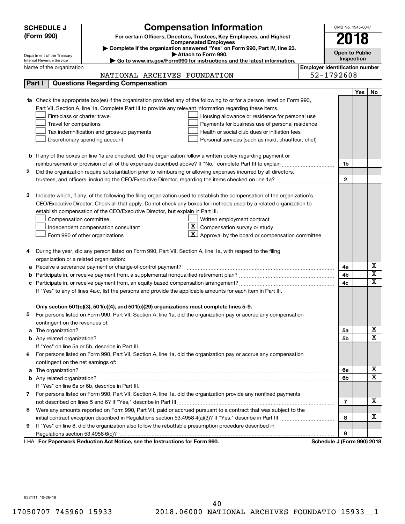|    | <b>SCHEDULE J</b>                                                                                 | <b>Compensation Information</b>                                                                                                                                                                               |                                       |                            |              | OMB No. 1545-0047                   |                              |  |
|----|---------------------------------------------------------------------------------------------------|---------------------------------------------------------------------------------------------------------------------------------------------------------------------------------------------------------------|---------------------------------------|----------------------------|--------------|-------------------------------------|------------------------------|--|
|    | (Form 990)<br>For certain Officers, Directors, Trustees, Key Employees, and Highest               |                                                                                                                                                                                                               |                                       |                            |              |                                     |                              |  |
|    | <b>Compensated Employees</b>                                                                      |                                                                                                                                                                                                               |                                       |                            |              | 2018                                |                              |  |
|    | Complete if the organization answered "Yes" on Form 990, Part IV, line 23.<br>Attach to Form 990. |                                                                                                                                                                                                               |                                       |                            |              |                                     |                              |  |
|    | Department of the Treasury<br>Internal Revenue Service                                            | Go to www.irs.gov/Form990 for instructions and the latest information.                                                                                                                                        |                                       |                            |              | <b>Open to Public</b><br>Inspection |                              |  |
|    | Name of the organization                                                                          |                                                                                                                                                                                                               | <b>Employer identification number</b> |                            |              |                                     |                              |  |
|    |                                                                                                   | NATIONAL ARCHIVES FOUNDATION                                                                                                                                                                                  |                                       | 52-1792608                 |              |                                     |                              |  |
|    | Part I                                                                                            | <b>Questions Regarding Compensation</b>                                                                                                                                                                       |                                       |                            |              |                                     |                              |  |
|    |                                                                                                   |                                                                                                                                                                                                               |                                       |                            |              | <b>Yes</b>                          | No                           |  |
|    |                                                                                                   | Check the appropriate box(es) if the organization provided any of the following to or for a person listed on Form 990,                                                                                        |                                       |                            |              |                                     |                              |  |
|    |                                                                                                   | Part VII, Section A, line 1a. Complete Part III to provide any relevant information regarding these items.                                                                                                    |                                       |                            |              |                                     |                              |  |
|    | First-class or charter travel                                                                     | Housing allowance or residence for personal use                                                                                                                                                               |                                       |                            |              |                                     |                              |  |
|    | Travel for companions                                                                             | Payments for business use of personal residence                                                                                                                                                               |                                       |                            |              |                                     |                              |  |
|    |                                                                                                   | Health or social club dues or initiation fees<br>Tax indemnification and gross-up payments                                                                                                                    |                                       |                            |              |                                     |                              |  |
|    |                                                                                                   | Discretionary spending account<br>Personal services (such as maid, chauffeur, chef)                                                                                                                           |                                       |                            |              |                                     |                              |  |
|    |                                                                                                   |                                                                                                                                                                                                               |                                       |                            |              |                                     |                              |  |
|    |                                                                                                   | <b>b</b> If any of the boxes on line 1a are checked, did the organization follow a written policy regarding payment or                                                                                        |                                       |                            |              |                                     |                              |  |
|    |                                                                                                   |                                                                                                                                                                                                               |                                       |                            | 1b           |                                     |                              |  |
| 2  |                                                                                                   | Did the organization require substantiation prior to reimbursing or allowing expenses incurred by all directors,                                                                                              |                                       |                            |              |                                     |                              |  |
|    |                                                                                                   |                                                                                                                                                                                                               |                                       |                            | $\mathbf{2}$ |                                     |                              |  |
|    |                                                                                                   |                                                                                                                                                                                                               |                                       |                            |              |                                     |                              |  |
| З  |                                                                                                   | Indicate which, if any, of the following the filing organization used to establish the compensation of the organization's                                                                                     |                                       |                            |              |                                     |                              |  |
|    |                                                                                                   | CEO/Executive Director. Check all that apply. Do not check any boxes for methods used by a related organization to                                                                                            |                                       |                            |              |                                     |                              |  |
|    |                                                                                                   | establish compensation of the CEO/Executive Director, but explain in Part III.                                                                                                                                |                                       |                            |              |                                     |                              |  |
|    | Compensation committee                                                                            | Written employment contract                                                                                                                                                                                   |                                       |                            |              |                                     |                              |  |
|    |                                                                                                   | $ \mathbf{X} $ Compensation survey or study<br>Independent compensation consultant                                                                                                                            |                                       |                            |              |                                     |                              |  |
|    |                                                                                                   | $ \mathbf{X} $ Approval by the board or compensation committee<br>Form 990 of other organizations                                                                                                             |                                       |                            |              |                                     |                              |  |
|    |                                                                                                   |                                                                                                                                                                                                               |                                       |                            |              |                                     |                              |  |
| 4  |                                                                                                   | During the year, did any person listed on Form 990, Part VII, Section A, line 1a, with respect to the filing                                                                                                  |                                       |                            |              |                                     |                              |  |
|    | organization or a related organization:                                                           |                                                                                                                                                                                                               |                                       |                            |              |                                     |                              |  |
| а  |                                                                                                   | Receive a severance payment or change-of-control payment?                                                                                                                                                     |                                       |                            | 4a           |                                     | х<br>$\overline{\textbf{x}}$ |  |
| b  |                                                                                                   |                                                                                                                                                                                                               |                                       |                            | 4b           |                                     | $\mathbf x$                  |  |
|    |                                                                                                   |                                                                                                                                                                                                               |                                       |                            | 4c           |                                     |                              |  |
|    |                                                                                                   | If "Yes" to any of lines 4a-c, list the persons and provide the applicable amounts for each item in Part III.                                                                                                 |                                       |                            |              |                                     |                              |  |
|    |                                                                                                   |                                                                                                                                                                                                               |                                       |                            |              |                                     |                              |  |
|    |                                                                                                   | Only section 501(c)(3), 501(c)(4), and 501(c)(29) organizations must complete lines 5-9.<br>For persons listed on Form 990, Part VII, Section A, line 1a, did the organization pay or accrue any compensation |                                       |                            |              |                                     |                              |  |
| b. | contingent on the revenues of:                                                                    |                                                                                                                                                                                                               |                                       |                            |              |                                     |                              |  |
| a  |                                                                                                   |                                                                                                                                                                                                               |                                       |                            | 5a           |                                     | х                            |  |
|    |                                                                                                   |                                                                                                                                                                                                               |                                       |                            | 5b           |                                     | X                            |  |
|    |                                                                                                   | If "Yes" on line 5a or 5b, describe in Part III.                                                                                                                                                              |                                       |                            |              |                                     |                              |  |
|    |                                                                                                   | 6 For persons listed on Form 990, Part VII, Section A, line 1a, did the organization pay or accrue any compensation                                                                                           |                                       |                            |              |                                     |                              |  |
|    | contingent on the net earnings of:                                                                |                                                                                                                                                                                                               |                                       |                            |              |                                     |                              |  |
| а  |                                                                                                   |                                                                                                                                                                                                               |                                       |                            | 6а           |                                     | х                            |  |
|    |                                                                                                   |                                                                                                                                                                                                               |                                       |                            | 6b           |                                     | X                            |  |
|    |                                                                                                   | If "Yes" on line 6a or 6b, describe in Part III.                                                                                                                                                              |                                       |                            |              |                                     |                              |  |
|    |                                                                                                   | 7 For persons listed on Form 990, Part VII, Section A, line 1a, did the organization provide any nonfixed payments                                                                                            |                                       |                            |              |                                     |                              |  |
|    |                                                                                                   |                                                                                                                                                                                                               |                                       |                            | 7            |                                     | x                            |  |
| 8  |                                                                                                   | Were any amounts reported on Form 990, Part VII, paid or accrued pursuant to a contract that was subject to the                                                                                               |                                       |                            |              |                                     |                              |  |
|    |                                                                                                   |                                                                                                                                                                                                               |                                       |                            | 8            |                                     | x                            |  |
| 9  |                                                                                                   | If "Yes" on line 8, did the organization also follow the rebuttable presumption procedure described in                                                                                                        |                                       |                            |              |                                     |                              |  |
|    |                                                                                                   |                                                                                                                                                                                                               |                                       |                            | 9            |                                     |                              |  |
|    |                                                                                                   | LHA For Paperwork Reduction Act Notice, see the Instructions for Form 990.                                                                                                                                    |                                       | Schedule J (Form 990) 2018 |              |                                     |                              |  |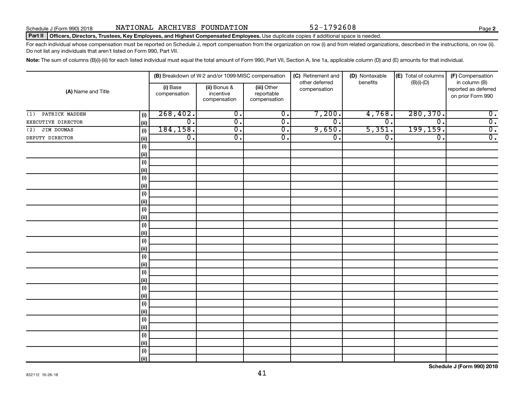#### Part II | Officers, Directors, Trustees, Key Employees, and Highest Compensated Employees. Use duplicate copies if additional space is needed.

For each individual whose compensation must be reported on Schedule J, report compensation from the organization on row (i) and from related organizations, described in the instructions, on row (ii). Do not list any individuals that aren't listed on Form 990, Part VII.

Note: The sum of columns (B)(i)-(iii) for each listed individual must equal the total amount of Form 990, Part VII, Section A, line 1a, applicable column (D) and (E) amounts for that individual.

| (A) Name and Title    |            |                          | (B) Breakdown of W-2 and/or 1099-MISC compensation<br>(C) Retirement and |                                           |                                | (D) Nontaxable              | (E) Total of columns        | (F) Compensation                                           |
|-----------------------|------------|--------------------------|--------------------------------------------------------------------------|-------------------------------------------|--------------------------------|-----------------------------|-----------------------------|------------------------------------------------------------|
|                       |            | (i) Base<br>compensation | (ii) Bonus &<br>incentive<br>compensation                                | (iii) Other<br>reportable<br>compensation | other deferred<br>compensation | benefits                    | $(B)(i)-(D)$                | in column (B)<br>reported as deferred<br>on prior Form 990 |
| PATRICK MADDEN<br>(1) | (i)        | 268, 402.                | $\overline{0}$ .                                                         | $\overline{0}$ .                          | 7,200.                         | 4,768.                      | 280, 370.                   | $\overline{0}$ .                                           |
| EXECUTIVE DIRECTOR    | (ii)       | $\overline{0}$ .         | $\overline{0}$ .                                                         | $\overline{0}$ .                          | $\overline{0}$ .               | $\overline{\mathfrak{o}}$ . | $\overline{0}$ .            | $\overline{0}$ .                                           |
| JIM DOUMAS<br>(2)     | (i)        | 184, 158.                | $\overline{0}$ .                                                         | $\overline{0}$ .                          | 9,650.                         | 5,351.                      | 199, 159.                   | $\overline{0}$ .                                           |
| DEPUTY DIRECTOR       | (ii)       | $\overline{0}$ .         | $\overline{0}$ .                                                         | $\overline{0}$ .                          | $\overline{0}$ .               | $\overline{0}$ .            | $\overline{\mathfrak{o}}$ . | $\overline{0}$ .                                           |
|                       | (i)        |                          |                                                                          |                                           |                                |                             |                             |                                                            |
|                       | (ii)       |                          |                                                                          |                                           |                                |                             |                             |                                                            |
|                       | (i)        |                          |                                                                          |                                           |                                |                             |                             |                                                            |
|                       | (ii)       |                          |                                                                          |                                           |                                |                             |                             |                                                            |
|                       | (i)        |                          |                                                                          |                                           |                                |                             |                             |                                                            |
|                       | (ii)       |                          |                                                                          |                                           |                                |                             |                             |                                                            |
|                       | (i)        |                          |                                                                          |                                           |                                |                             |                             |                                                            |
|                       | (ii)       |                          |                                                                          |                                           |                                |                             |                             |                                                            |
|                       | (i)        |                          |                                                                          |                                           |                                |                             |                             |                                                            |
|                       | (ii)       |                          |                                                                          |                                           |                                |                             |                             |                                                            |
|                       | $(\sf{i})$ |                          |                                                                          |                                           |                                |                             |                             |                                                            |
|                       | (ii)       |                          |                                                                          |                                           |                                |                             |                             |                                                            |
|                       | $(\sf{i})$ |                          |                                                                          |                                           |                                |                             |                             |                                                            |
|                       | (ii)       |                          |                                                                          |                                           |                                |                             |                             |                                                            |
|                       | $(\sf{i})$ |                          |                                                                          |                                           |                                |                             |                             |                                                            |
|                       | (ii)       |                          |                                                                          |                                           |                                |                             |                             |                                                            |
|                       | (i)        |                          |                                                                          |                                           |                                |                             |                             |                                                            |
|                       | (ii)       |                          |                                                                          |                                           |                                |                             |                             |                                                            |
|                       | (i)        |                          |                                                                          |                                           |                                |                             |                             |                                                            |
|                       | (ii)       |                          |                                                                          |                                           |                                |                             |                             |                                                            |
|                       | (i)        |                          |                                                                          |                                           |                                |                             |                             |                                                            |
|                       | (ii)       |                          |                                                                          |                                           |                                |                             |                             |                                                            |
|                       | (i)        |                          |                                                                          |                                           |                                |                             |                             |                                                            |
|                       | (ii)       |                          |                                                                          |                                           |                                |                             |                             |                                                            |
|                       | (i)        |                          |                                                                          |                                           |                                |                             |                             |                                                            |
|                       | (ii)       |                          |                                                                          |                                           |                                |                             |                             |                                                            |
|                       | (i)        |                          |                                                                          |                                           |                                |                             |                             |                                                            |
|                       | (ii)       |                          |                                                                          |                                           |                                |                             |                             |                                                            |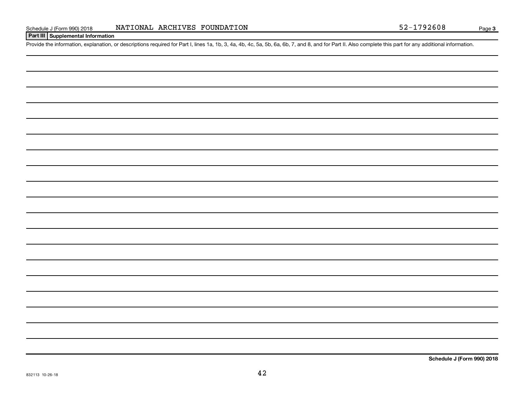Provide the information, explanation, or descriptions required for Part I, lines 1a, 1b, 3, 4a, 4b, 4c, 5a, 5b, 6a, 6b, 7, and 8, and for Part II. Also complete this part for any additional information.

**Schedule J (Form 990) 2018**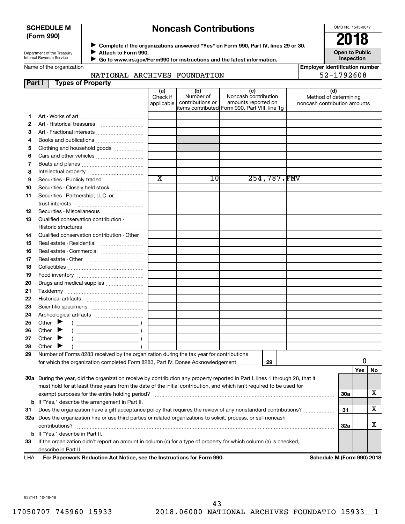#### **SCHEDULE M (Form 990)**

## **Noncash Contributions**

OMB No. 1545-0047

Department of the Treasury Internal Revenue Service

◆ Complete if the organizations answered "Yes" on Form 990, Part IV, lines 29 or 30.<br>▶ Complete if the organizations answered "Yes" on Form 990, Part IV, lines 29 or 30. **Attach to Form 990.**  $\blacktriangleright$ 

 **Go to www.irs.gov/Form990 for instructions and the latest information.** J

**Inspection Employer identification number**

**Open to Public**

| Name of the organization |               |  |
|--------------------------|---------------|--|
|                          | MATTOMAL ADOL |  |

NATIONAL ARCHIVES FOUNDATION | 52-1792608

| Part I |                                                                                                                       |                             | <b>Types of Property</b>                                                                                                       |                               |                                      |                                                                                                      |             |  |                                                              |     |    |
|--------|-----------------------------------------------------------------------------------------------------------------------|-----------------------------|--------------------------------------------------------------------------------------------------------------------------------|-------------------------------|--------------------------------------|------------------------------------------------------------------------------------------------------|-------------|--|--------------------------------------------------------------|-----|----|
|        |                                                                                                                       |                             |                                                                                                                                | (a)<br>Check if<br>applicable | (b)<br>Number of<br>contributions or | (c)<br>Noncash contribution<br>amounts reported on<br>items contributed Form 990, Part VIII, line 1g |             |  | (d)<br>Method of determining<br>noncash contribution amounts |     |    |
| 1      |                                                                                                                       |                             |                                                                                                                                |                               |                                      |                                                                                                      |             |  |                                                              |     |    |
| 2      |                                                                                                                       |                             |                                                                                                                                |                               |                                      |                                                                                                      |             |  |                                                              |     |    |
| З      |                                                                                                                       |                             | Art - Fractional interests                                                                                                     |                               |                                      |                                                                                                      |             |  |                                                              |     |    |
| 4      |                                                                                                                       |                             | Books and publications                                                                                                         |                               |                                      |                                                                                                      |             |  |                                                              |     |    |
| 5      |                                                                                                                       |                             | Clothing and household goods                                                                                                   |                               |                                      |                                                                                                      |             |  |                                                              |     |    |
| 6      |                                                                                                                       |                             |                                                                                                                                |                               |                                      |                                                                                                      |             |  |                                                              |     |    |
| 7      |                                                                                                                       |                             |                                                                                                                                |                               |                                      |                                                                                                      |             |  |                                                              |     |    |
| 8      |                                                                                                                       |                             |                                                                                                                                |                               |                                      |                                                                                                      |             |  |                                                              |     |    |
| 9      |                                                                                                                       |                             | Securities - Publicly traded                                                                                                   | $\overline{\textbf{x}}$       | 1 Ol                                 |                                                                                                      | 254,787.FMV |  |                                                              |     |    |
| 10     |                                                                                                                       |                             | Securities - Closely held stock                                                                                                |                               |                                      |                                                                                                      |             |  |                                                              |     |    |
| 11     |                                                                                                                       |                             | Securities - Partnership, LLC, or                                                                                              |                               |                                      |                                                                                                      |             |  |                                                              |     |    |
|        |                                                                                                                       |                             |                                                                                                                                |                               |                                      |                                                                                                      |             |  |                                                              |     |    |
| 12     |                                                                                                                       |                             | Securities - Miscellaneous                                                                                                     |                               |                                      |                                                                                                      |             |  |                                                              |     |    |
| 13     |                                                                                                                       |                             | Qualified conservation contribution -                                                                                          |                               |                                      |                                                                                                      |             |  |                                                              |     |    |
|        |                                                                                                                       |                             |                                                                                                                                |                               |                                      |                                                                                                      |             |  |                                                              |     |    |
| 14     |                                                                                                                       |                             | Qualified conservation contribution - Other                                                                                    |                               |                                      |                                                                                                      |             |  |                                                              |     |    |
| 15     |                                                                                                                       |                             | Real estate - Residential                                                                                                      |                               |                                      |                                                                                                      |             |  |                                                              |     |    |
| 16     |                                                                                                                       |                             | Real estate - Commercial                                                                                                       |                               |                                      |                                                                                                      |             |  |                                                              |     |    |
| 17     |                                                                                                                       |                             |                                                                                                                                |                               |                                      |                                                                                                      |             |  |                                                              |     |    |
| 18     |                                                                                                                       |                             |                                                                                                                                |                               |                                      |                                                                                                      |             |  |                                                              |     |    |
| 19     |                                                                                                                       |                             |                                                                                                                                |                               |                                      |                                                                                                      |             |  |                                                              |     |    |
| 20     |                                                                                                                       |                             | Drugs and medical supplies                                                                                                     |                               |                                      |                                                                                                      |             |  |                                                              |     |    |
| 21     |                                                                                                                       |                             |                                                                                                                                |                               |                                      |                                                                                                      |             |  |                                                              |     |    |
| 22     |                                                                                                                       |                             |                                                                                                                                |                               |                                      |                                                                                                      |             |  |                                                              |     |    |
| 23     |                                                                                                                       |                             |                                                                                                                                |                               |                                      |                                                                                                      |             |  |                                                              |     |    |
| 24     |                                                                                                                       |                             |                                                                                                                                |                               |                                      |                                                                                                      |             |  |                                                              |     |    |
| 25     |                                                                                                                       | Other $\blacktriangleright$ |                                                                                                                                |                               |                                      |                                                                                                      |             |  |                                                              |     |    |
| 26     |                                                                                                                       | Other $\blacktriangleright$ |                                                                                                                                |                               |                                      |                                                                                                      |             |  |                                                              |     |    |
| 27     |                                                                                                                       | Other $\blacktriangleright$ |                                                                                                                                |                               |                                      |                                                                                                      |             |  |                                                              |     |    |
| 28     | Other $\blacktriangleright$                                                                                           |                             |                                                                                                                                |                               |                                      |                                                                                                      |             |  |                                                              |     |    |
| 29     |                                                                                                                       |                             | Number of Forms 8283 received by the organization during the tax year for contributions                                        |                               |                                      |                                                                                                      |             |  |                                                              |     |    |
|        |                                                                                                                       |                             | for which the organization completed Form 8283, Part IV, Donee Acknowledgement                                                 |                               |                                      |                                                                                                      | 29          |  |                                                              | 0   |    |
|        |                                                                                                                       |                             |                                                                                                                                |                               |                                      |                                                                                                      |             |  |                                                              | Yes | No |
|        |                                                                                                                       |                             | 30a During the year, did the organization receive by contribution any property reported in Part I, lines 1 through 28, that it |                               |                                      |                                                                                                      |             |  |                                                              |     |    |
|        | must hold for at least three years from the date of the initial contribution, and which isn't required to be used for |                             |                                                                                                                                |                               |                                      |                                                                                                      |             |  |                                                              |     |    |
|        |                                                                                                                       |                             |                                                                                                                                |                               |                                      |                                                                                                      |             |  | 30a                                                          |     | x  |
|        |                                                                                                                       |                             | <b>b</b> If "Yes," describe the arrangement in Part II.                                                                        |                               |                                      |                                                                                                      |             |  |                                                              |     |    |
| 31     | Does the organization have a gift acceptance policy that requires the review of any nonstandard contributions?<br>31  |                             |                                                                                                                                |                               |                                      |                                                                                                      |             |  | x                                                            |     |    |
|        |                                                                                                                       |                             | 32a Does the organization hire or use third parties or related organizations to solicit, process, or sell noncash              |                               |                                      |                                                                                                      |             |  |                                                              |     |    |
|        |                                                                                                                       | contributions?              |                                                                                                                                |                               |                                      |                                                                                                      |             |  | 32a                                                          |     | x  |
|        |                                                                                                                       |                             | <b>b</b> If "Yes," describe in Part II.                                                                                        |                               |                                      |                                                                                                      |             |  |                                                              |     |    |
| 33     |                                                                                                                       |                             | If the organization didn't report an amount in column (c) for a type of property for which column (a) is checked,              |                               |                                      |                                                                                                      |             |  |                                                              |     |    |
|        |                                                                                                                       | describe in Part II.        |                                                                                                                                |                               |                                      |                                                                                                      |             |  |                                                              |     |    |
| LHA    |                                                                                                                       |                             | For Paperwork Reduction Act Notice, see the Instructions for Form 990.                                                         |                               |                                      |                                                                                                      |             |  | Schedule M (Form 990) 2018                                   |     |    |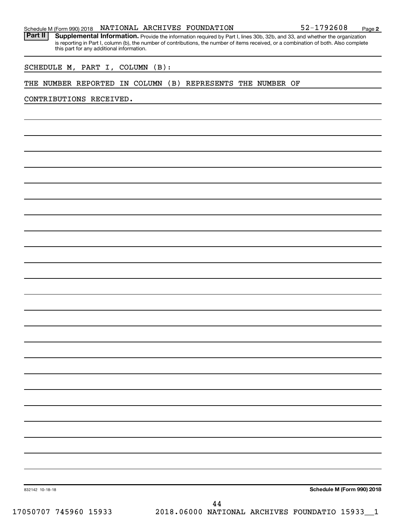#### Schedule M (Form 990) 2018 Page NATIONAL ARCHIVES FOUNDATION 52-1792608

Part II | Supplemental Information. Provide the information required by Part I, lines 30b, 32b, and 33, and whether the organization is reporting in Part I, column (b), the number of contributions, the number of items received, or a combination of both. Also complete this part for any additional information.

SCHEDULE M, PART I, COLUMN (B):

#### THE NUMBER REPORTED IN COLUMN (B) REPRESENTS THE NUMBER OF

CONTRIBUTIONS RECEIVED.

**Schedule M (Form 990) 2018**

832142 10-18-18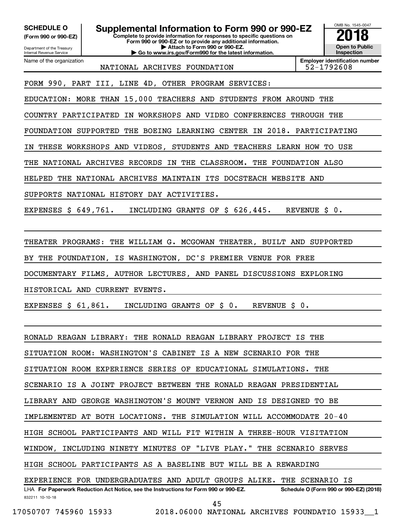Department of the Treasury **(Form 990 or 990-EZ)**

Name of the organization

Internal Revenue Service

SCHEDULE O **Supplemental Information to Form 990 or 990-EZ 2018**<br>(Form 990 or 990-EZ) Complete to provide information for responses to specific questions on

**Complete to provide information for responses to specific questions on Form 990 or 990-EZ or to provide any additional information. | Attach to Form 990 or 990-EZ. | Go to www.irs.gov/Form990 for the latest information.**



**Employer identification number**

NATIONAL ARCHIVES FOUNDATION 152-1792608

FORM 990, PART III, LINE 4D, OTHER PROGRAM SERVICES:

EDUCATION: MORE THAN 15,000 TEACHERS AND STUDENTS FROM AROUND THE

COUNTRY PARTICIPATED IN WORKSHOPS AND VIDEO CONFERENCES THROUGH THE

FOUNDATION SUPPORTED THE BOEING LEARNING CENTER IN 2018. PARTICIPATING

IN THESE WORKSHOPS AND VIDEOS, STUDENTS AND TEACHERS LEARN HOW TO USE

THE NATIONAL ARCHIVES RECORDS IN THE CLASSROOM. THE FOUNDATION ALSO

HELPED THE NATIONAL ARCHIVES MAINTAIN ITS DOCSTEACH WEBSITE AND

SUPPORTS NATIONAL HISTORY DAY ACTIVITIES.

EXPENSES \$ 649,761. INCLUDING GRANTS OF \$ 626,445. REVENUE \$ 0.

THEATER PROGRAMS: THE WILLIAM G. MCGOWAN THEATER, BUILT AND SUPPORTED

BY THE FOUNDATION, IS WASHINGTON, DC'S PREMIER VENUE FOR FREE

DOCUMENTARY FILMS, AUTHOR LECTURES, AND PANEL DISCUSSIONS EXPLORING

HISTORICAL AND CURRENT EVENTS.

EXPENSES \$ 61,861. INCLUDING GRANTS OF \$ 0. REVENUE \$ 0.

RONALD REAGAN LIBRARY: THE RONALD REAGAN LIBRARY PROJECT IS THE

SITUATION ROOM: WASHINGTON'S CABINET IS A NEW SCENARIO FOR THE

SITUATION ROOM EXPERIENCE SERIES OF EDUCATIONAL SIMULATIONS. THE

SCENARIO IS A JOINT PROJECT BETWEEN THE RONALD REAGAN PRESIDENTIAL

LIBRARY AND GEORGE WASHINGTON'S MOUNT VERNON AND IS DESIGNED TO BE

IMPLEMENTED AT BOTH LOCATIONS. THE SIMULATION WILL ACCOMMODATE 20-40

HIGH SCHOOL PARTICIPANTS AND WILL FIT WITHIN A THREE-HOUR VISITATION

WINDOW, INCLUDING NINETY MINUTES OF "LIVE PLAY." THE SCENARIO SERVES

HIGH SCHOOL PARTICIPANTS AS A BASELINE BUT WILL BE A REWARDING

EXPERIENCE FOR UNDERGRADUATES AND ADULT GROUPS ALIKE. THE SCENARIO IS

832211 10-10-18 LHA For Paperwork Reduction Act Notice, see the Instructions for Form 990 or 990-EZ. Schedule O (Form 990 or 990-EZ) (2018) 45

17050707 745960 15933 2018.06000 NATIONAL ARCHIVES FOUNDATIO 15933\_\_1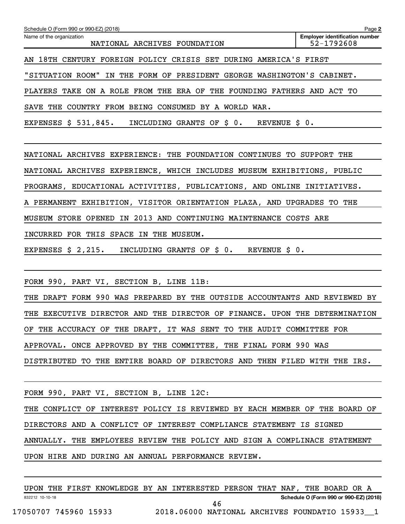| Schedule O (Form 990 or 990-EZ) (2018)                                                      | Page 2                                              |
|---------------------------------------------------------------------------------------------|-----------------------------------------------------|
| Name of the organization<br>NATIONAL ARCHIVES FOUNDATION                                    | <b>Employer identification number</b><br>52-1792608 |
| AN 18TH CENTURY FOREIGN POLICY CRISIS SET DURING AMERICA'S FIRST                            |                                                     |
| "SITUATION ROOM" IN THE FORM OF PRESIDENT GEORGE WASHINGTON'S CABINET.                      |                                                     |
| PLAYERS TAKE ON A ROLE FROM THE ERA OF THE FOUNDING FATHERS AND ACT TO                      |                                                     |
| SAVE THE COUNTRY FROM BEING CONSUMED BY A WORLD WAR.                                        |                                                     |
| EXPENSES $\sharp$ 531,845. INCLUDING GRANTS OF $\sharp$ 0. REVENUE $\sharp$ 0.              |                                                     |
| NATIONAL ARCHIVES EXPERIENCE: THE FOUNDATION CONTINUES TO SUPPORT THE                       |                                                     |
| NATIONAL ARCHIVES EXPERIENCE, WHICH INCLUDES MUSEUM EXHIBITIONS, PUBLIC                     |                                                     |
| PROGRAMS, EDUCATIONAL ACTIVITIES, PUBLICATIONS, AND ONLINE INITIATIVES.                     |                                                     |
| A PERMANENT EXHIBITION, VISITOR ORIENTATION PLAZA, AND UPGRADES TO THE                      |                                                     |
| MUSEUM STORE OPENED IN 2013 AND CONTINUING MAINTENANCE COSTS ARE                            |                                                     |
| INCURRED FOR THIS SPACE IN THE MUSEUM.                                                      |                                                     |
| EXPENSES $\frac{1}{2}$ , 215. INCLUDING GRANTS OF $\frac{1}{2}$ 0. REVENUE $\frac{1}{2}$ 0. |                                                     |
|                                                                                             |                                                     |
| FORM 990, PART VI, SECTION B, LINE 11B:                                                     |                                                     |
| THE DRAFT FORM 990 WAS PREPARED BY THE OUTSIDE ACCOUNTANTS AND REVIEWED BY                  |                                                     |
| THE EXECUTIVE DIRECTOR AND THE DIRECTOR OF FINANCE. UPON THE DETERMINATION                  |                                                     |
| OF THE ACCURACY OF THE DRAFT, IT WAS SENT TO THE AUDIT COMMITTEE FOR                        |                                                     |
| APPROVAL. ONCE APPROVED BY THE COMMITTEE, THE FINAL FORM 990 WAS                            |                                                     |
| DISTRIBUTED TO THE ENTIRE BOARD OF DIRECTORS AND THEN FILED WITH THE IRS.                   |                                                     |
| FORM 990, PART VI, SECTION B, LINE 12C:                                                     |                                                     |
| THE CONFLICT OF INTEREST POLICY IS REVIEWED BY EACH MEMBER OF THE BOARD OF                  |                                                     |

DIRECTORS AND A CONFLICT OF INTEREST COMPLIANCE STATEMENT IS SIGNED

ANNUALLY. THE EMPLOYEES REVIEW THE POLICY AND SIGN A COMPLINACE STATEMENT

UPON HIRE AND DURING AN ANNUAL PERFORMANCE REVIEW.

832212 10-10-18 **Schedule O (Form 990 or 990-EZ) (2018)** UPON THE FIRST KNOWLEDGE BY AN INTERESTED PERSON THAT NAF, THE BOARD OR A 17050707 745960 15933 2018.06000 NATIONAL ARCHIVES FOUNDATIO 15933\_\_1 46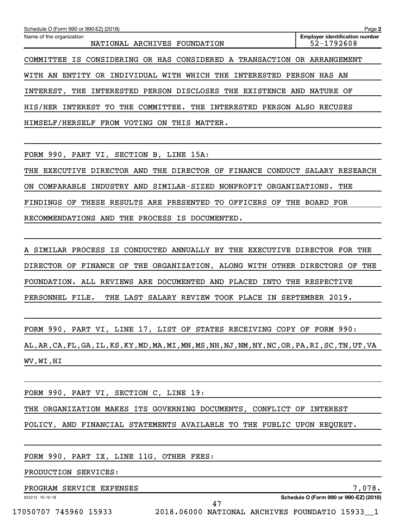| Schedule O (Form 990 or 990-EZ) (2018)                                  | Page 2                                              |
|-------------------------------------------------------------------------|-----------------------------------------------------|
| Name of the organization<br>NATIONAL ARCHIVES FOUNDATION                | <b>Employer identification number</b><br>52-1792608 |
| COMMITTEE IS CONSIDERING OR HAS CONSIDERED A TRANSACTION OR ARRANGEMENT |                                                     |
| WITH AN ENTITY OR INDIVIDUAL WITH WHICH THE INTERESTED PERSON HAS AN    |                                                     |
| INTEREST, THE INTERESTED PERSON DISCLOSES THE EXISTENCE AND NATURE OF   |                                                     |
| HIS/HER INTEREST TO THE COMMITTEE. THE INTERESTED                       | PERSON ALSO RECUSES                                 |
| HIMSELF/HERSELF FROM VOTING ON THIS MATTER.                             |                                                     |

FORM 990, PART VI, SECTION B, LINE 15A:

THE EXECUTIVE DIRECTOR AND THE DIRECTOR OF FINANCE CONDUCT SALARY RESEARCH ON COMPARABLE INDUSTRY AND SIMILAR-SIZED NONPROFIT ORGANIZATIONS. THE FINDINGS OF THESE RESULTS ARE PRESENTED TO OFFICERS OF THE BOARD FOR RECOMMENDATIONS AND THE PROCESS IS DOCUMENTED.

A SIMILAR PROCESS IS CONDUCTED ANNUALLY BY THE EXECUTIVE DIRECTOR FOR THE DIRECTOR OF FINANCE OF THE ORGANIZATION, ALONG WITH OTHER DIRECTORS OF THE FOUNDATION. ALL REVIEWS ARE DOCUMENTED AND PLACED INTO THE RESPECTIVE PERSONNEL FILE. THE LAST SALARY REVIEW TOOK PLACE IN SEPTEMBER 2019.

FORM 990, PART VI, LINE 17, LIST OF STATES RECEIVING COPY OF FORM 990: AL,AR,CA,FL,GA,IL,KS,KY,MD,MA,MI,MN,MS,NH,NJ,NM,NY,NC,OR,PA,RI,SC,TN,UT,VA WV,WI,HI

| THE ORGANIZATION MAKES ITS GOVERNING DOCUMENTS, CONFLICT OF INTEREST   |
|------------------------------------------------------------------------|
| POLICY, AND FINANCIAL STATEMENTS AVAILABLE TO THE PUBLIC UPON REQUEST. |

47

#### FORM 990, PART IX, LINE 11G, OTHER FEES:

PRODUCTION SERVICES:

#### PROGRAM SERVICE EXPENSES 7.078.

832212 10-10-18

**Schedule O (Form 990 or 990-EZ) (2018)**